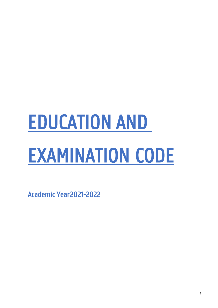# EDUCATION AND EXAMINATION CODE

Academic Year 2021-2022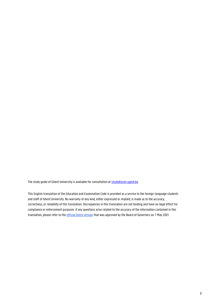The study guide of Ghent University is available for consultation at **[studiekiezer.ugent.be](/Users/swbosman/OneDrive%20-%20UGent/WG%20OER%202021-2022/studiekiezer.ugent.be).** 

This English translation of the Education and Examination Code is provided as a service to the foreign-language students and staff of Ghent University. No warranty of any kind, either expressed or implied, is made as to the accuracy, correctness, or reliability of this translation. Discrepancies in this translation are not binding and have no legal effect for compliance or enforcement purposes. If any questions arise related to the accuracy of the information contained in this translation, please refer to the **official Dutch version** that was approved by the Board of Governors on 7 May 2021.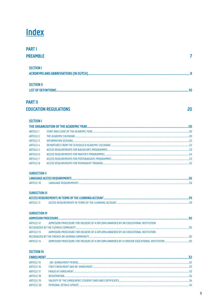# **Index**

| <b>PART I</b>       |  |
|---------------------|--|
| <b>PREAMBLE</b>     |  |
|                     |  |
| <b>SECTION I</b>    |  |
|                     |  |
|                     |  |
| <b>SECTION II</b>   |  |
| LIST OF DEFINITIONS |  |
|                     |  |

### **PART II**

### **EDUCATION REGULATIONS**

**SECTION I** 

| <b>ARTICLE 1</b> |  |
|------------------|--|
| <b>ARTICLE 2</b> |  |
| <b>ARTICLE 3</b> |  |
| <b>ARTICLE 4</b> |  |
| <b>ARTICLE 5</b> |  |
| <b>ARTICLE 6</b> |  |
| <b>ARTICLE 7</b> |  |
| <b>ARTICLE 8</b> |  |

### **SUBSECTION II**

| <b>ARTICLE 10</b> |  |
|-------------------|--|

### **SUBSECTION III**

| <b>ARTICLE 11</b> | Эq |
|-------------------|----|

### **SUBSECTION IV**

| <b>ARTICLE 12</b> | ADMISSION PROCEDURE FOR HOLDERS OF A DIPLOMA AWARDED BY AN EDUCATIONAL INSTITUTION |  |
|-------------------|------------------------------------------------------------------------------------|--|
|                   |                                                                                    |  |
| ARTICLE 13        | ADMISSION PROCEDURE FOR HOLDERS OF A DIPLOMA AWARDED BY AN EDUCATIONAL INSTITUTION |  |
|                   | RECOGNIZED BY THE FRENCH OR GERMAN COMMUNITY                                       |  |
| <b>ARTICLE 14</b> |                                                                                    |  |

### **SECTION III**

| <b>ENROLMENT.</b> |  |
|-------------------|--|
| <b>ARTICLE 15</b> |  |
| <b>ARTICLE 16</b> |  |
| <b>ARTICLE 17</b> |  |
| <b>ARTICLE 18</b> |  |
| <b>ARTICLE 19</b> |  |
| <b>ARTICLE 20</b> |  |

 $20$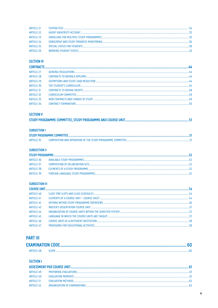| ARTICLE 21        |  |
|-------------------|--|
| ARTICLE 22        |  |
| <b>ARTICLE 23</b> |  |
| ARTICLE 24        |  |
| <b>ARTICLE 25</b> |  |
| <b>ARTICLE 26</b> |  |

### **SECTION IV**

| <b>CONTRACTS</b>  |                             |  |
|-------------------|-----------------------------|--|
| <b>ARTICLE 27</b> |                             |  |
| <b>ARTICLE 28</b> |                             |  |
| <b>ARTICLE 29</b> |                             |  |
| <b>ARTICLE 30</b> |                             |  |
| <b>ARTICLE 31</b> |                             |  |
| <b>ARTICLE 32</b> | <b>CURRICULUM COMMITTEE</b> |  |
| <b>ARTICLE 33</b> |                             |  |
| <b>ARTICLE 34</b> |                             |  |

### **SECTION V**

### **SUBSECTION I**

| <b>ARTICLE 35</b> |  |
|-------------------|--|

### **SUBSECTION II**

| ARTICLE 36 |  |
|------------|--|
| ARTICLE 37 |  |
| ARTICLE 38 |  |
| ARTICLE 39 |  |

### **SUBSECTION III**

### **PART III**

| <b>EXAMINATION CODE</b> |  |
|-------------------------|--|
| ARTICI F 48.            |  |

### **SECTION I**

| ARTICI F 49 |  |
|-------------|--|
| ARTICLE 50  |  |
| ARTICLE 51  |  |
| ARTICLE 52  |  |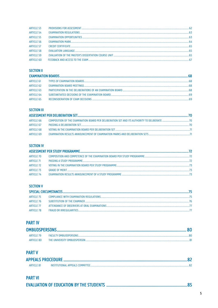| <b>ARTICLE 53</b> | 62 |
|-------------------|----|
| <b>ARTICLE 54</b> |    |
| <b>ARTICLE 55</b> |    |
| <b>ARTICLE 56</b> |    |
| <b>ARTICLE 57</b> |    |
| <b>ARTICLE 58</b> |    |
| <b>ARTICLE 59</b> |    |
| <b>ARTICLE 60</b> |    |

### **SECTION II**

|  |  | <b>EXAMINATION BOARDS</b> |  |
|--|--|---------------------------|--|
|--|--|---------------------------|--|

| ARTICLE 61        | -68 |
|-------------------|-----|
| <b>ARTICLE 62</b> | -68 |
| <b>ARTICLE 63</b> | -68 |
| <b>ARTICLE 64</b> |     |
| <b>ARTICLE 65</b> |     |

### **SECTION III**

| ARTICLE 66 | COMPOSITION OF THE EXAMINATION BOARD PER DELIBERATION SET AND ITS AUTHORITY TO DELIBERATE <b>COMPOSITION</b> OF THE EXAMINATION BOARD PER DELIBERATION SET AND ITS AUTHORITY TO DELIBERATE |      |
|------------|--------------------------------------------------------------------------------------------------------------------------------------------------------------------------------------------|------|
| ARTICLE 67 |                                                                                                                                                                                            | - 70 |
| ARTICLE 68 | VOTING IN THE EXAMINATION BOARD PER DELIBERATION SET <b>CONTRACTMENT IN A CONTRACT OF A CONTRACT OF A CONTRACT OF A</b>                                                                    |      |
| ARTICLE 69 | EXAMINATION RESULTS ANNOUNCEMENT OF EXAMINATION MARKS AND DELIBERATION SETS <b>CONTRACT AND ACCEPT</b> 71                                                                                  |      |

### **SECTION IV**

| ARTICLE 70  |                                                                                                                          |  |
|-------------|--------------------------------------------------------------------------------------------------------------------------|--|
| ARTICLE 71  |                                                                                                                          |  |
| ARTICLE 72  |                                                                                                                          |  |
| ARTICLE 73  | GRADE OF MERIT <b>CONSUMING THE CONSUMING TO A RELATED AS A RELATIVE CONSUMING TO A RELATION CONSUMING TO A RELATION</b> |  |
| ARTICI F 74 |                                                                                                                          |  |

### **SECTION V**

### SPECIAL CIRCUMSTANCES.

| ARTICLE 75  |  |
|-------------|--|
| ARTICLE 76  |  |
| ARTICI F 77 |  |
| ARTICLE 78  |  |

### **PART IV**

| <b>ARTICLE 79</b> | 80 |
|-------------------|----|
| ARTICLE 80        |    |

### **PART V**

| ARTICLE 81 | INSTITUTIONAL APPEALS COMMITTEE |  |
|------------|---------------------------------|--|

### **PART VI**

|--|--|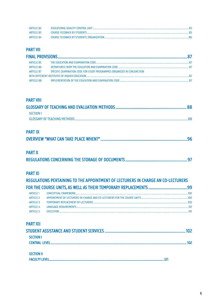| ARTICLE 82 |  |
|------------|--|
| ARTICLE 83 |  |
| ARTICLE 84 |  |

### **PART VII**

| ARTICLE 85        |                                                                         |  |
|-------------------|-------------------------------------------------------------------------|--|
| ARTICLE 86        |                                                                         |  |
| <b>ARTICLE 87</b> | SPECIFIC EXAMINATION CODE FOR STUDY PROGRAMMES ORGANIZED IN CONJUNCTION |  |
|                   |                                                                         |  |
| ARTICLE 88        |                                                                         |  |
|                   |                                                                         |  |

### **PART VIII**

| <b>SECTION L</b> |  |
|------------------|--|
|                  |  |

### **PART IX**

### **PART X**

|--|--|--|

### **PART XI**

| REGULATIONS PERTAINING TO THE APPOINTMENT OF LECTURERS IN CHARGE AN CO-LECTURERS |  |     |
|----------------------------------------------------------------------------------|--|-----|
|                                                                                  |  | 99  |
| <b>ARTICLE 1</b>                                                                 |  | 100 |
| ARTICLE 2                                                                        |  | 100 |
| <b>ARTICLE 3</b>                                                                 |  | 100 |
| <b>ARTICLE 4</b>                                                                 |  |     |
| <b>ARTICLE 5</b>                                                                 |  |     |
|                                                                                  |  |     |
|                                                                                  |  |     |

### **PART XII**

| <b>SECTION L</b>  |  |
|-------------------|--|
| CENTRAL LEVEL.    |  |
|                   |  |
| <b>SECTION II</b> |  |

| <b>FACULTY LEVEL</b> |
|----------------------|
|----------------------|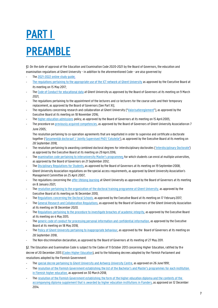# PART I PREAMBLE

§1. On the date of approval of the Education and Examination Code 2020-2021 by the Board of Governors, the education and examination regulations at Ghent University - in addition to the aforementioned Code - are also governed by:

- The [2021-2022 online study guide;](https://studiekiezer.ugent.be/en/zoek)
- [The regulations pertaining to the appropriate use of the ICT network at Ghent University](https://helpdesk.ugent.be/account/en/regels.php) as approved by the Executive Board at its meeting on 15 May 2017;
- Th[e Code of Conduct for educational data](https://codex.ugent.be/?regid=REG000233&lang=en) at Ghent University as approved by the Board of Governors at its meeting on 9 March 2021;
- The regulations pertaining to the appointment of the lecturers and co-lecturers for the course units and their temporary replacement, as approved by the Board of Governors (See Part XI);
- The regulations concerning research and collaboration at Ghent University ("[Valorisatiereglement](https://codex.ugent.be/?regid=REG000101)"), as approved by the Executive Board at its meeting on 18 November 2016;
- Th[e higher education admissions](https://onderwijs.vlaanderen.be/nl/toelatingsvoorwaarden-hoger-onderwijs) policy, as approved by the Board of Governors at its meeting on 15 April 2005;
- The procedure on [previously acquired competencies,](http://augent.be/wp-content/uploads/files/EVC_KAND_2_GidsVoorDeKandidaat.pdf) as approved by the Board of Governors of Ghent University Association on 7 June 2005;

The resolution pertaining to co-operation agreements that are negotiated in order to supervise and certificate a doctorate together ('[Gezamenlijk](https://codex.ugent.be/?regid=REG000084) doctoraat' / 'Jointly Supervised PhD'/ 'Cotutelle'), as approved by the Executive Board at its meeting on 28 September 2018;

- The resolution pertaining to awarding combined doctoral degrees for interdisciplinary doctorates [\('Interdisciplinary Doctorate'\)](https://codex.ugent.be/?regid=REG000089) as approved by the Executive Board at its meeting on 29 April 2016;
- The [examination code pertaining to interuniversity Master's programme](https://codex.ugent.be/?regid=REG000069)s for which students can enrol at multiple universities, as approved by the Board of Governors on 21 September 2012;
- The [Disciplinary Regulations for Students,](https://codex.ugent.be/?regid=REG000152) as approved by the Board of Governors at its meeting on 19 September 2008;
- Ghent University Association regulations on the special access requirements, as approved by Ghent University Association's Management Committee on 25 April 2007;
- The regulations concerning the [offer lifelong learning](https://codex.ugent.be/?regid=REG000228&lang=en) at Ghent University as approved by the Board of Governors at its meeting on 8 January 2021;
- The [resolution pertaining to the organization of the doctoral training programme at Ghent University,](https://codex.ugent.be/?regid=REG000083&lang=NL) as approved by the Executive Board at its meeting on 16 December 2010;
- The [Regulations concerning the Doctoral Schools,](https://codex.ugent.be/?regid=REG000087&lang=NL) as approved by the Executive Board at its meeting on 17 February 2017;
- The [General Research and Collaboration Regulations,](https://codex.ugent.be/?regid=REG000057&lang=NL) as approved by the Board of Governors of the Ghent University Association at its meeting on 18 December 2020.
- The [Regulations pertaining to the procedure to investigate breaches of academic integrity,](https://www.ugent.be/nl/univgent/waarvoor-staat-ugent/onderzoeksbeleid/integriteit/cwi-procedure.pdf/at_download/file) as approved by the Executive Board at its meeting on 4 May 2015.
- Th[e generic code of conduct for processing personal information and confidential information,](https://codex.ugent.be/?regid=REG000155&lang=NL) as approved by the Executive Board at its meeting on 18 May 2018;
- Th[e Policy of Ghent University pertaining to inappropriate behaviour,](https://www.ugent.be/intranet/nl/op-het-werk/welzijn/psychosociaal-welzijn) as approved by the Board of Governors at its meeting on 28 September 2018..
- The Non-discrimination declaration, as approved by the Board of Governors at its meeting of 27 May 2011.

§2. The Education and Examination Code is subject to the Codex of 11 October 2013 concerning Higher Education, ratified by the decree of 20 December 2013 [\(Codex Higher Education\)](https://data-onderwijs.vlaanderen.be/edulex/document.aspx?docid=14650), and to the following decrees adopted by the Flemish Parliament and resolutions adopted by the Flemish Government:

- The [special decree pertaining to Ghent University and Antwerp University Centre,](http://data-onderwijs.vlaanderen.be/edulex/document.aspx?docid=12847) as approved on 26 June 1991;
- The resolution of the Flemish Government establishing the list of the Bachelor's and Master's programmes for each institution [in Flemish higher education,](http://data-onderwijs.vlaanderen.be/edulex/document.aspx?docid=15050) as approved on 30 March 2018;
- The resolution of the Flemish Government establishing the form of the higher education diploma and the contents of the [accompanying diploma supplement that is awarded by higher education institutions in Flanders,](http://data-onderwijs.vlaanderen.be/edulex/document.aspx?docid=14770) as approved on 12 December 2014.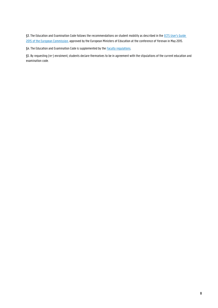§3. The Education and Examination Code follows the recommendations on student mobility as described in the ECTS User's Guide [2015 of the European Commission,](https://op.europa.eu/en/publication-detail/-/publication/da7467e6-8450-11e5-b8b7-01aa75ed71a1) approved by the European Ministers of Education at the conference of Yerevan in May 2015.

§4. The Education and Examination Code is supplemented by the **Faculty requlations**.

§5. By requesting (re-) enrolment, students declare themselves to be in agreement with the stipulations of the current education and examination code.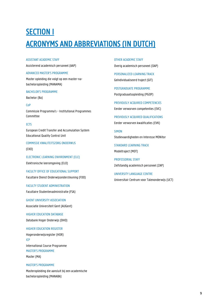# **SECTION I** ACRONYMS AND ABBREVIATIONS (IN DUTCH)

ASSISTANT ACADEMIC STAFF Assisterend academisch personeel (AAP)

### ADVANCED MASTER'S PROGRAMME

Master opleiding die volgt op een master-nabacheloropleiding (MANAMA)

### BACHELOR'S PROGRAMME

Bachelor (Ba)

### CoP

Commissie Programma's - Institutional Programmes Committee

### ECTS

European Credit Transfer and Accumulation System Educational Quality Control Unit

COMMISSIE KWALITEITSZORG ONDERWIJS (CKO)

ELECTRONIC LEARNING ENVIRONMENT (ELE) Elektronische leeromgeving (ELO)

FACULTY OFFICE OF EDUCATIONAL SUPPORT Facultaire Dienst Onderwijsondersteuning (FDO)

FACULTY STUDENT ADMINISTRATION

Facultaire Studentenadministratie (FSA)

GHENT UNIVERSITY ASSOCIATION Associatie Universiteit Gent (AUGent)

HIGHER EDUCATION DATABASE Databank Hoger Onderwijs (DHO)

### HIGHER EDUCATION REGISTER

Hogeronderwijsregister (HOR) ICP International Course Programme MASTER'S PROGRAMME

Master (MA)

### MASTER'S PROGRAMME

Masteropleiding die aansluit bij een academische bacheloropleiding (MANABA)

OTHER ACADEMIC STAFF Overig academisch personeel (OAP)

PERSONALIZED LEARNING TRACK Geïndividualiseerd traject (GIT)

POSTGRADUATE PROGRAMME Postgraduaatsopleiding (PGOP)

PREVIOUSLY ACQUIRED COMPETENCIES Eerder verworven competenties (EVC)

PREVIOUSLY ACQUIRED QUALIFICATIONS

Eerder verworven kwalificaties (EVK)

SIMON Studievaardigheden en Interesse MONitor

STANDARD LEARNING TRACK Modeltraject (MOT)

PROFESSORIAL STAFF Zelfstandig academisch personeel (ZAP)

UNIVERSITY LANGUAGE CENTRE Universitair Centrum voor Talenonderwijs (UCT)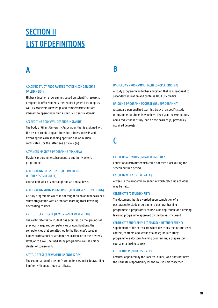# **SECTION II** LIST OF DEFINITIONS

# A

### ACADEMIC STUDY PROGRAMMES (ACADEMISCH GERICHTE OPLEIDINGEN)

Higher education programmes based on scientific research, designed to offer students the required general training, as well as academic knowledge and competencies that are inherent to operating within a specific scientific domain.

### ACCREDITING BODY (VALIDERENDE INSTANTIE)

The body of Ghent University Association that is assigned with the task of conducting aptitude and admission tests and awarding the corresponding aptitude and admission certificates (for the latter, see article 5 §6).

### ADVANCED MASTER'S PROGRAMME (MANAMA)

Master's programme subsequent to another Master's programme.

### ALTERNATING COURSE UNIT (ALTERNEREND OPLEIDINGSONDERDEEL)

Course unit which is not taught on an annual basis.

### ALTERNATING STUDY PROGRAMME (ALTERNERENDE OPLEIDING)

A study programme which is not taught on an annual basis or a study programme with a standard learning track involving alternating courses.

### APTITUDE CERTIFICATE (BEWIJS VAN BEKWAAMHEID)

The certificate that a student has acquired, on the grounds of previously acquired competencies or qualifications, the competencies that are attached to the Bachelor's level in higher professional or academic education, or to the Master's level, or to a well-defined study programme, course unit or cluster of course units.

### APTITUDE TEST (BEKWAAMHEIDSONDERZOEK)

The examination of a person's competencies, prior to awarding him/her with an aptitude certificate.

### B

#### BACHELOR'S PROGRAMME (BACHELOROPLEIDING, BA)

A study programme in higher education that is subsequent to secondary education and contains 180 ECTS credits.

#### BRIDGING PROGRAMME/COURSE (BRUGPROGRAMMA)

A standard personalized learning track of a specific study programme for students who have been granted exemptions and a reduction in study load on the basis of (a) previously acquired degree(s).

C

#### CATCH-UP ACTIVITIES (INHAALACTIVITEITEN)

Educational activities which could not take place during the scheduled time period.

#### CATCH-UP WEEK (INHAALWEEK)

A week in the academic calendar in which catch-up activities may be held.

### CERTIFICATE (GETUIGSCHRIFT)

The document that is awarded upon completion of a postgraduate study programme, a doctoral training programme, a preparatory course, a linking course or a lifelong learning programme approved by the University Board.

#### CERTIFICATE SUPPLEMENT (GETUIGSCHRIFTSUPPLEMENT)

Supplement to the certificate which describes the nature, level, context, contents and status of a postgraduate study programme, a doctoral training programme, a preparatory course or a linking course.

### CO-LECTURER (MEDELESGEVER)

Lecturer appointed by the Faculty Council, who does not have the ultimate responsibility for the course unit concerned.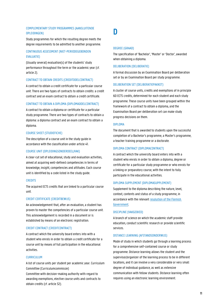### COMPLEMENTARY STUDY PROGRAMMES (AANSLUITENDE OPLEIDINGEN)

Study programmes for which the resulting degree meets the degree requirements to be admitted to another programme.

### CONTINUOUS ASSESSMENT (NIET-PERIODEGEBONDEN EVALUATIE)

(Usually several) evaluation(s) of the students' study performance throughout the term or the academic year (cf. article 2).

### CONTRACT TO OBTAIN CREDITS (CREDITDOELCONTRACT)

A contract to obtain a credit certificate for a particular course unit. There are two types of contracts to obtain credits: a credit contract and an exam contract to obtain a credit certificate.

### CONTRACT TO OBTAIN A DIPLOMA (DIPLOMADOELCONTRACT)

A contract to obtain a diploma or certificate for a particular study programme. There are two types of contracts to obtain a diploma: a diploma contract and an exam contract to obtain a diploma.

### COURSE SHEET (STUDIEFICHE)

The description of a course unit in the study guide in accordance with the classification under article 41.

### COURSE UNIT (OPLEIDINGSONDERDEEL/VAK)

A clear-cut set of educational, study and evaluation activities, aimed at acquiring well-defined competencies in terms of knowledge, insight, competencies and attitudes. Each course unit is identified by a code listed in the study guide.

### **CREDITS**

The acquired ECTS credits that are linked to a particular course unit.

### CREDIT CERTIFICATE (CREDITBEWIJS)

An acknowledgement that, after an evaluation, a student has proven to master the competencies of a particular course unit. This acknowledgement is recorded in a document or is established by means of an electronic registration.

### CREDIT CONTRACT (CREDITCONTRACT)

A contract which the university board enters into with a student who enrols in order to obtain a credit certificate for a course unit by means of full participation in the educational activities.

### CURRICULUM

A list of course units per student per academic year. Curriculum Committee (Curriculumcommissie)

Committee with decision-making authority with regard to awarding exemptions, elective course units and contracts to obtain credits (cf. article 32).

# D

#### DEGREE (GRAAD)

The specification of 'Bachelor', 'Master' or 'Doctor', awarded when obtaining a diploma.

### DELIBERATION (DELIBERATIE)

A formal discussion by an Examination Board per deliberation set or by an Examination Board per study programme.

### DELIBERATION SET (DELIBERATIEPAKKET)

A cluster of course units, credits and exemptions of in principle 60 ECTS credits, determined for each student and each study programme. These course units have been grouped within the framework of a contract to obtain a diploma, and the Examination Board per deliberation set can make study progress decisions on them.

#### DIPLOMA

The document that is awarded to students upon the successful completion of a Bachelor's programme, a Master's programme, a teacher training programme or a doctorate.

### DIPLOMA CONTRACT (DIPLOMACONTRACT)

A contract which the university board enters into with a student who enrols in order to obtain a diploma, degree or certificate for a particular study programme or who enrols for a linking or preparatory course, with the intent to fully participate in the educational activities.

### DIPLOMA SUPPLEMENT (DIPLOMASUPPLEMENT)

Supplement to the diploma describing the nature, level, context, contents and status of a study programme, in accordance with the relevan[t resolution of the Flemish](https://data-onderwijs.vlaanderen.be/edulex/document.aspx?docid=14770) [Government.](https://data-onderwijs.vlaanderen.be/edulex/document.aspx?docid=14770)

### DISCIPLINE (VAKGEBIED)

A branch of science on which the academic staff provide education, conduct scientific research or provide scientific services.

#### DISTANCE LEARNING (AFSTANDSONDERWIJS)

Mode of study in which students go through a learning process for a comprehensive self-contained course or study programme. Distance learning allows the student and the supervisor/organizer of the learning process to be in different locations, and it can involve a very considerable or very small degree of individual guidance, as well as extensive communication with fellow students. Distance learning often requires using an electronic learning environment.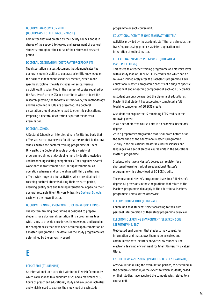### DOCTORAL ADVISORY COMMITTEE (DOCTORAATSBEGELEIDINGSCOMMISSIE)

Committee that was created by the Faculty Council and is in charge of the support, follow-up and assessment of doctoral students throughout the course of their study and research period.

### DOCTORAL DISSERTATION (DOCTORAATSPROEFSCHRIFT)

The dissertation is a text document that demonstrates the doctoral student's ability to generate scientific knowledge on the basis of independent scientific research, either in one specific discipline (the Arts included) or across various disciplines. It is submitted in the number of copies required by the Faculty (cf. article 93) in a text file, in which at least the research question, the theoretical framework, the methodology and the obtained results are presented. The doctoral dissertation should be able to lead to scientific publications. Preparing a doctoral dissertation is part of the doctoral examination.

### DOCTORAL SCHOOL

A Doctoral School is an interdisciplinary facilitating body that offers a clear-cut framework for all matters related to doctoral studies. Within the doctoral training programme of Ghent University, the Doctoral Schools provide a variety of programmes aimed at developing more in-depth knowledge and broadening existing competencies. They organize several workshops in transferable skills, set up international cooperation schemes and partnerships with third parties, and offer a wide range of other activities, which are all aimed at coaching doctoral students during their research period, ensuring quality care and lending international appeal to their doctoral research. Ghent University has five **Doctoral Schools**, each with their own director.

### DOCTORAL TRAINING PROGRAMME (DOCTORAATSOPLEIDING)

The doctoral training programme is designed to prepare students for a doctoral dissertation. It is a programme type which aims to provide more in-depth knowledge and broaden the competencies that have been acquired upon completion of a Master's programme. The details of the study programme are determined by the university board.

# E

### ECTS CREDIT (STUDIEPUNT)

An international unit, accepted within the Flemish Community, which corresponds to a minimum of 25 and a maximum of 30 hours of prescribed educational, study and evaluation activities and which is used to express the study load of each study

programme or each course unit.

#### EDUCATIONAL ACTIVITIES (ONDERWIJSACTIVITEITEN)

Activities provided by the academic staff that are aimed at the transfer, processing, practice, assisted application and integration of subject matter.

### EDUCATIONAL MASTER'S PROGRAMME (EDUCATIEVE MASTEROPLEIDING)

This refers to a teacher training programme at a Master's level with a study load of 90 or 120 ECTS credits and which can be followed immediately after the Bachelor's programme. Each educational Master's programme consists of a subject-specific component and a teaching component of each 45 ECTS credits.

A student can only be awarded the diploma of educational Master if that student has successfully completed a full teaching component of 60 ECTS credits.

A student can acquire the 15 remaining ECTS credits in the following ways:

1° as a set of elective course units in an academic Bachelor's degree;

2° in a preparatory programme that is followed before or at the same time as the educational Master's programme; 3° only in the educational Master in cultural sciences and languages: as a set of elective course units in the educational Master's programme.

Students who have a Master's degree can register for a shortened learning track of an educational Master's programme with a study load of 60 ECTS credits.

The educational Master's programme leads to a full Master's degree. All provisions in these regulations that relate to the Master's programme also apply to the educational Master's programme, unless stated otherwise.

### ELECTIVE COURSE UNIT (KEUZEVAK)

Course unit that students select according to their own personal interpretation of their study programme overview.

### ELECTRONIC LEARNING ENVIRONMENT (ELEKTRONISCHE LEEROMGEVING, ELO)

Web-based environment that students may consult for information, and that allows them to do exercises and communicate with lecturers and/or fellow students. The electronic learning environment for Ghent University is called Ufora.

### END-OF-TERM ASSESSMENT (PERIODEGEBONDEN EVALUATIE)

Any evaluation during the examination periods, as scheduled in the academic calendar, of the extent to which students, based on their studies, have acquired the competencies related to a course unit.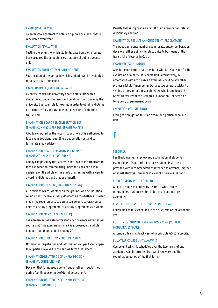#### ENROL (INSCHRIJVEN)

To enter into a contract to obtain a diploma or credits that is renewable every year.

### EVALUATION (EVALUATIE)

Testing the extent to which students, based on their studies, have acquired the competencies that are set out in a course unit.

### EVALUATION MOMENT (EVALUATIEMOMENT)

Specification of the period in which students can be evaluated for a particular course unit.

#### EXAM CONTRACT (EXAMENCONTRACT)

A contract which the university board enters into with a student who, under the terms and conditions laid down by the university board, enrols for exams, in order to obtain a diploma or certificate for a programme or a credit certificate for a course unit.

### EXAMINATION BOARD PER DELIBERATION SET (EXAMENCOMMISSIE PER DELIBERATIEPAKKET)

A body composed by the Faculty Council which is authorized to take exam decisions regarding a deliberation set and to formulate study advice.

### EXAMINATION BOARD PER STUDY PROGRAMME (EXAMENCOMMISSIE PER OPLEIDING)

A body composed by the Faculty Council which is authorized to take examination-related disciplinary decisions and exam decisions on the whole of the study programme with a view to awarding diplomas and grades of merit.

#### EXAMINATION DECISION (EXAMENBESLISSING)

All decisions which, whether on the grounds of a deliberation round or not, involve a final judgement as to whether a student meets the requirements to pass a course unit, several course units of a study programme, or a study programme as a whole.

#### EXAMINATION MARK (EXAMENCIJFER)

The assessment of a student's study performance as tested per course unit. This examination mark is expressed as a whole number from 0 up to and including 20.

### EXAMINATION OFFICE (EXAMENSECRETARIAAT)

Notification, registration and information cell per Faculty open to all parties involved in the end-of-term assessment.

### EXAMINATION-RELATED DISCIPLINARY DECISION (EXAMENTUCHTBESLISSING)

Decision that is imposed due to fraud or other irregularities during (continuous or end-of-term) assessment.

EXAMINATION-RELATED DISCIPLINARY MEASURE (EXAMENTUCHTSANCTIE)

Penalty that is imposed as a result of an examination-related disciplinary decision.

#### EXAMINATION RESULTS ANNOUNCEMENT (PROCLAMATIE)

The public announcement of exam results and/or deliberation decisions, either publicly or electronically by means of the transcript of records in Oasis.

#### EXAMINER (EXAMINATOR)

A lecturer-in-charge or a co-lecturer who is responsible for the evaluation of a particular course unit. Alternatively, in accordance with article 76, an examiner could be any other professorial staff member and/or a post-doctoral assistant or visiting professor or a research fellow who is employed at Ghent University or the Research Foundation Flanders on a temporary or permanent basis.

#### EXEMPTION (VRIJSTELLING)

Lifting the obligation to sit an exam for a particular course unit.

F

#### **FEEDBACK**

Feedback involves a review and explanation of students' evaluation(s). As part of this process, students are also provided with recommendations intended to advance, improve or adjust study performance in view of future evaluations.

#### FIELD OF STUDY (STUDIEGEBIED)

A field of study as defined by decree in which study programmes that are related in terms of contents are assembled.

### FIRST-TERM COURSE UNIT (EERSTESEMESTERVAK)

Course unit that is scheduled in the first term of the academic year.

### FULL-TIME STANDARD LEARNING TRACK YEAR (VOLTIJDS MODELTRAJECTJAAR)

A standard learning track year of in principle 60 ECTS credits.

#### FULL-YEAR COURSE UNIT (JAARVAK)

Course unit which is scheduled over the two terms of one academic year, interrupted by a catch-up week and the examination period of the first term.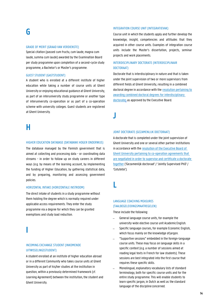# G

#### GRADE OF MERIT (GRAAD VAN VERDIENSTE)

Special citation (passed cum fructu, cum laude, magna cum laude, summa cum laude) awarded by the Examination Board per study programme upon completion of a second-cycle study programme, a Bachelor's or Master's programme.

### GUEST STUDENT (GASTSTUDENT)

A student who is enrolled at a different institute of higher education while taking a number of course units at Ghent University or enjoying educational guidance at Ghent University, as part of an interuniversity study programme or another type of interuniversity co-operation or as part of a co-operation scheme with university colleges. Guest students are registered at Ghent University.

## H

#### HIGHER EDUCATION DATABASE (DATABANK HOGER ONDERWIJS)

The database managed by the Flemish government that is aimed at collecting and processing data - or coordinating data streams - in order to follow up on study careers in different ways (e.g. by means of the learning account, by implementing the funding of Higher Education, by gathering statistical data, and by preparing, monitoring and assessing government policies.

### HORIZONTAL INTAKE (HORIZONTALE INSTROOM)

The direct intake of students in a study programme without them holding the degree which is normally required under applicable access requirements. They enter the study programme via a degree for which they can be granted exemptions and study load reduction.

I

### INCOMING EXCHANGE STUDENT (INKOMENDE UITWISSELINGSSTUDENT)

A student enrolled at an institute of higher education abroad or in a different Community who takes course units at Ghent University as part of his/her studies at the institution in question, within a previously determined framework (cf. Learning Agreement) between the institution, the student and Ghent University.

#### INTEGRATION COURSE UNIT (INTEGRATIEVAK)

Course unit in which the students apply and further develop the knowledge, insight, competencies and attitudes that they acquired in other course units. Examples of integration course units include the Master's dissertation, projects, seminar projects and work placements.

### INTERDISCIPLINARY DOCTORATE (INTERDISCIPLINAIR DOCTORAAT)

Doctorate that is interdisciplinary in nature and that is taken under the joint supervision of two or more supervisors from different fields at Ghent University, resulting in a combined doctoral degree in accordance with th[e resolution pertaining to](https://www.ugent.be/intranet/nl/reglementen/onderwijs/reglementen/gecombineerde_doctorstitels_interdisciplinaire_doctoraten/at_download/file)  [awarding combined doctoral degrees for interdisciplinary](https://www.ugent.be/intranet/nl/reglementen/onderwijs/reglementen/gecombineerde_doctorstitels_interdisciplinaire_doctoraten/at_download/file)  [doctorates](https://www.ugent.be/intranet/nl/reglementen/onderwijs/reglementen/gecombineerde_doctorstitels_interdisciplinaire_doctoraten/at_download/file) as approved by the Executive Board.

J

### JOINT DOCTORATE (GEZAMENLIJK DOCTORAAT)

A doctorate that is completed under the joint supervision of Ghent University and one or several other partner institutions in accordance with th[e resolution of the Executive Board of](https://codex.ugent.be/?regid=REG000084&lang=NL)  [Ghent University pertaining to co-operation agreements that](https://codex.ugent.be/?regid=REG000084&lang=NL)  [are negotiated in order to supervise and certificate a doctorate](https://codex.ugent.be/?regid=REG000084&lang=NL)  [together](https://codex.ugent.be/?regid=REG000084&lang=NL) ('Gezamenlijk doctoraat' / 'Jointly Supervised PhD' / 'Cotutelle').

L

### LANGUAGE COACHING MEASURES (TAALBEGELEIDINGSMAATREGELEN)

These include the following:

- − General language course units, for example the university-wide elective course unit AcademicEnglish.
- − Specific language courses, for example Economic English, which focus mainly on the knowledge ofjargon.
- − "Supportive sessions" embedded in the foreign-language course units. These may focus on language skills in a specific context (e.g. a number of sessions aimed at reading legal texts in French for law students). These sessions are best integrated into the first course that requires these specific skills.
- − Monolingual, explanatory vocabulary lists of standard terminology, both for specific course units and for the entire study programme. This will enable students to learn specific jargon, in Dutch as well as the standard language of the discipline concerned.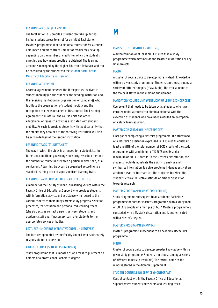#### LEARNING ACCOUNT (LEERKREDIET)

The total set of ECTS credits a student can take up during his/her student career to enrol for an initial Bachelor or Master's programme under a diploma contract or for a course unit under a credit contract. This set of credits may develop depending on the number of credits for which the student is enrolling and how many credits are obtained. The learning account is managed by the Higher Education Database and can be consulted by the student via th[e student portal](http://studentenportaal.be/) of the [Ministry of Education and Training.](http://studentenportaal.be/)

#### LEARNING AGREEMENT

A formal agreement between the three parties involved in student mobility (i.e. the students, the sending institution and the receiving institution (or organization or company)), who facilitate the organization of student mobility and the recognition of credits obtained in this context. The Learning Agreement stipulates all the course units and other educational or research activities associated with student mobility. As such, it provides students with legal certainty that the credits they obtained at the receiving institution will also be acknowledged at the sending institution.

#### LEARNING TRACK (STUDIETRAJECT)

The way in which the study is arranged for a student, i.e. the terms and conditions governing study progress (the order and the number of course units within a particular time span) of a curriculum. A learning track can be organized according to a standard learning track or a personalized learning track.

### LEARNING TRACK COUNSELLOR (TRAJECTBEGELEIDER)

A member of the Faculty Student Counselling Service within the Faculty Office of Educational Support who provides students with information, advice, and assistance with regard to the various aspects of their study career: study progress, selection processes, reorientation and personalized learning tracks. S/he also acts as contact persons between students and academic staff and, if necessary, can refer students to the appropriate services or bodies.

### LECTURER-IN-CHARGE (VERANTWOORDELIJK LESGEVER)

The lecturer appointed by the Faculty Council who is ultimately responsible for a course unit.

#### LINKING COURSE (SCHAKELPROGRAMMA)

Study programme that is imposed as an access requirement on holders of a professional Bachelor's degree.

# M

#### MAIN SUBJECT (AFSTUDEERRICHTING)

A differentiation of at least 30 ECTS credits in a study programme which may include the Master's dissertation or any final projects.

### MAJOR

A cluster of course units to develop more in-depth knowledge within a given study programme. Students can choose among a variety of different majors (if available). The official name of the major is stated in the diploma supplement.

#### MANDATORY COURSE UNIT (VERPLICHT OPLEIDINGSONDERDEEL)

Course unit that needs to be taken by all students who have enrolled under a contract to obtain a diploma, with the exception of students who have been awarded an exemption or a study load reduction.

#### MASTER'S DISSERTATION (MASTERPROEF)

Final paper completing a Master's programme. The study load of a Master's dissertation expressed in ECTS credits equals at least one fifth of the total number of ECTS credits of the study programme, with a minimum of 15 ECTS credits and a maximum of 30 ECTS credits. In the Master's dissertation, the student should demonstrate the ability to analyse and synthesize information, to solve problems independently at an academic level, or to create art. The project is to reflect the student's critical, reflective attitude or his/her disposition towards research.

#### MASTER'S PROGRAMME (MASTEROPLEIDING)

Study programme subsequent to an academic Bachelor's programme or another Master's programme, with a study load of 60 ECTS credits or a multiple of 60. A Master's programme is concluded with a Master's dissertation and is authenticated with a Master's degree.

#### MASTER'S PROGRAMME (MANABA)

Master's programme subsequent to an academic Bachelor's programme.

### MINOR

Cluster of course units to develop broader knowledge within a given study programme. Students can choose among a variety of different minors (if available). The official name of the minor is stated in the diploma supplement.

#### STUDENT COUNSELLING SERVICE (MONITORAAT)

Central contact within the Faculty Office of Educational Support where student counsellors and learning track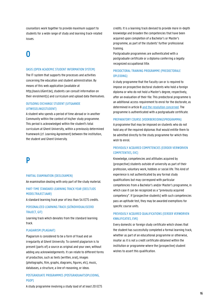counsellors work together to provide maximum support to students for a wide range of study and learning track-related issues.

# O

#### OASIS (OPEN ACADEMIC STUDENT INFORMATION SYSTEM)

The IT-system that supports the processes and activities concerning the education and student administration. By means of this web application (available at http://oasis.UGent.be), students can consult information on their enrolment(s) and curriculum and upload data themselves.

### OUTGOING EXCHANGE STUDENT (UITGAANDE UITWISSELINGSSTUDENT)

A student who spends a period of time abroad or in another Community within the context of his/her study programme. This period is acknowledged within the student's total curriculum at Ghent University, within a previously determined framework (cf. Learning Agreement) between the institution, the student and Ghent University.

# P

#### PARTIAL EXAMINATION (DEELEXAMEN)

An examination dealing with only part of the study material.

### PART-TIME STANDARD LEARNING TRACK YEAR (DEELTIJDS MODELTRAJECTJAAR)

A standard learning track year of less than 54 ECTS credits.

### PERSONALIZED LEARNING TRACK (GEÏNDIVIDUALISEERD TRAJECT, GIT)

Learning track which deviates from the standard learning track.

### PLAGIARISM (PLAGIAAT)

Plagiarism is considered to be a form of fraud and an irregularity at Ghent University. To commit plagiarism is to present (parts of) a source as original and your own, without adding any acknowledgements. It can relate to different forms of production, such as texts (written, oral), images (photographs, film, graphs, diagrams, figures, etc), music, databases, a structure, a line of reasoning, or ideas.

### POSTGRADUATE PROGRAMMES (POSTGRADUAATSOPLEIDING, PGOP)

A study programme involving a study load of at least 20 ECTS

credits. It is a learning track devised to provide more in-depth knowledge and broaden the competencies that have been acquired upon completion of a Bachelor's or Master's programme, as part of the students' further professional training.

Postgraduate programmes are authenticated with a postgraduate certificate or a diploma conferring a legally recognized occupational title.

### PREDOCTORAL TRAINING PROGRAMME (PREDOCTORALE OPLEIDING)

A study programme that the Faculty can or is required to impose on prospective doctoral students who hold a foreign diploma or who do not hold a Master's degree, respectively, after an evaluation of their file. This predoctoral programme is an additional access requirement to enrol for the doctorate, as determined in article [8 and the resolution concerned.](https://codex.ugent.be/?regid=REG000074&lang=NL) The programme is authenticated with a postgraduate certificate.

#### PREPARATORY COURSE (VOORBEREIDINGSPROGRAMMA)

A programme that may be imposed on students who do not hold any of the required diplomas that would entitle them to be admitted directly to the study programme for which they wish to enrol.

### PREVIOUSLY ACQUIRED COMPETENCIES (EERDER VERWORVEN COMPETENTIES, EVC)

Knowledge, competencies and attitudes acquired by (prospective) students outside of university as part of their profession, voluntary work, hobbies or social life. This kind of experience is not authenticated by any formal study qualifications but may correspond with particular competencies from a Bachelor's and/or Master's programme, in which case it can be recognized as a "previously acquired competency". If (prospective students) with such competencies pass an aptitude test, they may be awarded exemptions for specific course units.

### PREVIOUSLY ACQUIRED QUALIFICATIONS (EERDER VERWORVEN KWALIFICATIES, EVK)

Every domestic or foreign study certificate which shows that the student has successfully completed a formal learning track, whether as part of an educational programme or otherwise, insofar as it is not a credit certificate obtained within the institution or programme where the (prospective) student wishes to assert this qualification.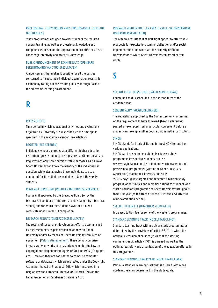### PROFESSIONAL STUDY PROGRAMMES (PROFESSIONEEL GERICHTE OPLEIDINGEN)

Study programmes designed to offer students the required general training, as well as professional knowledge and competencies, based on the application of scientific or artistic knowledge, creativity and practical knowledge.

### PUBLIC ANNOUNCEMENT OF EXAM RESULTS (OPENBARE BEKENDMAKING VAN STUDIERESULTATEN)

Announcement that makes it possible for all the parties concerned to inspect their individual examination results, for example by calling out the results publicly, through Oasis or the electronic learning environment.

# R

### RECESS (RECES)

Time period in which educational activities and evaluations organized by University are suspended, cf. the time spans specified in the academic calendar (see article 2).

### REGISTER (REGISTREREN)

Individuals who are enrolled at a different higher education institution (guest students) are registered at Ghent University. Registrations only serve administrative purposes, as it allows Ghent University top know the identity of the individuals in question, while also allowing these individuals to use a number of facilities that are available to Ghent University students.

### REGULAR COURSE UNIT (REGULIER OPLEIDINGSONDERDEEL)

Course unit approved by the Executive Board (or by the Doctoral School Board, if the course unit is taught by a Doctoral School) and for which the student is awarded a credit certificate upon successful completion.

### RESEARCH RESULTS (ONDERZOEKSRESULTATEN)

The results of research or development efforts, accomplished by the researchers as part of their relation with Ghent University and/or by means of Ghent University resources or equipment [\(Valorisatiereglement\)](https://codex.ugent.be/?regid=REG000101). These do not comprise literary works or works of art as intended under the Law on Copyright and Neighbouring Rights of 30 June 1994 ('Copyright Act'). However, they are considered to comprise computer software or databases which are protected under the Copyright Act and/or the Act of 31 August 1998 which transposed into Belgian law the European Directive of 11 March 1996 on the Legal Protection of Databases ('Database Act').

### RESEARCH RESULTS THAT CAN CREATE VALUE (VALORISEERBARE ONDERZOEKSRESULTATEN)

The research results that at first sight appear to offer viable prospects for exploitation, commercialization and/or social implementation and which are the property of Ghent University or to which Ghent University can assert certain rights.

S

### SECOND-TERM COURSE UNIT (TWEEDESEMESTERVAK)

Course unit that is scheduled in the second term of the academic year.

### SEQUENTIALITY (VOLGTIJDELIJKHEID)

The regulations approved by the Committee for Programmes on the requirement to have followed, (been declared as) passed, or exempted from a particular course unit before a student can take up another course unit in his/her curriculum.

#### SIMON

SIMON stands for Study skills and Interest MONitor and has various applications.

SIMON can be used to help students choose a study programme. Prospective students can use www.vraaghetaansimon.be to find out which academic and professional programmes (within the Ghent University Association) match their interests and skills. "SIMON says" gives targeted and repeated advice on study progress, opportunities and remedial options to students who start a Bachelor's programme at Ghent University throughout

their first year (at the start, after the first term and after the resit examination period).

### SPECIAL TUITION FEE (BIJZONDER STUDIEGELD)

Increased tuition fee for some of the Master's programmes.

### STANDARD LEARNING TRACK (MODELTRAJECT, MOT)

Standard learning track within a given study programme, as determined by the provisions of article 38, 4°, in which the optimal succession of courses (in view of the starting competencies cf. article 41,10°) is pursued, as well as the optimal feasibility and organization of the education offered in this programme.

### STANDARD LEARNING TRACK YEAR (MODELTRAJECTJAAR)

Part of a standard learning track that is offered within one academic year, as determined in the study guide.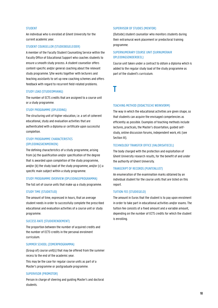#### **STUDENT**

An individual who is enrolled at Ghent University for the current academic year.

### STUDENT COUNSELLOR (STUDIEBEGELEIDER)

A member of the Faculty Student Counselling Service within the Faculty Office of Educational Support who coaches students to ensure a smooth study process. A student counsellor offers content-specific and/or general coaching about the relevant study programme. S/he works together with lecturers and teaching assistants to set up new coaching schemes and offers feedback with regard to recurrent field-related problems.

#### STUDY LOAD (STUDIEOMVANG)

The number of ECTS credits that are assigned to a course unit or a study programme.

### STUDY PROGRAMME (OPLEIDING)

The structuring unit of higher education, i.e. a set of coherent educational, study and evaluation activities that are authenticated with a diploma or certificate upon successful completion.

### STUDY PROGRAMME CHARACTERISTICS (OPLEIDINGSKENMERKEN)

The defining characteristics of a study programme, arising from (a) the qualification and/or specification of the degree that is awarded upon completion of the study programme, and/or (b) the study load of the study programme, and/or (c) a specific main subject within a study programme.

#### STUDY PROGRAMME OVERVIEW (OPLEIDINGSPROGRAMMA)

The full set of course units that make up a study programme.

#### STUDY TIME (STUDIETIJD)

The amount of time, expressed in hours, that an average student needs in order to successfully complete the prescribed educational and evaluation activities of a course unit or study programme.

#### SUCCESS RATE (STUDIERENDEMENT)

The proportion between the number of acquired credits and the number of ECTS-credits in the personal enrolment curriculum.

### SUMMER SCHOOL (ZOMERPROGRAMMA)

(Group of) course unit(s) that may be offered from the summer recess to the end of the academic year.

This may be the case for regular course units as part of a Master's programme or postgraduate programme.

#### SUPERVISOR (PROMOTOR)

Person in charge of steering and guiding Master's and doctoral students.

#### SUPERVISOR OF STUDIES (MENTOR)

(Outside) student counsellor who monitors students during their extramural work placement or predoctoral training programme.

### SUPERNUMERARY COURSE UNIT (SURNUMERAIR OPLEIDINGSONDERDEEL)

Course unit taken under a contract to obtain a diploma which is added to the regular study load of the study programme as part of the student's curriculum.

T

### TEACHING METHOD (DIDACTISCHE WERKVORM)

The way in which the educational activities are given shape, so that students can acquire the envisaged competencies as efficiently as possible. Examples of teaching methods include lectures, practicals, the Master's dissertation, guided selfstudy, online discussion forums, independent work, etc (see Section III).

#### TECHNOLOGY TRANSFER OFFICE (VALORISATIECEL)

The body charged with the protection and exploitation of Ghent University research results, for the benefit of and under the authority of Ghent University.

### TRANSCRIPT OF RECORDS (PUNTENLIJST)

An enumeration of the examination marks obtained by an individual student for the course units that are listed on this report.

#### TUITION FEE (STUDIEGELD)

The amount in Euros that the student is to pay upon enrolment in order to take part in educational activities and/or exams. The tuition fee consists of a fixed amount and a variable amount, depending on the number of ECTS credits for which the student is enrolling.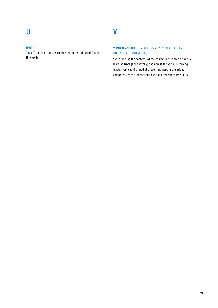V

### UFORA

The official electronic learning environment (ELO) of Ghent University.

### VERTICAL AND HORIZONTAL CONSISTENCY (VERTICALE EN HORIZONTALE COHERENTIE)

Synchronizing the contents of the course units within a specific learning track (horizontally) and across the various learning tracks (vertically), aimed at preventing gaps in the initial competencies of students and overlap between course units.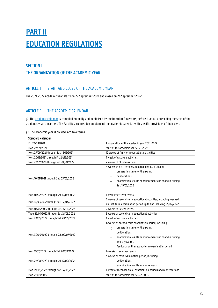# **PART II** EDUCATION REGULATIONS

### SECTION I THE ORGANIZATION OF THE ACADEMIC YEAR

### ARTICLE 1 START AND CLOSE OF THE ACADEMIC YEAR

The 2021-2022 academic year starts on 27 September 2021 and closes on 24 September 2022.

### ARTICLE 2 THE ACADEMIC CALENDAR

§1. The [academic calendar](https://www.ugent.be/student/en/class-exam-exchange-intern/class-exam/academiccalendar) is compiled annually and publicized by the Board of Governors, before 1 January preceding the start of the academic year concerned. The Faculties are free to complement the academic calendar with specific provisions of their own.

| <b>Standard calender</b>                                            |                                                                                   |
|---------------------------------------------------------------------|-----------------------------------------------------------------------------------|
| Fri. 24/09/2021<br>Inauguration of the academic year 2021-2022      |                                                                                   |
| Mon. 27/09/2021                                                     | Start of the academic year 2021-2022                                              |
| Mon. 27/09/2021 through Sat. 18/12/2021                             | 12 weeks of first-term educational activities                                     |
| Mon. 20/12/2021 through Fri. 24/12/2021                             | 1 week of catch-up activities                                                     |
| Mon. 27/12/2020 through Sat. 08/01/2022                             | 2 weeks of Christmas recess                                                       |
|                                                                     | 4 weeks of first-term examination period, including:                              |
|                                                                     | preparation time for the exams<br>$\qquad \qquad -$                               |
| Mon. 10/01/2021 through Sat. 05/02/2022                             | deliberations                                                                     |
|                                                                     | examination results announcements up to and including                             |
|                                                                     | Sat. 19/02/2022                                                                   |
|                                                                     |                                                                                   |
| Mon. 07/02/2022 through Sat. 12/02/2022                             | 1 week inter-term recess                                                          |
| Mon. 14/02/2022 through Sat. 02/04/2022                             | 7 weeks of second-term educational activities, including feedback                 |
|                                                                     | on first-term examination period up to and including 25/02/2022                   |
| 2 weeks of Easter recess<br>Mon. 04/04/2022 through Sat. 16/04/2022 |                                                                                   |
| Thuu. 19/04/2022 through Sat. 21/05/2022                            | 5 weeks of second-term educational activities                                     |
| Mon. 23/05/2022 through Sat. 28/05/2022                             | 1 week of catch-up activities                                                     |
|                                                                     | 6 weeks of second-term examination period, including:                             |
|                                                                     | preparation time for the exams<br>М                                               |
| Mon. 30/05/2022 through Sat. 09/07/2022                             | deliberations<br>$\overbrace{\phantom{1232211}}$                                  |
|                                                                     | examination results announcements up to and including<br>$\overline{\phantom{0}}$ |
|                                                                     | Thu. 07/07/2022                                                                   |
|                                                                     | feedback on the second-term examination period                                    |
| Mon. 11/07/2022 through Sat. 20/08/2022                             | 6 weeks of summer recess                                                          |
|                                                                     | 5 weeks of resit examination period, including:                                   |
| Mon. 22/08/2022 through Sat. 17/09/2022                             | deliberations                                                                     |
|                                                                     | examination results announcements                                                 |
| Mon. 19/09/2022 through Sat. 24/09/2022                             | 1 week of feedback on all examination periods and reorientations                  |
| Mon. 26/09/2022                                                     | Start of the academic year 2022-2023                                              |

§2. The academic year is divided into two terms.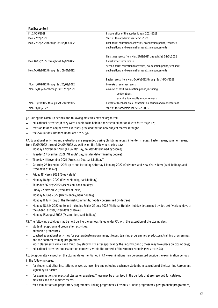| <b>Flexible content</b>                 |                                                                    |
|-----------------------------------------|--------------------------------------------------------------------|
| Fri. 24/09/2021                         | Inauguration of the academic year 2021-2022                        |
| Mon. 27/09/2021                         | Start of the academic year 2021-2022                               |
| Mon. 27/09/2021 through Sat. 05/02/2022 | First-term: educational activities, examination period, feedback,  |
|                                         | deliberations and examination results announcements                |
|                                         | Christmas recess from Mon. 27/12/2021 through Sat. 08/01/2022      |
| Mon. 07/02/2022 through Sat. 12/02/2022 | 1 week inter-term recess                                           |
|                                         | Second-term: educational activities, examination period, feedback, |
| Mon. 14/02/2022 through Sat. 09/07/2022 | deliberations and examination results announcements                |
|                                         |                                                                    |
|                                         | Easter recess from Mon. 04/04/2022 through Sat. 16/04/2022         |
| Mon. 11/07/2022 through Sat. 20/08/2022 | 6 weeks of summer recess                                           |
| Mon. 22/08/2022 through Sat. 17/09/2022 | 4 weeks of resit examination period, including:                    |
|                                         | deliberations                                                      |
|                                         | examination results announcements                                  |
| Mon. 19/09/2022 through Sat. 24/09/2022 | 1 week of feedback on all examination periods and reorientations   |
| Mon. 26/09/2022                         | Start of the academic year 2022-2023                               |

§3. During the catch-up periods, the following activities may be organized:

- educational activities, if they were unable to be held in the scheduled period due to force majeure;
- − revision lessons and/or extra exercises, provided that no new subject matter istaught;
- the evaluations intended under articles 50§4.

§4. Educational activities and evaluations are suspended during Christmas recess, inter-term recess, Easter recess, summer recess, from 19/09/2022 through 24/09/2022, as well as on the following closing days:

- − Monday 1 November 2021 (All Saints' Day, holiday determined bydecree)
- − Tuesday 2 November 2021 (All Souls' Day, holiday determined bydecree)
- − Thursday 11 November 2021 (Armistice Day, bank holiday)]
- − Saturday 25 December 2021 up to and including Saturday 1 January 2022 (Christmas and New Year's Day) (bank holidays and fixed days of leave)
- − Friday 18 March 2022 (Dies Natalis)
- − Monday 18 April 2022 (Easter Monday, bank holiday)
- − Thursday 26 May 2022 (Ascension, bank holiday)
- − Friday 27 May 2022 (fixed day of leave)
- − Monday 6 June 2022 (Whit Monday, bank holiday)
- − Monday 11 July (Day of the Flemish Community, holiday determined by decree)
- − Monday 18 July 2022 up to and including Friday 22 July 2022 (National Holiday, holiday determined by decree) (working days of the Ghent Festival, fixed days of leave)
- − Monday 15 August 2022 (Assumption, bank holiday)

§5. The following activities may be held during the periods listed under §4, with the exception of the closing days:

- student reception and preparation activities,
- − admission procedures,
- − coached educational activities for postgraduate programmes, lifelong learning programmes, predoctoral training programmes and the doctoral training programmes
- − work placements, clinics and multi-day study visits, after approval by the Faculty Council; these may take place on closingdays;
- − educational activities and evaluation moments within the context of the summer schools (see article 44).

§6. Exceptionally – except on the closing dates mentioned in §4 – examinations may be organized outside the examination periods in the following cases:

- − for students at other institutions, as well as incoming and outgoing exchange students, in execution of the Learning Agreement signed by all parties.
- − for examinations on practical classes or exercises. These may be organized in the periods that are reserved for catch-up activities and the summer recess.
- − for examinations on preparatory programmes, linking programmes, Erasmus Mundus programmes, postgraduate programmes,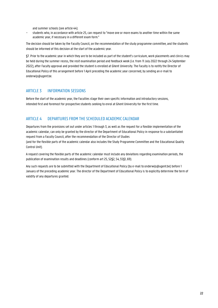and summer schools (see article 44).

students who, in accordance with article 25, can request to "move one or more exams to another time within the same academic year, if necessary in a different exam form."

The decision should be taken by the Faculty Council, on the recommendation of the study programme committee, and the students should be informed of this decision at the start of the academic year.

§7. Prior to the academic year in which they are to be included as part of the student's curriculum, work placements and clinics may be held during the summer recess, the resit examination period and feedback week (i.e. from 11 July 2022 through 24 September 2022), after Faculty approval and provided the student is enrolled at Ghent University. The Faculty is to notify the Director of Educational Policy of this arrangement before 1 April preceding the academic year concerned, by sending an e-mail to [onderwijs@ugent.be.](mailto:onderwijs@ugent.be)

### ARTICLE 3 INFORMATION SESSIONS

Before the start of the academic year, the Faculties stage their own specific information and introductory sessions, intended first and foremost for prospective students seeking to enrol at Ghent University for the first time.

### ARTICLE 4 DEPARTURES FROM THE SCHEDULED ACADEMICCALENDAR

Departures from the provisions set out under articles 1 through 3, as well as the request for a flexible implementation of the academic calendar, can only be granted by the director of the Department of Educational Policy in response to a substantiated request from a Faculty Council, after the recommendation of the Director of Studies

(and for the flexible parts of the academic calendar also includes the Study Programme Committee and the Educational Quality Control Unit).

A request covering the flexible parts of the academic calendar must include any deviations regarding examination periods, the publication of examination results and deadlines (conform art 25, 52§2, 54, 55§1, 69).

Any such requests are to be submitted with the Department of Educational Policy (by e-mail to onderwijs@ugent.be) before 1 January of the preceding academic year. The director of the Department of Educational Policy is to explicitly determine the term of validity of any departures granted.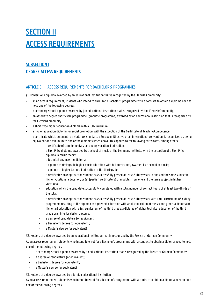# **SECTION II** ACCESS REQUIREMENTS

### SUBSECTION I DEGREE ACCESS REQUIREMENTS

### ARTICLE 5 ACCESS REQUIREMENTS FOR BACHELOR'S PROGRAMMES

§1. Holders of a diploma awarded by an educational institution that is recognized by the Flemish Community:

- As an access requirement, students who intend to enrol for a Bachelor's programme with a contract to obtain a diploma need to hold one of the following degrees:
- a secondary school diploma awarded by (an educational institution that is recognized by) the Flemish Community;
- an Associate degree short cycle programme (graduate programme) awarded by an educational institution that is recognized by the FlemishCommunity
- a short-type higher education diploma with a full curriculum;
- a higher education diploma for social promotion, with the exception of the Certificate of Teaching Competence
- a certificate which, pursuant to a statutory standard, a European Directive or an international convention, is recognized as being equivalent at a minimum to one of the diplomas listed above. This applies to the following certificates, among others:
	- a certificate of complementary secondary vocational education;
	- a First Prize diploma, awarded by a school of music or the Lemmens Institute, with the exception of a First Prize diploma in music theory;
	- a technical engineering diploma;
	- a diploma of first-grade higher music education with full curriculum, awarded by a school of music;
	- a diploma of higher technical education of the third grade;
	- a certificate showing that the student has successfully passed at least 2 study years in one and the same subject in higher vocational education, or (a) (partial) certificate(s) of modules from one and the same subject in higher vocational
	- education which the candidate successfully completed with a total number of contact hours of at least two-thirds of the total;
	- a certificate showing that the student has successfully passed at least 2 study years with a full curriculum of a study programme resulting in the diploma of higher art education with a full curriculum of the second grade, a diploma of higher art education with a full curriculum of the third grade, a diploma of higher technical education of the third grade oran interior design diploma;
	- a degree of candidature (or equivalent);
	- a Bachelor's degree (or equivalent);
	- a Master's degree (or equivalent).

§2. Holders of a degree awarded by an educational institution that is recognized by the French or German Community

As an access requirement, students who intend to enrol for a Bachelor's programme with a contract to obtain a diploma need to hold one of the following degrees:

- a secondary school diploma awarded by an educational institution that is recognized by the French or German Community;
- a degree of candidature (or equivalent);
- a Bachelor's degree (or equivalent);
- a Master's degree (or equivalent).

§3. Holders of a degree awarded by a foreign educational institution:

As an access requirement, students who intend to enrol for a Bachelor's programme with a contract to obtain a diploma need to hold one of the following degrees: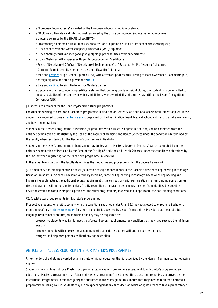- a "European Baccalaureate" awarded by the European Schools in Belgium or abroad;
- a "Diplôme du Baccalauréat international" awarded by the Office du Baccalauréat International in Geneva;
- a diploma awarded by the SHAPE school (NATO);
- a Luxembourg "diplôme de Fin d'Etudes secondaires" or a "diplôme de Fin d'Etudes secondaires techniques";
- a Dutch "Voorbereidend Wetenschappelijk Onderwijs (VWO)" diploma;
- a Dutch "Getuigschrift van met goed gevolg afgelegd propedeutisch examen" certificate;
- a Dutch "Getuigschrift Propedeuse Hoger Beroepsonderwijs" certificate;
- a French "Baccalauréat Général", "Baccalauréat Technologique" or "Baccalauréat Professionnel" diploma;
- a German "Zeugnis der allgemeinen Hochschulreife/Abitur" diploma;
- a true and certified "High School Diploma"(USA) with a "transcript of records", listing at least 4 Advanced Placements (APs);
- a foreign diploma declared equivalent by NARIC;
- a true and certified foreign Bachelor's or Master's degree;
- a diploma with an accompanying certificate stating that, on the grounds of said diploma, the student is to be admitted to university studies of the country in which said diploma was awarded, if said country has ratified the Lisbon Recognition Convention(LRC).

### §4. Access requirements for the Dentistry/Medicine study programmes

For students wishing to enrol for a Bachelor's programme in Medicine or Dentistry, an additional access requirement applies. These students are required to pass an [entrance exam,](http://toelatingsexamenartstandarts.be/) organized by the Examination Board 'Medical School and Dentistry Entrance Exams', and have a good ranking.

Students in the Master's programme in Medicine (or graduates with a Master's degree in Medicine) can be exempted from the entrance examination of Dentistry by the Dean of the Faculty of Medicine and Health Sciences under the conditions determined by the faculty when registering for the Bachelor's programme in Dentistry.

Students in the Master's programme in Dentistry (or graduates with a Master's degree in Dentistry) can be exempted from the entrance examination of Medicine by the Dean of the Faculty of Medicine and Health Sciences under the conditions determined by the Faculty when registering for the Bachelor's programme in Medicine.

In these last two situations, the faculty determines the modalities and procedure within the decree framework.

§5. Compulsory non-binding admission tests (calibration tests): for enrolments in the Bachelor Bioscience Engineering Technology, Bachelor Bioindustrial Sciences, Bachelor Veterinary Medicine, Bachelor Engineering Technology, Bachelor of Engineering and Engineering: Architecture, the additional access requirement is the compulsory prior participation in a non-binding admission test (i.e. a calibration test). In the supplementary faculty regulations, the faculty determines the specific modalities, the possible deviations from the compulsory participation for the study programme(s) involved and, if applicable, the non-binding conditions.

### §6. Special access requirements for Bachelor's programmes

Prospective students who fail to comply with the conditions specified under §1 and §2 may be allowed to enrol for a Bachelor's programme after a[n admission enquiry.](http://augent.be/toelatingsonderzoek/) This type of enquiry is governed by a specific procedure. Provided that the applicable language requirements are met, an admission enquiry may be requested by:

- prospective students who fail to meet the aforesaid access requirements: on condition that they have reached the minimum age of 21.
- prodigies (people with an exceptional command of a specific discipline): without any age restrictions;
- refugees and displaced persons: without any age restriction.

### ARTICLE 6 ACCESS REQUIREMENTS FOR MASTER'S PROGRAMMES

§1. For holders of a diploma awarded by an institute of higher education that is recognized by the Flemish Community, the following applies:

Students who wish to enrol for a Master's programme (i.e., a Master's programme subsequent to a Bachelor's programme, an educational Master's programme or an Advanced Master's programme) are to meet the access requirements as approved by the Institutional Programmes Committee (CoP) and stipulated in the study guide. This implies that they may be required to attend a preparatory or linking course. Students may file an appeal against any such decision which obligates them to take a preparatory or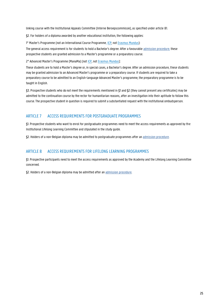linking course with the Institutional Appeals Committee (Interne Beroepscommissie), as specified under article 81.

§2. For holders of a diploma awarded by another educational institution, the following applies:

1° Master's Programme (not an International Course Programme[, ICP;](https://www.vliruos.be/en/projects/20) no[t Erasmus Mundus\)](https://www.ugent.be/en/ghentuniv/principles/internationalisation/eu-funding/jointmaster.htm):

The general access requirement is for students to hold a Bachelor's degree. After a favourable [admission procedure](https://www.ugent.be/en/education/degree/practical/application), these prospective students are granted admission to a Master's programme or a preparatory course.

2° Advanced Master's Programme (ManaMa) (not [ICP,](https://www.vliruos.be/en/projects/20) no[t Erasmus Mundus\)](https://www.ugent.be/en/ghentuniv/principles/internationalisation/eu-funding/jointmaster.htm):

These students are to hold a Master's degree or, in special cases, a Bachelor's degree. After an admission procedure, these students may be granted admission to an Advanced Master's programme or a preparatory course. If students are required to take a preparatory course to be admitted to an English-language Advanced Master's programme, the preparatory programme is to be taught in English.

§3. Prospective students who do not meet the requirements mentioned in §1 and §2 (they cannot present any certificates) may be admitted to the continuation course by the rector for humanitarian reasons, after an investigation into their aptitude to follow this course. The prospective student in question is required to submit a substantiated request with the institutional ombudsperson.

### ARTICLE 7 ACCESS REQUIREMENTS FOR POSTGRADUATE PROGRAMMES

§1. Prospective students who want to enrol for postgraduate programmes need to meet the access requirements as approved by the Institutional Lifelong Learning Committee and stipulated in the study guide.

§2. Holders of a non-Belgian diploma may be admitted to postgraduate programmes after a[n admission procedure.](https://www.ugent.be/en/education/degree/practical/application)

### ARTICLE 8 ACCESS REQUIREMENTS FOR LIFELONG LEARNING PROGRAMMES

§1. Prospective participants need to meet the access requirements as approved by the Academy and the Lifelong Learning Committee concerned.

§2. Holders of a non-Belgian diploma may be admitted after an [admission procedure.](https://www.ugent.be/en/education/degree/practical/application)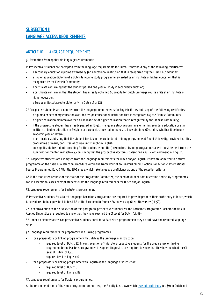### SUBSECTION II LANGUAGE ACCESS REQUIREMENTS

### ARTICLE 10 LANGUAGE REQUIREMENTS

§1. Exemption from applicable language requirements:

1° Prospective students are exempted from the language requirements for Dutch, if they hold any of the following certificates:

- a secondary education diploma awarded by (an educational institution that is recognized by) the Flemish Community;
- a higher education diploma of a Dutch-language study programme, awarded by an institute of higher education that is recognized by the Flemish Community;
- a certificate confirming that the student passed one year of study in secondary education;
- a certificate confirming that the student has already obtained 60 credits for Dutch-language course units at an institute of higher education.
- a European Baccalaureate diploma (with Dutch L1 or L2).

2° Prospective students are exempted from the language requirements for English, if they hold any of the following certificates:

- a diploma of secondary education awarded by (an educational institution that is recognized by) the Flemish Community;
- a higher education diploma awarded by an institute of higher education that is recognized by the Flemish Community;
- if the prospective student has already passed an English-language study programme, either in secondary education or at an institute of higher education in Belgium or abroad (i.e. the student needs to have obtained 60 credits, whether it be in one academic year or several);
- a certificate establishing that the student has taken the predoctoral training programme at Ghent University, provided that this programme primarily consisted of course units taught in English;
- only applicable to students enrolling for the doctorate and the (pre)doctoral training programme: a written statement from the supervisor or mentor, respectively, confirming that the prospective doctoral student has a sufficient command of English.

3° Prospective students are exempted from the language requirements for Dutch and/or English, if they are admitted to a study programme on the basis of a selection procedure within the framework of an Erasmus Mundus Action 1 or Action 2, International Course Programmes, EU-US Atlantis, EU-Canada, which take language proficiency as one of the selection criteria.

4° At the motivated request of the chair of the Programme Committee, the head of student administration and study programmes can in exceptional cases exempt students from the language requirements for Dutch and/or English.

§2. Language requirements for Bachelor's programmes:

1° Prospective students for a Dutch-language Bachelor's programme are required to provide proof of their proficiency in Dutch, which is considered to be equivalent to level B2 of the European Reference Framework by Ghent University (cf. §9).

2° In contravention of the first section of this paragraph, prospective students for the Bachelor's programme Bachelor of Arts in Applied Linguistics are required to show that they have reached the C1 level for Dutch (cf. §9).

3° Under no circumstances can prospective students enrol for a Bachelor's programme if they do not have the required language skills.

§3. Language requirements for preparatory and linking programmes:

- for a preparatory or linking programme with Dutch as the language of instruction:
	- required level of Dutch: B2. In contravention of this rule, prospective students for the preparatory or linking programme to the Master's programmes in Applied Linguistics are required to show that they have reached the C1 level of Dutch (cf. §9).
	- required level of English: 0
- for a preparatory or linking programme with English as the language of instruction:
	- required level of Dutch: 0
	- required level of English: B2

§4. Language requirements for Master's programmes:

At the recommendation of the study programme committee, the Faculty lays down whic[h level of proficiency](https://www.ugent.be/nl/opleidingen/masteropleidingen/toelating/master/aangepastetaalvoorwaarden20202021.pdf/at_download/file) (cf. §9) in Dutch and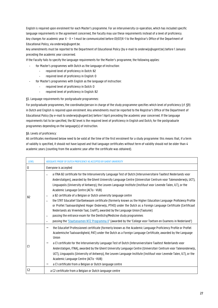English is required upon enrolment for each Master's programme. For an interuniversity co-operation, which has included specific language requirements in the agreement concerned, the Faculty may use these requirements instead of a level of proficiency. Any changes for academic year X - X + 1 must be communicated before 01/07/X-1 to the Registrar's Office of the Department of Educational Policy, via onderwijs@ugent.be.

Any amendments must be reported to the Department of Educational Policy (by e-mail to onderwijs@ugent.be) before 1 January preceding the academic year concerned.

If the Faculty fails to specify the language requirements for the Master's programme, the following applies:

- for Master's programmes with Dutch as the language of instruction:
	- required level of proficiency in Dutch: B2
		- required level of proficiency in English: 0
- for Master's programmes with English as the language of instruction:
	- required level of proficiency in Dutch: 0
	- required level of proficiency in English: B2

§5. Language requirements for postgraduate programmes:

For postgraduate programmes, the coordinator/person in charge of the study programme specifies which level of proficiency (cf. §9) in Dutch and English is required upon enrolment. Any amendments must be reported to the Registrar's Office of the Department of Educational Policy (by e-mail to onderwijs@ugent.be) before 1 April preceding the academic year concerned. If the language requirements fail to be specified, the B2 level is the required level of proficiency in English and Dutch, for the postgraduate programmes depending on the language(s) of instruction.

§6. Levels of proficiency:

All certificates mentioned below need to be valid at the time of the first enrolment for a study programme: this means that, if a term of validity is specified, it should not have lapsed and that language certificates without term of validity should not be older than 4 academic years (counting from the academic year after the certificate was obtained).

| <b>LEVEL</b>   | ADEQUATE PROOF OF DUTCH PROFICIENCY AS ACCEPTED BY GHENT UNIVERSITY                                                                                                                                                                                                                                                                                                                                                                                                                                                                                                                                                                                                                                                                                                                                                                                                                                                                                                                                                                                                                                                                |
|----------------|------------------------------------------------------------------------------------------------------------------------------------------------------------------------------------------------------------------------------------------------------------------------------------------------------------------------------------------------------------------------------------------------------------------------------------------------------------------------------------------------------------------------------------------------------------------------------------------------------------------------------------------------------------------------------------------------------------------------------------------------------------------------------------------------------------------------------------------------------------------------------------------------------------------------------------------------------------------------------------------------------------------------------------------------------------------------------------------------------------------------------------|
| $\mathbf 0$    | Everyone is accepted                                                                                                                                                                                                                                                                                                                                                                                                                                                                                                                                                                                                                                                                                                                                                                                                                                                                                                                                                                                                                                                                                                               |
| B <sub>2</sub> | a ITNA B2 certificate for the Interuniversity Language Test of Dutch (Interuniversitaire Taaltest Nederlands voor<br>$\overline{\phantom{0}}$<br>Anderstaligen), awarded by the Ghent University Language Centre (Universitair Centrum voor Talenonderwijs, UCT),<br>Linguapolis (University of Antwerp), the Leuven Language Institute (Instituut voor Levende Talen, ILT), or the<br>Academic Language Centre (ACTo - VUB)<br>a B2 certificate of a Belgian or Dutch university language centre<br>$\overline{\phantom{0}}$<br>the STRT Educatief Startbekwaam certificate (formerly known as the Higher Education Language Proficiency Profile<br>$\overline{\phantom{0}}$<br>or Profiel Taalvaardigheid Hoger Onderwijs, PTHO) under the Dutch as a Foreign Language Certificate (Certificaat<br>Nederlands als Vreemde Taal, CnaVT), awarded by the Language Union (Taalunie)<br>passing the entrance exam for the Dentistry/Medicine study programmes<br>$\overline{\phantom{0}}$<br>passing the 'Staatsexamen NT2 Programma II' (awarded by the 'College voor Toetsen en Examens in Nederland')<br>$\overline{\phantom{0}}$ |
| C <sub>1</sub> | the Educatief Professioneel certificate (formerly known as the Academic Language Proficiency Profile or Profiel<br>-<br>Academische Taalvaardigheid, PAT) under the Dutch as a Foreign Language Certificate, awarded by the Language<br>Union<br>a C1 certificate for the Interuniversity Language Test of Dutch (Interuniversitaire Taaltest Nederlands voor<br>Anderstaligen, ITNA), awarded by the Ghent University Language Centre (Universitair Centrum voor Talenonderwijs,<br>UCT), Linguapolis (University of Antwerp), the Leuven Language Institute (Instituut voor Levende Talen, ILT), or the<br>Academic Language Centre (ACTo - VUB)<br>a C1 certificate from a Belgian or Dutch language centre                                                                                                                                                                                                                                                                                                                                                                                                                     |
| C <sub>2</sub> | a C2 certificate from a Belgian or Dutch language centre                                                                                                                                                                                                                                                                                                                                                                                                                                                                                                                                                                                                                                                                                                                                                                                                                                                                                                                                                                                                                                                                           |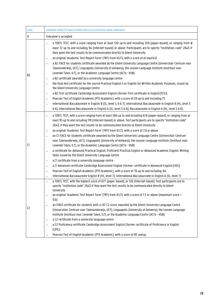| <b>LEVEL</b>   | ADEQUATE PROOF OF ENGLISH PROFICIENCY AS ACCEPTED BY GHENT UNIVERSITY                                                                                                                                                                                                                                                                                                                                                                                                                                                                                                                                                                                                                                                                                                                                                                                                                                                                                                                                                                                                                                                                                                                                                                                                                                                                                                                                                                                                                                                |  |
|----------------|----------------------------------------------------------------------------------------------------------------------------------------------------------------------------------------------------------------------------------------------------------------------------------------------------------------------------------------------------------------------------------------------------------------------------------------------------------------------------------------------------------------------------------------------------------------------------------------------------------------------------------------------------------------------------------------------------------------------------------------------------------------------------------------------------------------------------------------------------------------------------------------------------------------------------------------------------------------------------------------------------------------------------------------------------------------------------------------------------------------------------------------------------------------------------------------------------------------------------------------------------------------------------------------------------------------------------------------------------------------------------------------------------------------------------------------------------------------------------------------------------------------------|--|
| 0              | Everyone is accepted                                                                                                                                                                                                                                                                                                                                                                                                                                                                                                                                                                                                                                                                                                                                                                                                                                                                                                                                                                                                                                                                                                                                                                                                                                                                                                                                                                                                                                                                                                 |  |
| B2             | a TOEFL TEST, with a score ranging from at least 510 up to and including 559 (paper-based), or ranging from at<br>$-$<br>least 72 up to and including 94 (Internet-based) or above. Participants are to specify "institution code" 2643 if<br>they want the test results to be communicated directly to Ghent University<br>an original 'Academic Test Report Form' (TRF) from IELTS, with a score of at least 6.0<br>$-$<br>a B2 ITACE for students certificate awarded by the Ghent University Language Centre (Universitair Centrum voor<br>$\overline{\phantom{0}}$<br>Talenonderwijs, UCT), Linguapolis (University of Antwerp), the Leuven Language Institute (Instituut voor<br>Levende Talen, ILT), or the Academic Language Centre (ACTo - VUB)<br>a B2 certificate awarded by a university language centre<br>-<br>the final test certificate for the course Practical English 5 or English for Written Academic Purposes, issued by<br>$\overline{\phantom{0}}$<br>the Ghent University Language Centre<br>a B2 First certificate Cambridge Assessment English (former First certificate in English (FCE))<br>-<br>Pearson Test of English Academic (PTE Academic), with a score of 59 up to and including 75<br>$\qquad \qquad -$<br>International Baccalaureate in English B (SL, level 5, 6 & 7); International Baccalaureate in English B (HL, level 5<br>$\overline{\phantom{0}}$<br>& 6); International Baccalaureate in English A (SL, level 5 & 6); Baccalaureate in English A (HL, level 5 & 6). |  |
| C1             | a TOEFL TEST, with a score ranging from at least 560 up to and including 676 (paper-based), or ranging from at<br>$\overline{\phantom{0}}$<br>least 95 up to and including 119 (Internet-based) or above. Test participants are to specify "institution code"<br>2643, if they want the test results to be communicated directly to Ghent University<br>an original 'Academic Test Report Form' (TRF) from IELTS, with a score of 7.0 or above<br>$\qquad \qquad -$<br>an C1 ITACE for students certificate awarded by the Ghent University Language Centre (Universitair Centrum<br>$\overline{\phantom{0}}$<br>voor Talenonderwijs, UCT), Linguapolis (University of Antwerp), the Leuven Language Institute (Instituut voor<br>Levende Talen, ILT), or the Academic Language Centre (ACTo - VUB)<br>a certificate for Advanced Practical English, Proficient Practical English or Advanced Academic English: Writing<br>-<br>Skills issued by the Ghent University Language Centre<br>a C1 certificate from a university language centre<br>-<br>a C1 Advanced certificate Cambridge Assessment English (former: certificate in Advanced English (CAE))<br>$\overline{\phantom{0}}$<br>Pearson Test of English Academic (PTE Academic), with a score of 76 up to and including 84.<br>$\overline{\phantom{0}}$<br>International Baccalaureate English B (HL, level 7); International Baccalaureate in English A (SL, level 7)<br>$\overline{\phantom{0}}$                                                         |  |
| C <sub>2</sub> | a TOEFL TEST, with the highest score of 677 (paper-based), or 120 (Internet-based). Test participants are to<br>$\overline{\phantom{0}}$<br>specify "institution code" 2643 if they want the test results to be communicated directly to Ghent<br>University<br>an original 'Academic Test Report Form' (TRF) from IELTS, with a score of 7.5 or above (maximum score =<br>9.0<br>an ITACE certificate for students with a CEF C2 score, awarded by the Ghent University Language Centre<br>-<br>(Universitair Centrum voor Talenonderwijs, UCT), Linguapolis (University of Antwerp), the Leuven Language<br>Institute (Instituut voor Levende Talen, ILT), or the Academic Language Centre (ACTo - VUB)<br>a C2 certificate from a university language centre<br>-<br>a C2 Proficiency certificate Cambridge Assessment English (former certificate of Proficiency in English<br>-<br>(CPE)<br>Pearson Test of English Academic (PTE Academic), with a score of 85 and up.<br>-                                                                                                                                                                                                                                                                                                                                                                                                                                                                                                                                    |  |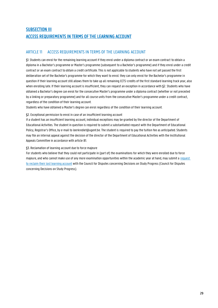### **SUBSECTION III** ACCESS REQUIREMENTS IN TERMS OF THE LEARNING ACCOUNT

### ARTICLE 11 ACCESS REQUIREMENTS IN TERMS OF THE LEARNING ACCOUNT

§1. Students can enrol for the remaining learning account if they enrol under a diploma contract or an exam contract to obtain a diploma in a Bachelor's programme or Master's programme (subsequent to a Bachelor's programme) and if they enrol under a credit contract or an exam contract to obtain a credit certificate. This is not applicable to students who have not yet passed the first deliberation set of the Bachelor's programme for which they want to enrol: they can only enrol for the Bachelor's programme in question if their learning account still allows them to take up all remaining ECTS-credits of the first standard learning track year, also when enrolling late. If their learning account is insufficient, they can request an exception in accordance with §2. Students who have obtained a Bachelor's degree can enrol for the consecutive Master's programme under a diploma contract (whether or not preceded by a linking or preparatory programme) and for all course units from the consecutive Master's programme under a credit contract, regardless of the condition of their learning account.

Students who have obtained a Master's degree can enrol regardless of the condition of their learning account.

### §2. Exceptional permission to enrol in case of an insufficient learning account

If a student has an insufficient learning account, individual exceptions may be granted by the director of the Department of Educational Activities. The student in question is required to submit a substantiated request with the Department of Educational Policy, Registrar's Office, by e-mail t[o leerkrediet@ugent.be. T](mailto:leerkrediet@ugent.be)he student is required to pay the tuition fee as anticipated. Students may file an internal appeal against the decision of the director of the Department of Educational Activities with the Institutional Appeals Committee in accordance with article 81.

### §3. Reclamation of learning account due to force majeure

For students who believe that they could not participate in (part of) the examinations for which they were enrolled due to force majeure, and who cannot make use of any more examination opportunities within the academic year at hand, may submit a [request](http://onderwijs.vlaanderen.be/nl/terugvordering-van-leerkrediet-wegens-overmacht)  [to reclaim their lost learning account](http://onderwijs.vlaanderen.be/nl/terugvordering-van-leerkrediet-wegens-overmacht) with the Council for Disputes concerning Decisions on Study Progress (Council for Disputes concerning Decisions on Study Progress).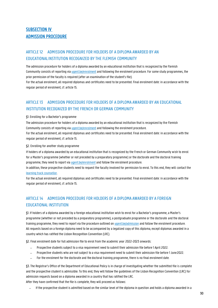### SUBSECTION IV ADMISSION PROCEDURE

### ARTICLE 12 ADMISSION PROCEDURE FOR HOLDERS OF A DIPLOMA AWARDED BY AN EDUCATIONALINSTITUTION RECOGNIZED BY THE FLEMISH COMMUNITY

The admission procedure for holders of a diploma awarded by an educational institution that is recognized by the Flemish Community consists of reporting vi[a ugent.be/enrolment](https://www.ugent.be/student/en/administration/enrolment) and following the enrolment procedure. For some study programmes, the prior permission of the faculty is required (after an examination of the student's file).

For the actual enrolment, all required diplomas and certificates need to be presented. Final enrolment date: in accordance with the regular period of enrolment, cf. article 15.

### ARTICLE 13 ADMISSION PROCEDURE FOR HOLDERS OF A DIPLOMA AWARDED BY AN EDUCATIONAL INSTITUTION RECOGNIZED BY THE FRENCH OR GERMAN COMMUNITY

### §1. Enrolling for a Bachelor's programme

The admission procedure for holders of a diploma awarded by an educational institution that is recognized by the Flemish Community consists of reporting vi[a ugent.be/enrolment](https://www.ugent.be/student/en/administration/enrolment) and following the enrolment procedure.

For the actual enrolment, all required diplomas and certificates need to be presented. Final enrolment date: in accordance with the regular period of enrolment, cf. article 15.

### §2. Enrolling for another study programme

If holders of a diploma awarded by an educational institution that is recognized by the French or German Community wish to enrol for a Master's programme (whether or not preceded by a preparatory programme) or the doctorate and the doctoral training programme, they need to report via [ugent.be/enrolment](https://www.ugent.be/student/en/administration/enrolment) and follow the enrolment procedure.

In addition, these prospective students need to request the faculty involved for permission to enrol. To this end, they will contact the [learning track counsellor.](http://ugent.be/monitoraat)

For the actual enrolment, all required diplomas and certificates need to be presented. Final enrolment date: in accordance with the regular period of enrolment, cf. article 15.

### ARTICLE 14 ADMISSION PROCEDURE FOR HOLDERS OF A DIPLOMA AWARDED BY A FOREIGN EDUCATIONALINSTITUTION

§1. If holders of a diploma awarded by a foreign educational institution wish to enrol for a Bachelor's programme, a Master's programme (whether or not preceded by a preparatory programme), a postgraduate programme or the doctorate and the doctoral training programme, they need to report via the procedure outlined on [ugent.be/admission](http://www.ugent.be/admission) and follow the enrolment procedure. All requests based on a foreign diploma need to be accompanied by a legalized copy of this diploma, except diplomas awarded in a country which has ratified the Lisbon Recognition Convention (LRC).

§2. Final enrolment date for full admission file to enrol from the academic year 2022-2023 onwards:

- − Prospective students subject to a visa requirement need to submit their admission file before 1 April 2022.
- − Prospective students who are not subject to a visa requirement need to submit their admission file before 1 June2022.
- − For the enrolment for the doctorate and the doctoral training programme, there is no final enrolment date.

§3. The Registrar's Office of the Department of Educational Policy is in charge of investigating whether the submitted file is complete and the prospective student is admissible. To this end, they will follow the guidelines of the Lisbon Recognition Convention (LRC) for admission requests based on a diploma awarded in a country that has ratified the LRC.

After they have confirmed that the file is complete, they will proceed as follows:

− If the prospective student is admitted based on the similar level of the diploma in question and holds a diploma awarded in a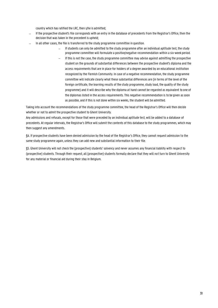country which has ratified the LRC, then s/he is admitted;

- If the prospective student's file corresponds with an entry in the database of precedents from the Registrar's Office, then the decision that was taken in the precedent is upheld;
- In all other cases, the file is transferred to the study programme committee in question.
	- − If students can only be admitted to the study programme after an individual aptitude test, the study programme committee will formulate a positive/negative recommendation within a six-week period.
	- − If this is not the case, the study programme committee may advise against admitting the prospective student on the grounds of substantial differences between the prospective student's diploma and the access requirements that are in place for holders of a degree awarded by an educational institution recognized by the Flemish Community. In case of a negative recommendation, the study programme committee will indicate clearly what these substantial differences are (in terms of the level of the foreign certificate, the learning results of the study programme, study load, the quality of the study programme) and it will describe why the diploma at hand cannot be regarded as equivalent to one of the diplomas listed in the access requirements. This negative recommendation is to be given as soon as possible, and if this is not done within six weeks, the student will be admitted.

Taking into account the recommendations of the study programme committee, the head of the Registrar's Office will then decide whether or not to admit the prospective student to Ghent University.

Any admissions and refusals, except for those that were preceded by an individual aptitude test, will be added to a database of precedents. At regular intervals, the Registrar's Office will submit the contents of this database to the study programmes, which may then suggest any amendments.

§4. If prospective students have been denied admission by the head of the Registrar's Office, they cannot request admission to the same study programme again, unless they can add new and substantial information to their file.

§5. Ghent University will not check the (prospective) students' solvency and never assumes any financial liability with respect to (prospective) students. Through their request, all (prospective) students formally declare that they will not turn to Ghent University for any material or financial aid during their stay in Belgium.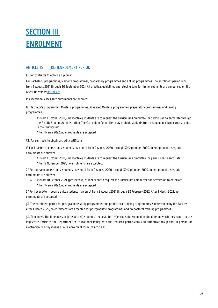# **SECTION III** ENROLMENT

### ARTICLE 15 (RE-)ENROLMENT PERIOD

### §1. For contracts to obtain a diploma:

For Bachelor's programmes, Master's programmes, preparatory programmes and linking programmes: The enrolment period runs from 9 August 2021 through 30 September 2021. All practical guidelines and closing days for first enrolments are announced on the Ghent University [portal site.](https://www.ugent.be/student/nl/administratie/inschrijven)

In exceptional cases, late enrolments are allowed:

for Bachelor's programmes, Master's programmes, Advanced Master's programmes, preparatory programmes and linking programmes:

- − As from 1 October 2021, (prospective) students are to request the Curriculum Committee for permission to enrol late through the Faculty Student Administration. The Curriculum Committee may prohibit students from taking up particular course units in their curriculum.
- − After 1 March 2022, no enrolments are accepted.

§2. For contracts to obtain a credit certificate:

1° For first-term course units, students may enrol from 9 August 2020 through 30 September 2020. In exceptional cases, late enrolments are allowed:

- − As from 1 October 2021, (prospective) students are to request the Curriculum Committee for permission to enrollate.
- − After 15 November 2021, no enrolments are accepted.

2° For full-year course units, students may enrol from 9 August 2020 through 30 September 2020. In exceptional cases, late enrolments are allowed:

- − As from 10 October 2021, (prospective) students are to request the Curriculum Committee for permission to enrollate.
- − After 1 March 2022, no enrolments are accepted.

3° For second-term course units, students may enrol from 9 August 2021 through 28 February 2022. After 1 March 2022, no enrolments are accepted.

§3. The enrolment period for postgraduate study programmes and predoctoral training programmes is determined by the Faculty. After 1 March 2022, no enrolments are accepted for postgraduate programmes and predoctoral training programmes.

§4. Timeliness: the timeliness of (prospective) students' requests to (re-)enrol is determined by the date on which they report to the Registrar's Office of the Department of Educational Policy with the required permissions and authorizations (either in person, or electronically, or by means of a re-enrolment form (cf. article 16)).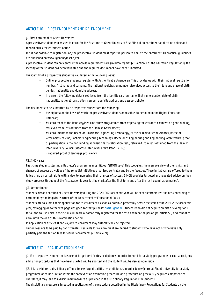### ARTICLE 16 FIRST ENROLMENT AND RE-ENROLMENT

### §1. First enrolment at Ghent University

A prospective student who wishes to enrol for the first time at Ghent University first fills out an enrolment application online and then finalizes the enrolment online.

If it is not possible to register online, the prospective student must report in person to finalize the enrolment. All practical guidelines are published on www.ugent.be/inschrijven.

A prospective student can only enrol if the access requirements are (minimally) met (cf. Section II of the Education Regulations), the identity of the student has been validated and the required documents have been submitted.

The identity of a prospective student is validated in the following ways:

- − Online: prospective students register with Authenticatie Vlaanderen. This provides us with their national registration number, first name and surname. The national registration number also gives access to their date and place of birth, gender, nationality and domicile address.
- − In person: the following data is retrieved from the identity card: surname, first name, gender, date of birth, nationality, national registration number, domicile address and passport photo;

The documents to be submitted by a prospective student are the following:

- − the diploma on the basis of which the prospective student is admissible, to be found in the Higher Education Database;
- − for enrolment to the Dentistry/Medicine study programme: proof of passing the entrance exam with a good ranking, retrieved from lists obtained from the Flemish Government;
- − for enrollments to the Bachelor Bioscience Engineering Technology, Bachelor Bioindustrial Sciences, Bachelor Veterinary Medicine, Bachelor Engineering Technology, Bachelor of Engineering and Engineering: Architecture: proof of participation in the non-binding admission test (calibration test), retrieved from lists obtained from the Flemish Interuniversity Council (Vlaamse Interuniversitaire Raad - VLIR);
- − if required: proof of language proficiency.

### §2. SIMON says

First-time students starting a Bachelor's programme must fill out 'SIMON says'. This tool gives them an overview of their skills and chances of success as well as of the remedial initiatives organized centrally and by the faculties. These initiatives are offered to them to brush up on certain skills with a view to increasing their chances of success. SIMON provides targeted and repeated advice on their study progress throughout the first academic year (at the start, after the first term and after the resit examination period).

### §3. Re-enrolment

Students already enrolled at Ghent University during the 2020-2021 academic year will be sent electronic instructions concerning reenrolment by the Registrar's Office of the Department of Educational Policy.

Students are to submit their application for re-enrolment as soon as possible, preferably before the start of the 2021-2022 academic year, by logging on to the web page designed for that purpose: [oasis.ugent.be](http://oasis.ugent.be/). Students who did not acquire credits or exemptions for all the course units in their curriculum are automatically registered for the resit examination period (cf. article 55) and cannot reenrol until the end of this examination period.

In application of articles 11 and 24, any re-enrolment may automatically be rejected.

Tuition fees are to be paid by bank transfer. Requests for re-enrolment are denied to students who have not or who have only partially paid the tuition fees for earlier enrolments (cf. article 21).

### ARTICLE 17 FRAUD AT ENROLMENT

§1. If a prospective student makes use of forged certificates or diplomas in order to enrol for a study programme or course unit, any admission procedures that have been started will be aborted and the student will be denied admission.

§2. It is considered a disciplinary offence to use forged certificates or diplomas in order to (re-)enrol at Ghent University for a study programme or course unit or within the context of an exemption procedure or a procedure on previously acquired competencies. Therefore, it may lead to a disciplinary measure as provided in the Disciplinary Regulations for Students.

The disciplinary measure is imposed in application of the procedure described in the Disciplinary Regulations for Students by the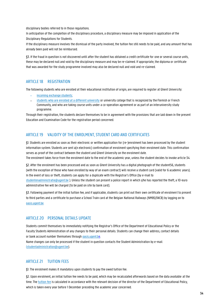disciplinary bodies referred to in those regulations.

In anticipation of the completion of the disciplinary procedure, a disciplinary measure may be imposed in application of the Disciplinary Regulations for Students.

If the disciplinary measure involves the dismissal of the party involved, the tuition fee still needs to be paid, and any amount that has already been paid will not be reimbursed.

§3. If the fraud in question is not discovered until after the student has obtained a credit certificate for one or several course units, these may be declared null and void by the disciplinary measure and may be re-claimed. If appropriate, the diploma or certificate that was awarded for the study programme involved may also be declared null and void and re-claimed.

### ARTICLE 18 REGISTRATION

The following students who are enrolled at their educational institution of origin, are required to register at Ghent University:

- − [incoming exchange](https://www.ugent.be/prospect/en/administration/enrolment-or-registration/registration.htm) students;
- [students who are enrolled at a different university](https://www.ugent.be/student/nl/administratie/inschrijven/gaststudentandereinstelling) or university college that is recognized by the Flemish or French Community, and who are taking course units under a co-operation agreement or as part of an interuniversity study programme.

Through their registration, the students declare themselves to be in agreement with the provisions that are laid down in the present Education and Examination Code for the registration period concerned.

### ARTICLE 19 VALIDITY OF THE ENROLMENT, STUDENT CARD AND CERTIFICATES

§1. Students are enrolled as soon as their electronic or written application for (re-)enrolment has been processed by the student information system. Students are sent a(n electronic) confirmation of enrolment specifying their enrolment date. This confirmation serves as proof of the contract between the student and Ghent University on the enrolment date. The enrolment takes force from the enrolment date to the end of the academic year, unless the student decides to invoke article 34.

§2. After the enrolment has been processed and as soon as Ghent University has a digital photograph of the student56, students (with the exception of those who have enrolled by way of an exam contract) will receive a student card (valid for 6 academic years). In the event of loss or theft, students can apply for a duplicate with the Registrar's Office (by e-mail to [studentenadministratie@ugent.be](mailto:studentenadministratie@ugent.be) ). Unless the student can present a police report in which s/he has reported the theft, a 10-euro administrative fee will be charged (to be paid on site by bank card).

§3. Following payment of the initial tuition fee, and if applicable, students can print out their own certificate of enrolment to present to third parties and a certificate to purchase a School Train card at the Belgian National Railways (NMBS/SNCB) by logging on to [oasis.ugent.be.](http://oasis.ugent.be/)

### ARTICLE 20 PERSONAL DETAILS UPDATE

Students commit themselves to immediately notifying the Registrar's Office of the Department of Educational Policy or the Faculty Students Administration of any changes to their personal details. Students can change their address, contact details or bank account number themselves through **pasis.ugent.be.** 

Name changes can only be processed if the student in question contacts the Student Administration by e-mail [\(studentadministration@ugent.be\)](mailto:studentadministration@ugent.be).

### ARTICLE 21 TUITION FEES

§1. The enrolment makes it mandatory upon students to pay the owed tuition fee.

§2. Upon enrolment, an initial tuition fee needs to be paid, which may be recalculated afterwards based on the data available at the time. The [tuition fee](http://ugent.be/studiegeld) is calculated in accordance with the relevant decision of the director of the Department of Educational Policy, which is taken every year before 1 December preceding the academic year concerned.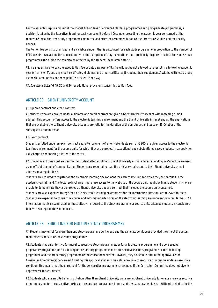For the variable surplus amount of the special tuition fees of Advanced Master's programmes and postgraduate programmes, a decision is taken by the Executive Board for each course unit before 1 December preceding the academic year concerned, at the request of the authorized study programme committee and after the recommendation of the Director of Studies and the Faculty Council.

The tuition fee consists of a fixed and a variable amount that is calculated for each study programme in proportion to the number of ECTS credits involved in the curriculum, with the exception of any exemptions and previously acquired credits. For some study programmes, the tuition fee can also be affected by the students' scholarship status.

§3. If a student fails to pay the owed tuition fee or only pays part of it, s/he will not be not allowed to re-enrol in a following academic year (cf. article 16), and any credit certificates, diplomas and other certificates (including their supplements) will be withheld as long as the full amount has not been paid (cf. articles 57 and 74).

§4. See also articles 16, 19, 30 and 34 for additional provisions concerning tuition fees.

### ARTICLE 22 GHENT UNIVERSITY ACCOUNT

### §1. Diploma contract and credit contract

All students who are enrolled under a diploma or a credit contract are given a Ghent University account with matching e-mail address. This account offers access to the electronic learning environment and the Ghent University intranet and all the applications that are available there. Ghent University accounts are valid for the duration of the enrolment and lapse on 15 October of the subsequent academic year.

### §2. Exam contract

Students enrolled under an exam contract and, after payment of a non-refundable sum of € 500, are given access to the electronic learning environment for the course units for which they are enrolled. In exceptional and substantiated cases, students may apply for a discharge by addressing a letter to the rector.

§3. The login and password are sent to the student after enrolment. Ghent University e-mail addresses ending in @ugent.be are used as an official channel of communication. Students are required to read the official e-mails sent to their Ghent University e-mail address on a regular basis.

Students are required to register on the electronic learning environment for each course unit for which they are enrolled in the academic year at hand. The lecturer-in-charge may refuse access to the website of the course unit taught by him to students who are unable to demonstrate they are enrolled at Ghent University under a contract that includes the course unit concerned. Students are also expected to register on the electronic learning environment for the information sites that are relevant to them. Students are expected to consult the course and information sites sites on the electronic learning environment on a regular basis. All information that is disseminated on these sites with regard to the study programme or course units taken by students is considered to have been legitimately announced.

### ARTICLE 23 ENROLLING FOR MULTIPLE STUDY PROGRAMMES

§1. Students may enrol for more than one study programme during one and the same academic year provided they meet the access requirements of each of these study programmes.

§2. Students may enrol for two (or more) consecutive study programmes, or for a Bachelor's programme and a consecutive preparatory programme, or for a linking or preparatory programme and a consecutive Master's programme or for the linking programme and the preparatory programme of the educational Master. However, they do need to obtain the approval of the Curriculum Committee(s) concerned. Awaiting this approval, students may still enrol in a consecutive programme under a resolutive condition. This means that the enrolment for the consecutive programme is rescinded if the Curriculum Committee does not give its approval for this enrolment.

§3. Students who are enrolled at an institution other than Ghent University can enrol at Ghent University for one or more consecutive programmes, or for a consecutive linking or preparatory programme in one and the same academic year. Without prejudice to the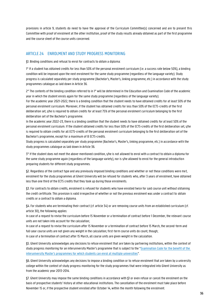provisions in article 9, students do need to have the approval of the Curriculum Committee(s) concerned and are to present this Committee with proof of enrolment at the other institution, proof of the study results already obtained as part of the first programme and the course sheet of the course units concerned.

### ARTICLE 24 ENROLMENT AND STUDY PROGRESS MONITORING

§1. Binding conditions and refusal to enrol for contracts to obtain a diploma:

1° If a student has obtained credits for less than 50% of the personal enrolment curriculum (i.e. a success rate below 50%), a binding condition will be imposed upon the next enrolment for the same study programme (regardless of the language variety). Study progress is calculated separately per study programme (Bachelor's, Master's, linking programme, etc.) in accordance with the study programmes catalogue as laid down in Article 36.

2° The contents of the binding condition referred to in 1° will be determined in the Education and Examination Code of the academic year in which the student enrols again for the same study programme (regardless of the language variety).

For the academic year 2021-2022, there is a binding condition that the student needs to have obtained credits for at least 50% of the personal enrolment curriculum. Moreover, if the student has obtained credits for less than 50% of the ECTS-credits of the first deliberation set, s/he is required to obtain credits for at least 75% of the personal enrolment curriculum belonging to the first deliberation set of the Bachelor's programme.

In the academic year 2022-23, there is a binding condition that the student needs to have obtained credits for at least 50% of the personal enrolment curriculum. If the student obtained credits for less than 50% of the ECTS-credits of the first deliberation set, s/he is required to obtain credits for all ECTS-credits of the personal enrolment curriculum belonging to the first deliberation set of the Bachelor's programme, except for a maximum of 8 ECTS-credits.

Study progress is calculated separately per study programme (Bachelor's, Master's, linking programme, etc.) in accordance with the study programmes catalogue as laid down in Article 36.

3° If the student does not meet the above-mentioned condition, s/he is not allowed to enrol with a contract to obtain a diploma for the same study programme again (regardless of the language variety), nor is s/he allowed to enrol for the general introduction preparing students for different study programmes.

§2. Regardless of the contract type and any previously imposed binding conditions and whether or not these conditions were met, enrolment for the study programmes at Ghent University will be refused for students who, after 3 years of enrolment, have obtained less than one third of the ECTS credits that they took up during those enrolments.

§3. For contracts to obtain credits, enrolment is refused for students who have enrolled twice for said course unit without obtaining the credit certificate. This provision is valid irrespective of whether or not the previous enrolment was under a contract to obtain credits or a contract to obtain a diploma.

§4. For students who are terminating their contract (cf. article 34) or are removing course units from an established curriculum (cf. article 30), the following applies:

In case of a request to revise the curriculum before 15 November or a termination of contract before 1 December, the relevant course units are not taken into account for the calculation;

In case of a request to revise the curriculum after 15 November or a termination of contract before 15 March, the second-term and full-year course units are not given any weight in the calculation; first-term course units do count, though; In case of a termination of contract after 15 March, all course units are given weight in the calculation.

§5. Ghent University acknowledges any decisions to refuse enrolment that are taken by partnering institutions, within the context of study progress monitoring for an interuniversity Master's programme that is subject to the "[Examination Code for the benefit of the](http://www.ugent.be/student/nl/studeren/regelgeving/interuniversitairoer.pdf)  interuniversity Master's programme[s for which students can enrol at multiple universities](http://www.ugent.be/student/nl/studeren/regelgeving/interuniversitairoer.pdf)".

§6. Ghent University acknowledges any decisions to impose a binding condition or to refuse enrolment that are taken by a university college within the context of study progress monitoring for the study programmes that were integrated into Ghent University as from the academic year 2013-2014.

§7. Ghent University may impose the same binding conditions in accordance with §1 or even refuse or cancel the enrolment on the basis of prospective students' history at other educational institutions. The cancellation of the enrolment must take place before November 15 or, if the prospective student enrolled after October 14, within the month following the enrolment.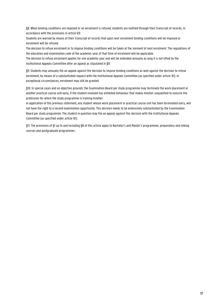§8. When binding conditions are imposed or an enrolment is refused, students are notified through their transcript of records, in accordance with the provisions in article 69.

Students are warned by means of their transcript of records that upon next enrolment binding conditions will be imposed or enrolment will be refused.

The decision to refuse enrolment or to impose binding conditions will be taken at the moment of next enrolment. The regulations of the education and examination code of the academic year of that time of enrolment will be applicable.

The decision to refuse enrolment applies for one academic year and will be extended annually as long it is not lifted by the Institutional Appeals Committee after an appeal as stipulated in §9.

§9. Students may annually file an appeal against the decision to impose binding conditions as well against the decision to refuse enrolment, by means of a substantiated request with the Institutional Appeals Committee (as specified under article 81). In exceptional circumstances, enrolment may still be granted.

§10. In special cases and on objective grounds, the Examination Board per study programme may terminate the work placement or another practical course unit early, if the student involved has exhibited behaviour that makes him/her unqualified to execute the profession for which the study programme is training him/her.

In application of this previous statement, any student whose work placement or practical course unit has been terminated early, will not have the right to a second examination opportunity. This decision needs to be extensively substantiated by the Examination Board per study programme. The student in question may file an appeal against this decision with the Institutional Appeals Committee (as specified under article 81).

§11. The provisions of §1 up to and including §8 of this article apply to Bachelor's and Master's programmes, preparatory and linking courses and postgraduate programmes.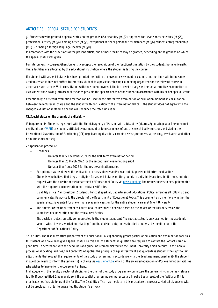## ARTICLE 25 SPECIAL STATUS FOR STUDENTS

§1. Students may be granted a special status on the grounds of a disability (cf. §2), approved top-level sports activities (cf. §3), professional artistry (cf. §4), holding office (cf. §5), exceptional social or personal circumstances (cf. §6), student entrepreneurship (cf. §7), or being a foreign-language speaker (cf. §8).

In accordance with the provisions of the present article, one or more facilities may be granted, depending on the grounds on which the special status was given.

For interuniversity courses, Ghent University accepts the recognition of the functional limitation by the student's home university. These facilities are allocated by the educational institution where the student is taking the course.

If a student with a special status has been granted the facility to move an assessment or exam to another time within the same academic year, it does not suffice to refer this student to a possible catch-up exam being organized for the relevant course in accordance with article 75. In consultation with the student involved, the lecturer-in-charge will set an alternative examination or assessment time, taking into account as far as possible the specific needs of the student in accordance with his or her special status.

Exceptionally, a different evaluation method can be used for the alternative examination or evaluation moment, in consultation between the lecturer-in-charge and the student with notification to the Examination Office. If the student does not agree with the changed evaluation method, he or she will renounce the catch-up exam.

#### §2. Special status on the grounds of a disability

1° Requirements: Students registered with the Flemish Agency of Persons with a Disability (Vlaams Agentschap voor Personen met een Handicap - [VAPH\)](https://www.vaph.be/) or students afflicted by permanent or long-term loss of one or several bodily functions as listed in the International Classification of Functioning (ICF) (e.g. learning disorders, chronic disease, motor, visual, hearing, psychiatric, and other or multiple disabilities).

2° Application procedure:

- − Deadlines:
	- − No later than 5 November 2021 for the first-term examinationperiod
	- − No later than 25 March 2022 for the second-term examinationperiod
	- − No later than 1 July 2022 for the resit examination period
- − Exceptions may be allowed if the disability occurs suddenly and/or was not diagnosed until after the deadline.
- − Students who believe that they are eligible for a special status on the grounds of a disability are to submit a substantiated request with the director of the Department of Educational Policy via **oasis.ugent.be.** The request needs to be supplemented with the required documentation and official certificates.
- − Disability office (Aanspreekpunt Student & Functiebeperking, Department of Educational Policy) arranges all follow-up and communicates its advice to the director of the Department of Educational Policy. This document also mentions whether the special status is granted for one or more academic years or for the entire student career at Ghent University.
- The director of the Department of Educational Policy takes a decision based on the advice of the Disabilty office, the submitted documentation and the official certificates.
- The decision is electronically communicated to the student applicant. The special status is only granted for the academic year in which it was awarded and starting from the decision date, unless decided otherwise by the director of the Department of Educational Policy.

3° Facilities: The Disability office (Department of Educational Policy) annually grants particular education and examination facilities to students who have been given special status. To this end, the students in question are required to contact the Contact Point in good time, in accordance with the deadlines and guidelines communicated via the Ghent University email account. In this annual process of allocating facilities, the Contact Point applies the principle of equal treatment and guarantees students the right to fair adjustments that respect the requirements of the study programme. In accordance with the deadlines mentioned in §9, the student in question needs to inform the lecturer(s) in charge vi[a oasis.ugent.be](http://oasis.ugent.be/) which of the awarded education and/or examination facilities s/he wishes to invoke for the course unit at hand.

In dialogue with the faculty director of studies or the chair of the study programme committee, the lecturer-in-charge may refuse a facility if duly justified. S/he may do so if the essential programme competences are impaired as a result of the facility or if it is practically not feasible to grant the facility. The Disability office may mediate in this procedure if necessary. Medical diagnoses will not be provided, in order to guarantee the student's privacy.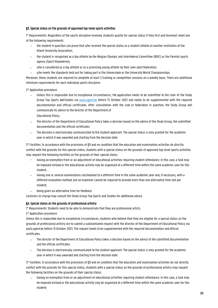#### §3. Special status on the grounds of approved top-level sports activities

1° Requirements: Regardless of the sports discipline involved, students qualify for special status if they first and foremost meet one of the following requirements:

- − the student in question can prove that s/he received the special status as a student athlete at another institution of the Ghent University Association;
- − the student is recognized as a top athlete by the Belgian Olympic and Interfederal Committee (BOIC) or the Flemish sports agency (Sport Vlaanderen);
- s/he is considered as a top athlete or as a promising young athlete by their own sport federation;
- − s/he meets the standards held out for taking part in the Universiade or the University World Championships.

Moreover, these students are required to complete at least 5 training or competition sessions on a weekly basis. There are additional minimum requirements for each individual sports discipline.

#### 2° Application procedure:

- Unless this is impossible due to exceptional circumstances, the application needs to be submitted to the chair of the Study Group Top Sports and Studies via **pasis.ugent.be** before 15 October 2021 and needs to be supplemented with the required documentation and official certificates. After consultation with the club or federation in question, the Study Group will communicate its advice to the director of the Department of Educational Policy.
- The director of the Department of Educational Policy takes a decision based on the advice of the Study Group, the submitted documentation and the official certificates.
- The decision is electronically communicated to the student applicant. The special status is only granted for the academic year in which it was awarded and starting from the decision date.

3° Facilities: In accordance with the provisions of §9 and on condition that the education and examination activities do directly conflict with the grounds for this special status, students with a special status on the grounds of approved top-level sports activities may request the following facilities on the grounds of their special status:

- having an exemption from or an adjustment of educational activities requiring student attendance. In this case, a task may be imposed instead or the educational activity may be organised at a different time within the same academic year for this student;
- having one or several examinations rescheduled to a different time in the same academic year and, if necessary, with a different evaluation method, but an examiner cannot be required to provide more than one alternative time slot per student;
- being given an alternative time for feedback.

Lecturers-in-charge may consult the Study Group Top Sports and Studies for additional advice.

#### §4. Special status on the grounds of professional artistry

1° Requirements: Students need to be able to demonstrate that they are professional artists.

2° Application procedure:

Unless this is impossible due to exceptional circumstances, students who believe that they are eligible for a special status on the grounds of professional artistry are to submit a substantiated request with the director of the Department of Educational Policy via oasis.ugent.be before 15 October 2021. The request needs to be supplemented with the required documentation and official certificates.

- The director of the Department of Educational Policy takes a decision based on the advice of the submitted documentation and the official certificates.
- The decision is electronically communicated to the student applicant. The special status is only granted for the academic year in which it was awarded and starting from the decision date.

3° Facilities: In accordance with the provisions of §9 and on condition that the education and examination activities do not directly conflict with the grounds for this special status, students with a special status on the grounds of professional artistry may request the following facilities on the grounds of their special status:

having an exemption from or an adjustment of educational activities requiring student attendance. In this case, a task may be imposed instead or the educational activity may be organised at a different time within the same academic year for this student;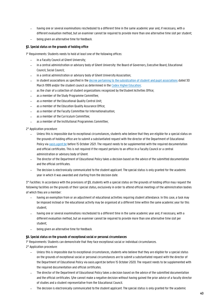- having one or several examinations rescheduled to a different time in the same academic year and, if necessary, with a different evaluation method, but an examiner cannot be required to provide more than one alternative time slot per student;
- being given an alternative time for feedback.

#### §5. Special status on the grounds of holding office

1° Requirements: Students needs to hold at least one of the following offices:

- − in a Faculty Council at Ghent University;
- − in a central administration or advisory body of Ghent University: the Board of Governors, Executive Board, Educational Council, Social Council;
- in a central administration or advisory body of Ghent University Association;
- in student associations as specified in the [decree pertaining to the subsidization of student and pupil associations](http://data-onderwijs.vlaanderen.be/edulex/document.aspx?docid=12410) dated 30 March 1999 and/or the student council as determined in the [Codex Higher](https://data-onderwijs.vlaanderen.be/edulex/document.aspx?docid=14650) Education;
- as the chair of a collection of student organizations recognized by the Student Activities Office;
- as a member of the Study Programme Committee;
- as a member of the Educational Quality Control Unit;
- as a member of the Education Quality Assurance Office;
- as a member of the Faculty Committee for Internationalisation;
- as a member of the Curriculum Committee;
- as a member of the Institutional Programmes Committee;

2° Application procedure:

- − Unless this is impossible due to exceptional circumstances, students who believe that they are eligible for a specialstatus on the grounds of holding office are to submit a substantiated request with the director of the Department of Educational Policy vi[a oasis.ugent.be](http://oasis.ugent.be/) before 15 October 2021. The request needs to be supplemented with the required documentation and official certificates. This is not required if the request pertains to an office in a Faculty Council or a central administration or advisory body of Ghent.
- The director of the Department of Educational Policy takes a decision based on the advice of the submitted documentation and the official certificates.
- The decision is electronically communicated to the student applicant. The special status is only granted for the academic year in which it was awarded and starting from the decision date.

3° Facilities: In accordance with the provisions of §9, students with a special status on the grounds of holding office may request the following facilities on the grounds of their special status, exclusively in order to attend official meetings of the administration bodies of which they are a member:

- having an exemption from or an adjustment of educational activities requiring student attendance. In this case, a task may be imposed instead or the educational activity may be organised at a different time within the same academic year for this student;
- having one or several examinations rescheduled to a different time in the same academic year and, if necessary, with a different evaluation method, but an examiner cannot be required to provide more than one alternative time slot per student;
- being given an alternative time for feedback.

#### §6. Special status on the grounds of exceptional social or personal circumstances

1° Requirements: Students can demonstrate that they face exceptional social or individual circumstances.

2° Application procedure:

- Unless this is impossible due to exceptional circumstances, students who believe that they are eligible for a special status on the grounds of exceptional social or personal circumstances are to submit a substantiated request with the director of the Department of Educational Policy via oasis.ugent.be before 15 October 2020.The request needs to be supplemented with the required documentation and official certificates.
- The director of the Department of Educational Policy takes a decision based on the advice of the submitted documentation and the official certificates. S/he cannot make a negative decision without having gained the prior advice of a faculty director of studies and a student representative from the Educational Council.
- The decision is electronically communicated to the student applicant. The special status is only granted for the academic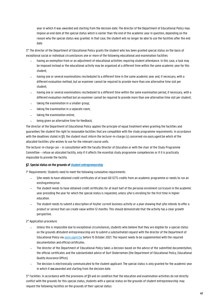year in which it was awarded and starting from the decision date.The director of the Department of Educational Policy may impose an end date of the special status which is earlier than the end of the academic year in question, depending on the reason why the special status was granted. In that case, the student will no longer be able to use the facilities after the end date.

3° The director of the Department of Educational Policy grants the student who has been granted special status on the basis of exceptional social or individual circumstances one or more of the following educational and examination facilities:

- − having an exemption from or an adjustment of educational activities requiring student attendance. In this case, a task may be imposed instead or the educational activity may be organised at a different time within the same academic year for this student;
- having one or several examinations rescheduled to a different time in the same academic year and, if necessary, with a different evaluation method, but an examiner cannot be required to provide more than one alternative time slot per student;
- having one or several examinations rescheduled to a different time within the same examination period, if necessary, with a different evaluation method but an examiner cannot be required to provide more than one alternative time slot per student;
- taking the examination in a smaller group;
- taking the examination in a separate room;
- taking the examination online:
- being given an alternative time for feedback;

The director of the Department of Educational Policy applies the principle of equal treatment when granting the facilities and guarantees the student the right to reasonable facilities that are compatible with the study programme requirements. In accordance with the deadlines stated in §9, the student must inform the lecturer-in-charge (s) concerned via oasis.ugent.be which of the allocated facilities s/he wishes to use for the relevant course units.

The lecturer-in-charge can – in consultation with the faculty Director of Education or with the chair of the Study Programme Committee – refuse an allocated facility, only if it affects the essential study programme competencies or if it is practically impossible to provide the facility.

#### §7. Special status on the grounds of student entrepreneurship

1° Requirements: Students need to meet the following cumulative requirements:

- − S/he needs to have obtained credit certificates of at least 60 ECTS credits from an academic programme or needs to run an existingenterprise.
- The student needs to have obtained credit certificates for at least half of the personal enrolment curriculum in the academic year preceding the year for which the special status is requested, unless s/he is enrolling for the first time in higher education.
- The student needs to submit a description of his/her current business activity or a plan showing that s/he intends to offer a product or service that can create value within 12 months. This should demonstrate that the activity has a clear growth perspective.

2° Application procedure:

- Unless this is impossible due to exceptional circumstances, students who believe that they are eligible for a special status on the grounds of student entrepreneurship are to submit a substantiated request with the director of the Department of Educational Policy via **pasis.ugent.be** before 15 October 2021. The request needs to be supplemented with the required documentation and officialcertificates.
- The director of the Department of Educational Policy takes a decision based on the advice of the submitted documentation, the official certificates and the substantiated advice of Durf Ondernemen (the Department of Educational Policy, Educational Quality Assurance Office).
- The decision is electronically communicated to the student applicant. The special status is only granted for the academic year in which it was awarded and starting from the decision date.

3° Facilities: In accordance with the provisions of §9 and on condition that the education and examination activities do not directly conflict with the grounds for this special status, students with a special status on the grounds of student entrepreneurship may request the following facilities on the grounds of their special status: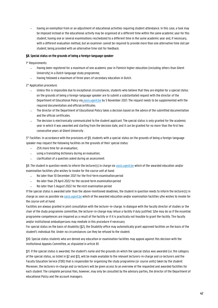having an exemption from or an adjustment of educational activities requiring student attendance. In this case, a task may be imposed instead or the educational activity may be organised at a different time within the same academic year for this student; having one or several examinations rescheduled to a different time in the same academic year and, if necessary, with a different evaluation method, but an examiner cannot be required to provide more than one alternative time slot per student; being provided with an alternative time slot for feedback.

#### §8. Special status on the grounds of being a foreign-language speaker

1° Requirements:

- − Having been registered for a maximum of one academic year in Flemish higher education (including others than Ghent University) in a Dutch-language study programme;
- − Having followed a maximum of three years of secondary education in Dutch.

2° Application procedure:

- Unless this is impossible due to exceptional circumstances, students who believe that they are eligible for a special status on the grounds of being a foreign-language speaker are to submit a substantiated request with the director of the Department of Educational Policy via pasis.ugent.be by 5 November 2021. The request needs to be supplemented with the required documentation and officialcertificates.
- The director of the Department of Educational Policy takes a decision based on the advice of the submitted documentation and the official certificates.
- The decision is electronically communicated to the student applicant. The special status is only granted for the academic year in which it was awarded and starting from the decision date, and it can be granted for no more than the first two consecutive years at Ghent University .

3° Facilities: In accordance with the provisions of §9, students with a special status on the grounds of being a foreign-language speaker may request the following facilities on the grounds of their special status:

- − 25% more time for an evaluation;
- using a translating dictionary during an evaluation;
- − clarification of a question asked during an assessment.

§9. The student in question needs to inform the lecturer(s) in charge via oasis.ugent.be which of the awarded education and/or examination facilities s/he wishes to invoke for the course unit at hand:

- − No later than 10 December 2021 for the first-term examinationperiod
- − No later than 29 April 2022 for the second-term examinationperiod
- − No later than 5 August 2022 for the resit examination period

If the special status is awarded later than the above-mentioned deadlines, the student in question needs to inform the lecturer(s) in charge as soon as possible via **pasis.ugent.be which of the awarded education and/or** examination facilities s/he wishes to invoke for the course unit at hand.

Facilities are always granted in joint consultation with the lecturer-in-charge. In dialogue with the faculty director of studies or the chair of the study programme committee, the lecturer-in-charge may refuse a facility if duly justified. S/he may do so if the essential programme competences are impaired as a result of the facility or if it is practically not feasible to grant the facility. The faculty and/or institutional ombudspersons may mediate in this procedure if necessary.

For special status on the basis of disability (§2), the Disability office may automatically grant approved facilities on the basis of the student's individual file. Under no circumstances can they be refused to the student.

§10. Special status students who are denied any education or examination facilities may appeal against this decision with the Institutional Appeals Committee, as stipulated in article 81.

§11. If the special status is awarded, the student's name and the grounds on which the special status was awarded (i.e. the category of the special status, as listed in §2 and §3), will be made available to the relevant lecturers-in-charge and co-lecturers and the Faculty Education Service (FDO) that is responsible for organising the study programme (or course units) taken by the student. Moreover, the lecturers-in-charge and co-lecturers will be given access to an overview of the requested and awarded facilities for each student. The complete personal files, however, may only be consulted by the advisory parties, the director of the Department of educational Policy and the account managers.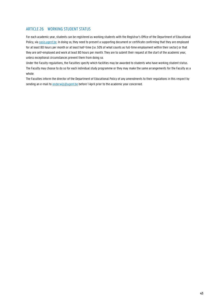## ARTICLE 26 WORKING STUDENT STATUS

For each academic year, students can be registered as working students with the Registrar's Office of the Department of Educational Policy, via **oasis.ugent.be.** In doing so, they need to present a supporting document or certificate confirming that they are employed for at least 80 hours per month or at least half-time (i.e. 50% of what counts as full-time employment within their sector) or that they are self-employed and work at least 80 hours per month. They are to submit their request at the start of the academic year, unless exceptional circumstances prevent them from doing so.

Under the Faculty regulations, the Faculties specify which facilities may be awarded to students who have working student status. The Faculty may choose to do so for each individual study programme or they may make the same arrangements for the Faculty as a whole.

The Faculties inform the director of the Department of Educational Policy of any amendments to their regulations in this respect by sending an e-mail to **onderwijs@ugent.be** before 1 April prior to the academic year concerned.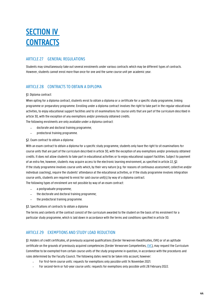## **SECTION IV CONTRACTS**

## ARTICLE 27 GENERAL REGULATIONS

Students may simultaneously take out several enrolments under various contracts which may be different types of contracts. However, students cannot enrol more than once for one and the same course unit per academic year.

## ARTICLE 28 CONTRACTS TO OBTAIN A DIPLOMA

#### §1. Diploma contract:

When opting for a diploma contract, students enrol to obtain a diploma or a certificate for a specific study programme, linking programme or preparatory programme. Enrolling under a diploma contract involves the right to take part in the regular educational activities, to enjoy educational support facilities and to sit examinations for course units that are part of the curriculum described in article 30, with the exception of any exemptions and/or previously obtained credits. The following enrolments are only available under a diploma contract:

− doctorate and doctoral training programme;

− predoctoral training programme.

#### §2. Exam contract to obtain a diploma:

With an exam contract to obtain a diploma for a specific study programme, students only have the right to sit examinations for course units that are part of the curriculum described in article 30, with the exception of any exemptions and/or previously obtained credits. It does not allow students to take part in educational activities or to enjoy educational support facilities. Subject to payment of an extra fee, however, students may acquire access to the electronic learning environment, as specified in article 22, §2. If the study programme involves course units which, by their very nature (e.g. for reasons of continuous assessment, collective and/or individual coaching), require the students' attendance at the educational activities, or if the study programme involves integration course units, students are required to enrol for said course unit(s) by way of a diploma contract.

The following types of enrolment are not possible by way of an exam contract:

- − a postgraduate programme;
- − the doctorate and doctoral training programme;
- − the predoctoral training programme.

§3. Specifications of contracts to obtain a diploma

The terms and contents of the contract consist of the curriculum awarded to the student on the basis of his enrolment for a particular study programme, which is laid down in accordance with the terms and conditions specified in article 30.

## ARTICLE 29 EXEMPTIONS AND STUDY LOAD REDUCTION

§1. Holders of credit certificates, of previously acquired qualifications (Eerder Verworven Kwalificaties, EVK) or of an aptitude certificate on the grounds of previously acquired competencies (Eerder Verworven Competenties, EVC), may request the Curriculum Committee to be exempted from certain course units of the study programme in question, in accordance with the procedures and rules determined by the Faculty Council. The following dates need to be taken into account, however:

- For first-term course units: requests for exemptions only possible until 14 November 2021.
- For second-term or full-year course units: requests for exemptions only possible until 28 February 2022.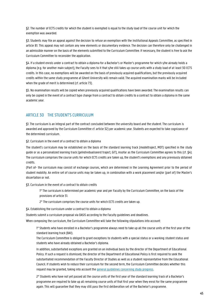§2. The number of ECTS credits for which the student is exempted is equal to the study load of the course unit for which the exemption was awarded.

§3. Students may file an appeal against the decision to refuse an exemption with the Institutional Appeals Committee, as specified in article 81. This appeal may not contain any new elements or documentary evidence. The decision can therefore only be challenged in an admissible manner on the basis of the elements submitted to the Curriculum Committee. If necessary, the student is free to ask the Curriculum Committee to reconsider the application.

§4. If a student enrols under a contract to obtain a diploma for a Bachelor's or Master's programme for which s/he already holds a diploma (e.g. for another main subject), the Faculty sees to it that s/he still takes up course units with a study load of at least 30 ECTS credits. In this case, no exemptions will be awarded on the basis of previously acquired qualifications, but the previously acquired credits within the same study programme at Ghent University will remain valid. The acquired examination marks will be included when the grade of merit is determined (cf. article 73).

§5. No examination results will be copied when previously acquired qualifications have been awarded. The examination results can only be copied in the event of a contract type change from a contract to obtain credits to a contract to obtain a diploma in the same academic year.

## ARTICLE 30 THE STUDENT'S CURRICULUM

§1. The curriculum is an integral part of the contract concluded between the university board and the student. The curriculum is awarded and approved by the Curriculum Committee cf. article 32) per academic year. Students are expected to take cognizance of the determined curriculum.

§2. Curriculum in the event of a contract to obtain a diploma

The student's curriculum may be established on the basis of the standard learning track (modeltraject, MOT) specified in the study guide or as a personalized learning track (geïndividualiseerd traject, GIT), insofar as the Curriculum Committee agrees to this (cf. §4). The curriculum comprises the course units for which ECTS credits are taken up, the student's exemptions and any previously obtained credits.

(Part of- the curriculum may consist of exchange courses, which are determined in the Learning Agreement prior to the period of student mobility. An entire set of course units may be taken up, in combination with a work placement and/or (part of) the Master's dissertation or not.

§3. Curriculum in the event of a contract to obtain credits

1° The curriculum is determined per academic year and per Faculty by the Curriculum Committee, on the basis of the provisions of article 31.

2° The curriculum comprises the course units for which ECTS credits are taken up.

§4. Establishing the curriculum under a contract to obtain a diploma

Students submit a curriculum proposal via OASIS according to the Faculty guidelines and deadlines.

When composing the curriculum, the Curriculum Committee will take the following stipulations into account:

1° Students who have enrolled in a Bachelor's programme always need to take up all the course units of the first year of the standard learning track (BA1).

The Curriculum Committee is obliged to grant exceptions to students with a special status or a working student status and students who have already obtained a Bachelor's diploma.

In addition, substantiated exceptions are granted on an individual basis by the director of the Department of Educational Policy. If such a request is dismissed, the director of the Department of Educational Policy is first required to seek the substantiated recommendation of the Faculty Director of Studies as well as a student representative from the Educational Council. If students wish to reduce their curriculum for the second term, the Curriculum Committee decides whether this request may be granted, taking into account the general guidelines concerning study progress.

2° Students who have not yet passed all the course units of the first year of the standard learning track of a Bachelor's programme are required to take up all remaining course units of that first year when they enrol for the same programme again. This will guarantee that they may still pass the first deliberation set of the Bachelor's programme.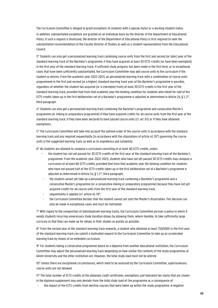The Curriculum Committee is obliged to grant exceptions to students with a special status or a working student status. In addition, substantiated exceptions are granted on an individual basis by the director of the Department of Educational Policy. If such a request is dismissed, the director of the Department of Educational Policy is first required to seek the substantiated recommendation of the Faculty Director of Studies as well as a student representative from the Educational Council.

3° Students can only get a personalized learning track combining course units from the first and second (or later) year of the standard learning track of the Bachelor's programme, if they have acquired at least 30 ECTS-credits (or have been exempted) in the first year of the standard learning track. If sufficient study progress has been made in the first term, or in exceptional cases that have been sufficiently substantiated, the Curriculum Committee may add course units to the curriculum if the student so desires. From the academic year 2022-2023, an personalized learning track with a combination of course units programmed in the first and second (or a higher) standard learning trackyear of the Bachelor's programme is possible, regardless of whether the student has acquired (or is exempted from) at least 30 ECTS-credits in the first year of the standard learning track, provided that from that academic year the binding condition for students who failed for half of the ECTS-credits taken up in the first deliberation set of a Bachelor's programme is adjusted as determined in Article 24, § 1, 2°, third paragraph.

4° Students can only get a personalized learning track combining the Bachelor's programme and consecutive Master's programme (or linking or preparatory programme) if they have acquired credits for all course units from the first year of the standard learning track, if they have been declared to have passed course units (cf. art. 67) or if they have obtained exemptions.

5° The Curriculum Committee will take into account the optimal order of the course units in accordance with the standard learning track and any required sequentiality (in accordance with the stipulations of article 41, 10°) governing the course units in the suggested learning track, as well as its expediency and suitability.

6° All students are allowed to compose a curriculum consisting of at least 60 ECTS-credits, unless

- − the student has not yet passed for 30 ECTS-credits of the first year of the standard learning track of the Bachelor's programme. From the academic year 2022-2023, students who have not yet passed 30 ECTS-credits may compose a curriculum of at least 60 ECTS-credits, provided that from that academic year the binding condition for students who have not passed half of the ECTS-credits taken up in the first deliberation set of a Bachelor's programme is adjusted as determined in Article 24, § 1, 2°, third paragraph;
- the student cannot yet take up a personalized learning track combining a Bachelor's programme and a consecutive Master's programme (or a consecutive linking or preparatory programme) because they have not yet acquired credits for all course units from the first year of the standard learning track;
- sequentiality is applied (cf. article 41, 10°;
- the Curriculum Committee decides that the student cannot yet start the Master's dissertation. This decision can only be made in exceptional cases and must be motivated.

7° With regard to the composition of individualized learning tracks, the Curriculum Committee pursues a policy in which it avoids students incurring unnecessary study duration delays by allowing them, where feasible, to take sufficiently large curricula so that they can make up for delays in their studies as quickly as possible.

8° From the second year of the standard learning track onwards, a student who obtained at least 750/1000 in the first year of the standard learning track can submit a motivated request to the Curriculum Committee to take up an accelerated learning track by means of an extended curriculum.

9° For students taking a consecutive programme based on a diploma from another educational institution, the Curriculum Committee may adjust the personalized learning track depending on how similar the contents of the study programmes at Ghent University and the other institution are. However, the total study load must not be altered.

10° Unless there are exceptional circumstances, which need to be assessed by the Curriculum Committee, supernumerary course units are not allowed.

11° The total number of ECTS-credits of the obtained credit certificates, exemptions and tolerated fail marks that are shown in the diploma supplement may only deviate from the total study load of the programme as a consequence of

the impact of the ECTS-credits from elective courses that were taken up within the study programme. A negative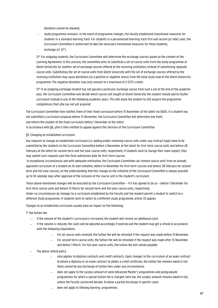deviation cannot be allowed;

- study programme revisions: in the event of programme changes, the faculty established transitional measures for students in a standard learning track. For students in a personalized learning track first and second (or later) year, the Curriculum Committee is authorized to take the necessary transitional measures for these students;
- exchange (cf. 12°)

12° For outgoing students, the Curriculum Committee will determine the exchange courses based on the content of the Learning Agreement. In this process, the committee aims to substitute a set of course units from the study programme at Ghent University for another set of exchange courses offered at the receiving institution, instead of substituting separate course units. Substituting the set of course units from Ghent University with the set of exchange courses offered by the receiving institution may cause deviations (in a positive or negative sense) from the total study load of the Ghent University programme. The negative deviation may only amount to a maximum of 2 ECTS-credits.

13° If an outgoing exchange student has not passed a particular exchange course from such a set at the end of the academic year, the Curriculum Committee will decide which course unit taught at Ghent University the student should add to his/her curriculum instead in one of the following academic years. This will allow the student to still acquire the programme competences that s/he has not yet acquired.

The Curriculum Committee then notifies them of their fixed curriculum before 15 November at the latest via OASIS. If a student has not submitted a curriculum proposal before 15 November, the Curriculum Committee will determine one itself, and inform the student of the fixed curriculum before 1 December at the latest. In accordance with §6, s/he is then entitled to appeal against this decision of the Curriculum Committee.

#### §5. Changing an established curriculum

Any requests to change an established curriculum (i.e. adding and/or removing course units under any contract type) need to be submitted by the students to the Curriculum Committee before 4 November at the latest for first-term course units and before 28 February at the latest for second-term and full-year course units, respectively. If students wish to change their main subject, they may submit such requests past this final submission date for first-term courses.

In exceptional circumstances and with adequate motivation, the Curriculum Committee can remove course units from an already approved curriculum of a student on its own initiative, before 14 November for first-term courses and before 28 February for secondterm and full-year courses, on the understanding that this change on the initiative of the Curriculum Committee is always possible up to 10 calendar days after approval of the inclusion of the course unit in the student's curriculum.

These above-mentioned changes will be executed by the Curriculum Committee – if it has agreed to do so – before 1 December for first-term course units and before 15 March for second-term and full-year course units, respectively. Under no circumstances do changes to a curriculum established by the Faculty and the student permit a student to switch to a different study programme. If students wish to switch to a different study programme, article 33 applies.

Changes to an established curriculum usually have an impact on the following:

1° the tuition fee:

- − If the volume of the student's curriculum is increased, the student will receive an additionalclaim.
- − If the volume is reduced, the claim will be adjusted accordingly if need be and the student may get a refund in accordance with the following stipulations:
	- For all course units involved, the tuition fee will be refunded if the request was made before 15 November.
	- − For second-term course units, the tuition fee will be refunded if the request was made after 15 November and before 1 March. For full-year course units, the tuition fee will remain payable.
- The above refund policy
	- − only applies to diploma contracts and credit contracts. Upon changes to the curriculum of an exam contract to obtain a diploma or an exam contract to obtain a credit certificate, the tuition fee remains owed in full: there cannot be any discharge of tuition fees under anycircumstances.
	- − does not apply to the surplus amount of some Advanced Master's programmes and postgraduate programmes for which a special tuition fee is charged: here too, the surplus amount remains owed in full, unless the Faculty concerned decides to allow a partial discharge in specific cases.
	- − does not apply to lifelong learning programmes.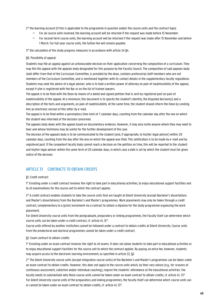2° the learning account (if this is applicable to the programme in question and/or the course units and the contract type):

- − For all course units involved, the learning account will be returned if the request was made before 15 November.
- − For second-term course units, the learning account will be returned if the request was made after 15 November and before 1 March. For full-year course units, the tuition fee will remain payable.

3° the calculation of the study progress measures in accordance with article 24 §4.

#### §6. Possibility of appeal:

Students may file an appeal against an unfavourable decision on their application concerning the composition of a curriculum. They may file this appeal with the appeals body designated for this purpose by the Faculty Council. The composition of said appeals body shall differ from that of the Curriculum Committee, is presided by the dean, contains professorial staff members who are not members of the Curriculum Committee, and is mentioned together with its contact details in the supplementary faculty regulations. Students may seek the advice of a legal adviser, who is to hold a written power of attorney on pain of inadmissibility of the appeal, except if s/he is registered with the Bar or on the list of trainee lawyers.

The appeal is to be filed with the Dean by means of a dated and signed petition that is sent by registered post on pain of inadmissibility of the appeal. At a minimum, this document is to specify the student's identity, the disputed decision(s) and a description of the facts and arguments, on pain of inadmissibility. At the same time, the student should inform the Dean by sending him an electronic version of this letter by e-mail.

The appeal is to be filed within a peremptory time limit of 7 calendar days, counting from the calendar day after the one on which the student was informed of the decision concerned.

The appeals body deals with the appeal based on documentary evidence. However, it may also invite anyone whom they may need to hear and whose testimony may be useful for the further development of the case.

The decision of the appeals body is to be communicated to the student (and, if appropriate, to his/her legal adviser) within 20 calendar days, counting from the day after the one on which the appeal was filed. This notification is to be made by e-mail and by registered post. If the competent faculty body cannot reach a decision on the petition on time, this will be reported to the student and his/her legal adviser within the same term of 20 calendar days, in which case a date is set by which the student must be given notice of the decision.

## ARTICLE 31 CONTRACTS TO OBTAIN CREDITS

#### §1. Credit contract:

1° Enrolling under a credit contract involves the right to take part in educational activities, to enjoy educational support facilities and to sit examinations for the course unit to which the contract applies.

2° A credit contract enables students to take the course units that are taught at Ghent University (except Bachelor's dissertations and Master's dissertations) from the Bachelor's and Master's programmes. Work placements may only be taken through a credit contract, complementary to a (prior) enrolment via a contract to obtain a diploma for the study programme organizing the work placement.

For Ghent University course units from the postgraduate, preparatory or linking programmes, the Faculty itself can determine which course units can be taken under a credit contract, cf. article 41, 12°.

Course units offered by another institution cannot be followed under a contract to obtain credits at Ghent University. Course units from the predoctoral and doctoral programmes cannot be taken under a credit contract.

#### §2. Exam contract to obtain credits:

1° Enrolling under an exam contract involves the right to sit exams. It does not allow students to take part in educational activities or to enjoy educational support facilities for the course unit to which the contract applies. By paying an extra fee, however, students may acquire access to the electronic learning environment, as specified in article 22, §2.

2° The Ghent University course units (except integration course units) of the Bachelor's and Master's programmes can be taken under an exam contract to obtain credits. However, this does not apply to the course units which, by their very nature (e.g., for reasons of continuous assessment, collective and/or individual coaching), require the students' attendance at the educational activities: the faculty needs to substantiate why these course units cannot be taken under an exam contract to obtain credits, cf. article 41, 13°. For Ghent University course units of the preparatory and linking programmes, the faculty itself can determine which course units can or cannot be taken under an exam contract to obtain credits, cf. article 41, 13°.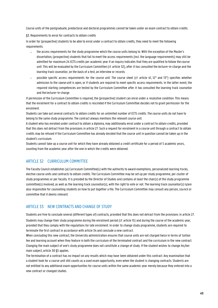Course units of the postgraduate, predoctoral and doctoral programmes cannot be taken under an exam contract to obtain credits.

§3. Requirements to enrol for contracts to obtain credits

In order for (prospective) students to be able to enrol under a contract to obtain credits, they need to meet the following requirements:

- − the access requirements for the study programme which the course units belong to. With the exception of the Master's dissertation, (prospective) students that fail to meet the access requirements (incl. the language requirements) may still be admitted for maximum 24 ECTS credits per academic year if an inquiry indicates that they are qualified to follow the course unit. This will be evaluated by the Curriculum Committee (cf. article 32), after it has consulted the lecturer-in-charge and the learning track counsellor, on the basis of a test, an interview or records.
- possible specific access requirements for the course unit. The course sheet (cf. article 41, 12° and 13°) specifies whether admission to the course unit is open, or if students are required to meet specific access requirements. In the latter event, the required starting competencies are tested by the Curriculum Committee after it has consulted the learning track counsellor and the lecturer-in-charge.

If permission of the Curriculum Committee is required, the (prospective) student can enrol under a resolutive condition. This means that the enrolment for a contract to obtain credits is rescinded if the Curriculum Committee decides not to grant permission for the enrolment.

Students can take out several contracts to obtain credits for an unlimited number of ECTS credits. The course units do not have to belong to the same study programme. The contract always mentions the relevant course unit.

A student who has enrolled under contract to obtain a diploma, may additionally enrol under a contract to obtain credits, provided that this does not detract from the provisions in article 27. Such a request for enrolment in a course unit through a contract to obtain credits may be refused if the Curriculum Committee has already decided that the course unit in question cannot be taken up in the student's curriculum.

Students cannot take up a course unit for which they have already obtained a credit certificate for a period of 5 academic years, counting from the academic year after the one in which the credits were obtained.

## ARTICLE 32 CURRICULUM COMMITTEE

The Faculty Council establishes (a) Curriculum Committee(s) with the authority to award exemptions, personalized learning tracks, elective course units and contracts to obtain credits. The Curriculum Committee may be set up per study programme, per cluster of study programmes or per faculty. It is presided by the Director of Studies and contains at least the chair(s) of the study programme committee(s) involved, as well as the learning track counsellor(s), with the right to vote or not. The learning track counsellor(s) is/are also responsible for counselling students on how to put together a file. The Curriculum Committee may consult any person, council or committee that it deems relevant.

## ARTICLE 33 NEW CONTRACTS AND CHANGE OF STUDY

Students are free to conclude several (different types of) contracts, provided that this does not detract from the provisions in article 27.

Students may change their study programme during the enrolment period (cf. article 15) and during the course of the academic year, provided that they comply with the regulations for late enrolment. In order to change study programme, students are required to terminate the first contract in accordance with article 34 and conclude a new contract.

When concluding this new contract, the University administration ensures that course units are not charged twice in terms of tuition fee and learning account when they feature in both the curriculum of the terminated contract and the curriculum in the new contract. Changing the main subject of one's study programme does not constitute a change of study. If the student wishes to change his/her main subject, article 30 §5 applies.

The termination of a contract has no impact on any results which may have been obtained under this contract. Any examination that a student took for a course unit still counts as a used exam opportunity, even when the student is changing contracts. Students are not entitled to any additional exam opportunities for course units within the same academic year merely because they entered into a new contract or changed studies.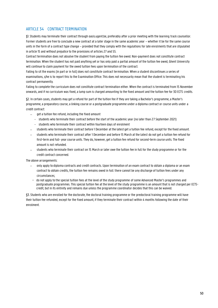## ARTICLE 34 CONTRACT TERMINATION

§1. Students may terminate their contract through oasis.ugent.be, preferably after a prior meeting with the learning track counsellor. Former students are free to conclude a new contract at a later stage in the same academic year – whether it be for the same course units in the form of a contract type change – provided that they comply with the regulations for late enrolments that are stipulated in article 15 and without prejudice to the provisions of articles 27 and 55.

Contract termination does not absolve the student from paying the tuition fee owed. Non-payment does not constitute contract termination. When the student has not paid anything yet or has only paid a partial amount of the tuition fee owed, Ghent University will continue to claim payment for the owed tuition fees upon termination of the contract.

Failing to sit the exams (in part or in full) does not constitute contract termination. When a student discontinues a series of examinations, s/he is to report this to the Examination Office. This does not necessarily mean that the student is terminating his contract permanently.

Failing to complete the curriculum does not constitute contract termination either. When the contract is terminated from 15 November onwards, and if no curriculum was fixed, a lump sum is charged amounting to the fixed amount and the tuition fee for 30 ECTS credits.

§2. In certain cases, students may get a refund for part of the tuition fee if they are taking a Bachelor's programme, a Master's programme, a preparatory course, a linking course or a postgraduate programme under a diploma contract or course units under a credit contract:

- qet a tuition fee refund, including the fixed amount
	- students who terminate their contract before the start of the academic year (no later than 27 September 2021)
	- students who terminate their contract within fourteen days of enrolment
- − students who terminate their contract before 1 December at the latest get a tuition fee refund, except for the fixed amount.
- − students who terminate their contract after 1 December and before 15 March at the latest do not get a tuition fee refund for first-term and full- year course units. They do, however, get a tuition fee refund for second-term course units. The fixed amount is not refunded.
- students who terminate their contract on 15 March or later owe the tuition fee in full for the study programme or for the credit contract concerned.

The above arrangements:

- − only apply to diploma contracts and credit contracts. Upon termination of an exam contract to obtain a diploma or an exam contract to obtain credits, the tuition fee remains owed in full: there cannot be any discharge of tuition fees under any circumstances;
	- − do not apply to the special tuition fees at the level of the study programme of some Advanced Master's programmes and postgraduate programmes. This special tuition fee at the level of the study programme is an amount that is not charged per ECTScredit, but in its entirety and remains due unless the programme coordinator decides that this can be waived.

§3. Students who are enrolled for the doctorate, the doctoral training programme or the predoctoral training programme will have their tuition fee refunded, except for the fixed amount, if they terminate their contract within 4 months following the date of their enrolment.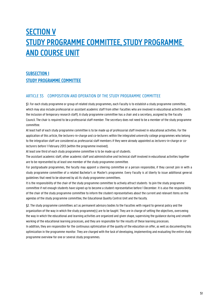## **SECTION V** STUDY PROGRAMME COMMITTEE, STUDY PROGRAMME AND COURSE UNIT

## SUBSECTION I STUDY PROGRAMME COMMITTEE

## ARTICLE 35 COMPOSITION AND OPERATION OF THE STUDY PROGRAMME COMMITTEE

§1. For each study programme or group of related study programmes, each Faculty is to establish a study programme committee, which may also include professorial or assistant academic staff from other Faculties who are involved in educational activities (with the inclusion of temporary research staff). A study programme committee has a chair and a secretary, assigned by the Faculty Council. The chair is required to be a professorial staff member. The secretary does not need to be a member of the study programme committee.

At least half of each study programme committee is to be made up of professorial staff involved in educational activities. For the application of this article, the lecturers-in-charge and co-lecturers within the integrated university college programmes who belong to the integration staff are considered as professorial staff members if they were already appointed as lecturers-in-charge or colecturers before 1 February 2013 (within the programme involved).

At least one third of each study programme committee is to be made up of students.

The assistant academic staff, other academic staff and administrative and technical staff involved in educational activities together are to be represented by at least one member of the study programme committee.

For postgraduate programmes, the faculty may appoint a steering committee or a person responsible, if they cannot join in with a study programme committee of a related Bachelor's or Master's programme. Every Faculty is at liberty to issue additional general guidelines that need to be observed by all its study programme committees.

It is the responsibility of the chair of the study programme committee to actively attract students to join the study programme committee if not enough students have signed up to become a student representative before 1 December. It is also the responsibility of the chair of the study programme committee to inform the student representatives about the current and relevant items on the agendas of the study programme committee, the Educational Quality Control Unit and the faculty.

§2. The study programme committees act as permanent advisory bodies to the Faculties with regard to general policy and the organization of the way in which the study programme(s) are to be taught. They are in charge of setting the objectives, overseeing the way in which the educational and learning activities are organized and given shape, supervising the guidance during and smooth working of the educational learning processes, and they are responsible for the results of these learning processes.

In addition, they are responsible for the continuous optimization of the quality of the education on offer, as well as documenting this optimization in the programme monitor. They are charged with the task of developing, implementing and evaluating the entire study programme overview for one or several study programmes.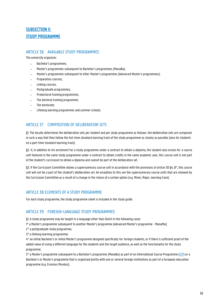## SUBSECTION II STUDY PROGRAMME

## ARTICLE 36 AVAILABLE STUDY PROGRAMMES

The university organizes:

- − Bachelor's programmes;
- − Master's programmes subsequent to Bachelor's programmes (ManaBa);
- − Master's programmes subsequent to other Master's programmes (Advanced Master's programmes);
- − Preparatory courses;
- − Linking courses;
- − Postgraduate programmes;
- − Predoctoral training programmes;
- The doctoral training programme;
- The doctorate;
- Lifelong learning programmes and summer schools.

## ARTICLE 37 COMPOSITION OF DELIBERATION SETS

§1. The faculty determines the deliberation sets per student and per study programme as follows: the deliberation sets are composed in such a way that they follow the full-time standard learning track of the study programme as closely as possible (also for students on a part-time standard learning track).

§2. If, in addition to his enrolment for a study programme under a contract to obtain a diploma, the student also enrols for a course unit featured in the same study programme under a contract to obtain credits in the same academic year, this course unit is not part of the student's curriculum to obtain a diploma and cannot be part of the deliberation set.

§3. If the Curriculum Committee allows a supernumerary course unit in accordance with the provisions of article 30 \$4, 8°, this course unit will not be a part of the student's deliberation set. An exception to this are the supernumerary course units that are allowed by the Curriculum Committee as a result of a change in the choice of a certain option (e.g. Minor, Major, learning track).

## ARTICLE 38 ELEMENTS OF A STUDY PROGRAMME

For each study programme, the study programme sheet is included in the study guide.

## ARTICLE 39 FOREIGN-LANGUAGE STUDY PROGRAMMES

§1. A study programme may be taught in a language other than Dutch in the following cases:

1° a Master's programme subsequent to another Master's programme (Advanced Master's programme - ManaMa);

- 2° a postgraduate study programme;
- 3° a lifelong learning programme;

4° an initial Bachelor's or initial Master's programme designed specifically for foreign students, or if there is sufficient proof of the added value of using a different language for the students and the target audience, as well as the functionality for the study programme;

5° a Master's programme subsequent to a Bachelor's programme (ManaBa) as part of an International Course Programme (ICP) or a Bachelor's or Master's programme that is organized jointly with one or several foreign institutions as part of a European education programme (e.g. Erasmus Mundus);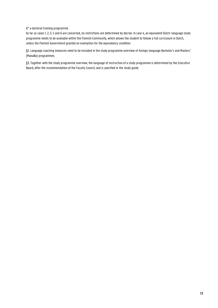#### 6° a doctoral training programme.

As far as cases 1, 2, 3, 5 and 6 are concerned, no restrictions are determined by decree. In case 4, an equivalent Dutch-language study programme needs to be available within the Flemish Community, which allows the student to follow a full curriculum in Dutch, unless the Flemish Government granted an exemption for the equivalency condition.

§2. Language coaching measures need to be included in the study programme overview of foreign-language Bachelor's and Masters' (ManaBa) programmes.

§3. Together with the study programme overview, the language of instruction of a study programme is determined by the Executive Board, after the recommendation of the Faculty Council, and is specified in the study guide.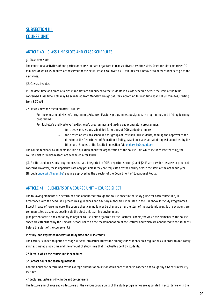## SUBSECTION III COURSE UNIT

## ARTICLE 40 CLASS TIME SLOTS AND CLASS SCHEDULES

#### §1. Class time slots

The educational activities of one particular course unit are organized in (consecutive) class time slots. One time slot comprises 90 minutes, of which 75 minutes are reserved for the actual lesson, followed by 15 minutes for a break or to allow students to go to the next class.

#### §2. Class schedules

1° The date, time and place of a class time slot are announced to the students in a class schedule before the start of the term concerned. Class time slots may be scheduled from Monday through Saturday, according to fixed time spans of 90 minutes, starting from 8:30 AM.

2° Classes may be scheduled after 7:00 PM:

- − For the educational Master's programme, Advanced Master's programmes, postgraduate programmes and lifelong learning programmes
- − For Bachelor's and Master-after-Bachelor's programmes and linking and preparatory programmes:
	- − for classes or sessions scheduled for groups of 200 students or more
	- − for classes or sessions scheduled for groups of less than 200 students, pending the approval of the director of the Department of Educational Policy, based on a substantiated request submitted by the Director of Studies of the faculty in question (via **onderwijs@ugent.be**)

The course feedback by students include a question about the organization of the course unit, which includes late teaching, for course units for which lessons are scheduled after 19:00.

§3. For the academic study programmes that are integrated in 2013, departures from §1 and §2, 1° are possible because of practical concerns. However, these departures are only possible if they are requested by the Faculty before the start of the academic year (through [onderwijs@ugent.be\)](mailto:onderwijs@ugent.be) and are approved by the director of the Department of Educational Policy.

## ARTICLE 41 ELEMENTS OF A COURSE UNIT – COURSE SHEET

The following elements are determined and announced through the course sheet in the study guide for each course unit, in accordance with the deadlines, procedures, guidelines and advisory authorities stipulated in the Handbook for Study Programmes. Except in case of force majeure, the course sheet can no longer be changed after the start of the academic year. Such deviations are communicated as soon as possible via the electronic learning environment.

(The present article does not apply to regular course units organized by the Doctoral Schools, for which the elements of the course sheet are established by the Doctoral School Board on the recommendation of the lecturer and which are announced to the students before the start of the course unit.)

#### 1° Study load expressed in terms of study time and ECTS credits

The Faculty is under obligation to stage surveys into actual study time amongst its students on a regular basis in order to accurately align estimated study time and the amount of study time that is actually spent by students.

#### 2° Term in which the course unit is scheduled

#### 3° Contact hours and teaching methods

Contact hours are determined by the average number of hours for which each student is coached and taught by a Ghent University lecturer.

#### 4° Lecturers: lecturers-in-charge and co-lecturers

The lecturers-in-charge and co-lecturers of the various course units of the study programmes are appointed in accordance with the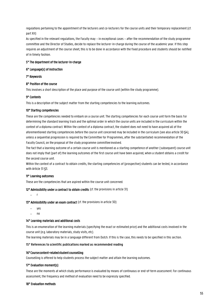regulations pertaining to the appointment of the lecturers and co-lecturers for the course units and their temporary replacement (cf. part XII)

As specified in the relevant regulations, the Faculty may – in exceptional cases – after the recommendation of the study programme committee and the Director of Studies, decide to replace the lecturer-in-charge during the course of the academic year. If this step requires an adjustment of the course sheet, this is to be done in accordance with the fixed procedure and students should be notified of in timely fashion.

#### 5° The department of the lecturer-in-charge

#### 6° Language(s) of instruction

7° Keywords

#### 8° Position of the course

This involves a short description of the place and purpose of the course unit (within the study programme).

#### 9° Contents

This is a description of the subject matter from the starting competencies to the learning outcomes.

#### 10° Starting competencies

These are the competencies needed to embark on a course unit. The starting competencies for each course unit form the basis for determining the standard learning track and the optimal order in which the course units are included in the curriculum within the context of a diploma contract. Within the context of a diploma contract, the student does not need to have acquired all of the aforementioned starting competencies before the course unit concerned may be included in the curriculum (see also article 30 \$4), unless a sequential progression is required by the Committee for Programmes, after the substantiated recommendation of the Faculty Council, on the proposal of the study programme committeeinvolved.

The fact that a learning outcome of a certain course unit is mentioned as a starting competence of another (subsequent) course unit does not imply that (part of) the learning outcomes of the first course unit have been acquired, when a student obtains a credit for the second course unit.

Within the context of a contract to obtain credits, the starting competencies of (prospective) students can be tested, in accordance with Article 31 §3.

#### 11° Learning outcomes

These are the competencies that are aspired within the course unit concerned.

12° Admissibility under a contract to obtain credits (cf. the provisions in article 31)

− r

13° Admissibility under an exam contract (cf. the provisions in article 30)

- − yes
- − no

#### 14° Learning materials and additional costs

This is an enumeration of the learning materials (specifying the exact or estimated price) and the additional costs involved in the course unit (e.g. laboratory materials, study visits, etc).

The learning materials may be in a language different from Dutch. If this is the case, this needs to be specified in this section.

#### **15° References to scientific publications marked as recommended reading**

#### 16° Course content-related student counselling

Counselling is offered to help students process the subject matter and attain the learning outcomes.

#### 17° Evaluation moment(s)

These are the moments at which study performance is evaluated by means of continuous or end-of-term assessment. For continuous assessment, the frequency and method of evaluation need to be expressly specified.

#### 18° Evaluation methods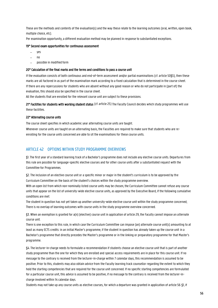These are the methods and contents of the evaluation(s) and the way these relate to the learning outcomes (oral, written, open book, multiple choice, etc).

Per examination opportunity, a different evaluation method may be planned in response to substantiated exceptions.

#### 19° Second exam opportunities for continuous assessment

- − yes
- − no
- − possible in modified form

#### 20° Calculation of the final marks and the terms and conditions to pass a course unit

If the evaluation consists of both continuous and end-of-term assessment and/or partial examinations (cf. article 50§5), then these marks are all factored in as part of the examination mark according to a fixed calculation that is determined in the course sheet. If there are any repercussions for students who are absent without any good reason or who do not participate in (part of) the evaluation, this should also be specified in the course sheet.

All the students that are enrolled for the relevant course unit are subject to these provisions.

21° Facilities for students with working student status (cf. article 25) The Faculty Council decides which study programmes will use these facilities.

#### 22° Alternating course units

The course sheet specifies in which academic year alternating course units are taught.

Whenever course units are taught on an alternating basis, the Faculties are required to make sure that students who are reenrolling for the course units concerned are able to sit the examinations for these course units.

#### ARTICLE 42 OPTIONS WITHIN STUDY PROGRAMME OVERVIEWS

§1. The first year of a standard learning track of a Bachelor's programme does not include any elective course units. Departures from this rule are possible for language-specific elective courses and for other course units after a substantiated request with the Committee for Programmes.

§2. The inclusion of an elective course unit or a specific minor or major in the student's curriculum is to be approved by the Curriculum Committee on the basis of the student's choices within the study programme overview.

With an open list from which non-nominally listed course units may be chosen, the Curriculum Committee cannot refuse any course units that appear on the list of university-wide elective course units, as approved by the Executive Board, if the following cumulative conditions are met:

The student in question has not yet taken up another university-wide elective course unit within the study programme concerned; There is no overlap of learning outcomes with course units in the study programme overview concerned.

§3. When an exemption is granted for a(n) (elective) course unit in application of article 29, the Faculty cannot impose an alternate course unit.

There is one exception to this rule, in which case the Curriculum Committee can impose (an) alternate course unit(s) amounting to at least as many ECTS credits: in an initial Master's programme, if the student in question has already taken up the course unit in a Bachelor's programme that directly precedes the Master's programme or in the linking or preparatory programme for that Master's programme.

§4. The lecturer-in-charge needs to formulate a recommendation if students choose an elective course unit that is part of another study programme than the one for which they are enrolled and special access requirements are in place for this course unit. If no message to the contrary is received from the lecturer-in-charge within 7 calendar days, this recommendation is assumed to be positive. Prior to this, students may also obtain advice from the Faculty learning track counsellor regarding the extent to which they hold the starting competencies that are required for the course unit concerned. If no specific starting competencies are formulated for a particular course unit, this advice is assumed to be positive, if no message to the contrary is received from the lecturer-incharge involved within 14 calendar days.

Students may not take up any course units as elective courses, for which a departure was granted in application of article 56 §1, if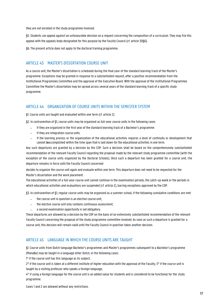they are not enrolled in the study programme involved.

§5. Students can appeal against an unfavourable decision on a request concerning the composition of a curriculum. They may file this appeal with the appeals body designated for this purpose by the Faculty Council (cf. article 30§6).

§6. The present article does not apply to the doctoral training programme.

## ARTICLE 43 MASTER'S DISSERTATION COURSE UNIT

As a course unit, the Master's dissertation is scheduled during the final year of the standard learning track of the Master's programme. Exceptions may be granted in response to a substantiated request, after a positive recommendation from the Institutional Programmes Committee and the approval of the Executive Board. With the approval of the Institutional Programmes Committee the Master's dissertation may be spread across several years of the standard learning track of a specific study programme.

### ARTICLE 44 ORGANIZATION OF COURSE UNITS WITHIN THE SEMESTER SYSTEM

§1. Course units are taught and evaluated within one term (cf. article 2).

§2. In contravention of §1, course units may be organized as full-year course units in the following cases:

- − If they are organized in the first year of the standard learning track of a Bachelor's programme.
- − If they are integration course units.
- − If the learning process or the organization of the educational activities requires a level of continuity or development that cannot be accomplished within the time span that is laid down for the educational activities in one term.

Any such departures are granted by a decision by the COP. Such a decision shall be based on the comprehensively substantiated recommendation of the relevant Faculty Council regarding the proposal made by the relevant study programme committee (with the exception of the course units organized by the Doctoral Schools). Once such a departure has been granted for a course unit, the departure remains in force until the Faculty Council concerned

decides to organize the course unit again and evaluate within one term. This departure does not need to be requested for the Master's dissertation and the work placement.

The educational activities of a full-year course unit cannot continue in the examination periods, the catch-up week or the periods in which educational activities and evaluations are suspended (cf. article 2), barring exceptions approved by the COP.

§3. In contravention of §1, regular course units may be organized as a summer school, if the following cumulative conditions are met:

- the course unit in question is an elective course unit;
- − the elective course unit only contains continuous assessment;
- − a second examination opportunity is not obligatory.

These departures are allowed by a decision by the COP on the basis of an extensively substantiated recommendation of the relevant Faculty Council concerning the proposal of the study programme committee involved. As soon as such a departure is granted for a course unit, this decision will remain valid until the Faculty Council in question takes another decision.

## ARTICLE 45 LANGUAGE IN WHICH THE COURSE UNITS ARE TAUGHT

§1. Course units from Dutch-language Bachelor's programmes and Master's programmes subsequent to a Bachelor's programme (ManaBa) may be taught in a language other Dutch, in the following cases:

1° if the course unit has this language as its subject;

2° if the course unit is taken at a different institute of higher education with the approval of the Faculty; 3° if the course unit is taught by a visiting professor who speaks a foreign language;

4° if using a foreign language for the course unit is an added value for students and is considered to be functional for the study programme.

Cases 1 and 2 are allowed without any restrictions.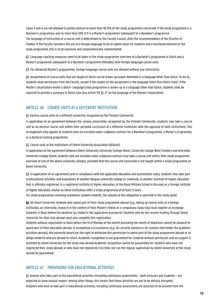Cases 3 and 4 are not allowed to jointly amount to more than 18.33% of the study programme concerned, if the study programme is a Bachelor's programme, and no more than 50% if it is a Master's programme subsequent to a Bachelor's programme. The language of instruction of a course unit is determined by the Faculty Council, after the recommendation of the Director of Studies. If the Faculty considers the use of a foreign language to be an added value for students and a functional element of the study programme, this is to be expressly and comprehensively substantiated.

§2. Language coaching measures need to be taken in the study programme overview of a Bachelor's programme in Dutch and a Master's programme subsequent to a Bachelor's programme (ManaBa) with foreign-language course units.

§3. For Advanced Master's programmes, foreign-language course units are allowed without any restrictions.

§4. Assignments of course units that are taught in Dutch can be drawn up and/or defended in a language other than Dutch. To do so, students need permission from the Faculty, except if the subject of the assignment is the language other than Dutch itself. If the Master's dissertation within a Dutch- language study programme is drawn up in a language other than Dutch, students shall be required to provide a summary in Dutch (see also article 59, §1, 3° on the language of the Master's dissertation.

### ARTICLE 46 COURSE UNITS AT A DIFFERENT INSTITUTION

§1. Elective course units at a different university recognized by the Flemish Community

In application of an agreement between the various universities recognized by the Flemish Community, students may take a course unit as an elective course unit within their personal curriculum at a different institution with the approval of both institutions. This arrangement only applies to students who are enrolled under a diploma contract for a Bachelor's programme, a Master's programme, or a doctoral training programme.

§2. Course units at the institutions of Ghent University Association (AUGent)

In application of the agreement between Ghent University, University College Ghent, University College West Flanders and Artevelde University College Ghent, students who are enrolled under a diploma contract may take a course unit within their study programme overview at one of the above university colleges, provided that the course unit concerned is not taught within a study programme at Ghent University.

§3. In application of an agreement (and in compliance with the applicable education and examination code), students may take part in educational activities and evaluations at another Belgian university college or university, in another institute of higher education that is officially registered, in a registered institute of higher education, at the Royal Military School in Brussels or a foreign institute of higher education, insofar as these institutions offer a study programme of at least 3 years.

For study programmes involving mandatory student mobility, the volume of this obligation is specified in the study guide.

§4. All Ghent University students who spend part of their study programme abroad (e.g., taking up course units at a foreign institution, an internship, research in the context of their Master's thesis or a compulsory study trip) must register as exchange students in Oasis before the deadline (as stated in the application procedure). Students who do not receive funding through Ghent University for their stay abroad must also complete this registration.

Students without registration in Oasis before the first Monday of the month preceding the month of departure cannot be allowed to spend part of their education abroad. In exceptional circumstances (e.g., for security reasons or for reasons that hinder the academic activities abroad), the university board has the right to withdraw this permission to spend part of the study programme abroad or to oblige students who are abroad to return. Academic recognition is not guaranteed for students without permission and no support is provided by Ghent University for the study stay abroad.Academic recognition cannot be guaranteed for students who have not registered their study abroad, or who have not registered it on time, nor can the regular supervision by Ghent University of the study abroad be guaranteed.

#### ARTICLE 47 PROVISIONS FOR EDUCATIONAL ACTIVITIES

§1. Anyone who takes part in the educational activities (including continuous assessment) – both lecturers and students – are expected to show mutual respect. Among other things, this means that these activities are not to be wilfully disrupted. Students who wish to take part in educational activities, including continuous assessment, are assumed to be present from the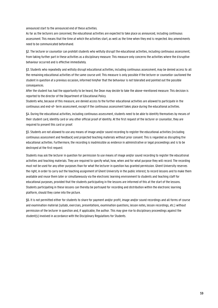announced start to the announced end of these activities.

As far as the lecturers are concerned, the educational activities are expected to take place as announced, including continuous assessment. This means that the time at which the activities start, as well as the time when they end is respected. Any amendments need to be communicated beforehand.

§2. The lecturer or counsellor can prohibit students who wilfully disrupt the educational activities, including continuous assessment, from taking further part in these activities as a disciplinary measure. This measure only concerns the activities where the disruptive behaviour occurred and is effective immediately.

§3. Students who repeatedly and wilfully disrupt educational activities, including continuous assessment, may be denied access to all the remaining educational activities of the same course unit. This measure is only possible if the lecturer or counsellor cautioned the student in question at a previous occasion, informed him/her that the behaviour is not tolerated and pointed out the possible consequences.

After the student has had the opportunity to be heard, the Dean may decide to take the above-mentioned measure. This decision is reported to the director of the Department of Educational Policy.

Students who, because of this measure, are denied access to the further educational activities are allowed to participate in the continuous and end-of- term assessment, except if the continuous assessment takes place during the educational activities.

§4. During the educational activities, including continuous assessment, students need to be able to identify themselves by means of their student card, identity card or any other official proof of identity. At the first request of the lecturer or counsellor, they are required to present this card or proof.

§5. Students are not allowed to use any means of image and/or sound recording to register the educational activities (including continuous assessment and feedback) and projected teaching materials without prior consent. This is regarded as disrupting the educational activities. Furthermore, the recording is inadmissible as evidence in administrative or legal proceedings and is to be destroyed at the first request.

Students may ask the lecturer in question for permission to use means of image and/or sound recording to register the educational activities and teaching materials. They are required to specify what, how, when and for what purpose they will record. The recording must not be used for any other purposes than for what the lecturer in question has granted permission. Ghent University reserves the right, in order to carry out the teaching assignment of Ghent University in the public interest, to record lessons and to make them available and reuse them later or simultaneously via the electronic learning environment to students and teaching staff for educational purposes, provided that the students participating in the lessons are informed of this at the start of the lessons. Students participating in these lessons can thereby be portrayed for recording and distribution within the electronic learning platform, should they come into the picture.

§6. It is not permitted either for students to share for payment and/or profit, image and/or sound recordings and all forms of course and examination material (syllabi, exercises, presentations, examination questions, lesson notes, lesson recordings, etc.) without permission of the lecturer in question and, if applicable, the author. This may give rise to disciplinary proceedings against the student(s) involved in accordance with the Disciplinary Regulations for Students.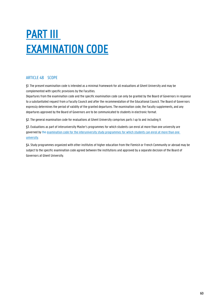# PART III EXAMINATION CODE

## ARTICLE 48 SCOPE

§1. The present examination code is intended as a minimal framework for all evaluations at Ghent University and may be complemented with specific provisions by the Faculties.

Departures from the examination code and the specific examination code can only be granted by the Board of Governors in response to a substantiated request from a Faculty Council and after the recommendation of the Educational Council. The Board of Governors expressly determines the period of validity of the granted departures. The examination code, the Faculty supplements, and any departures approved by the Board of Governors are to be communicated to students in electronic format.

§2. The general examination code for evaluations at Ghent University comprises parts I up to and including V.

§3. Evaluations as part of interuniversity Master's programmes for which students can enrol at more than one university are governed by the examination code for the interuniversity study programmes for which students can enrol at more than one [university.](https://www.ugent.be/student/nl/studeren/regelgeving/interuniversitairoer.pdf)

§4. Study programmes organized with other institutes of higher education from the Flemish or French Community or abroad may be subject to the specific examination code agreed between the institutions and approved by a separate decision of the Board of Governors at Ghent University.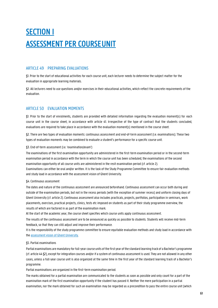## SECTION I ASSESSMENT PER COURSE UNIT

## ARTICLE 49 PREPARING EVALUATIONS

§1. Prior to the start of educational activities for each course unit, each lecturer needs to determine the subject matter for the evaluation in appropriate learning materials.

§2. All lecturers need to use questions and/or exercises in their educational activities, which reflect the concrete requirements of the evaluation.

## ARTICLE 50 EVALUATION MOMENTS

§1. Prior to the start of enrolments, students are provided with detailed information regarding the evaluation moment(s) for each course unit in the course sheet, in accordance with article 41. Irrespective of the type of contract that the students concluded, evaluations are required to take place in accordance with the evaluation moment(s) mentioned in the course sheet.

§2. There are two types of evaluation moments: continuous assessment and end-of-term assessment (i.e. examinations). These two types of evaluation moments may be combined to evaluate a student's performance for a specific course unit.

#### §3. End-of-term assessment (i.e. 'examination/exam')

The examinations of the first examination opportunity are administered in the first-term examination period or in the second-term examination period in accordance with the term in which the course unit has been scheduled; the examinations of the second examination opportunity of all course units are administered in the resit examination period (cf. article 2).

Examinations can either be oral and/or written. It is the task of the Study Programme Committee to ensure fair evaluation methods and study load in accordance with the assessment vision of Ghent University.

#### §4. Continuous assessment

The dates and nature of the continuous assessment are announced beforehand. Continuous assessment can occur both during and outside of the examination periods, but not in the recess periods (with the exception of summer recess) and uniform closing days of Ghent University (cf. article 2). Continuous assessment also includes practicals, projects, portfolios, participation in seminars, work placements, exercises, practical projects, clinics, tests etc imposed on students as part of their study programme overview, the results of which are factored in as part of the examination mark.

At the start of the academic year, the course sheet specifies which course units apply continuous assessment.

The results of the continuous assessment are to be announced as quickly as possible to students. Students will receive mid-term feedback, so that they can still adjust and improve their performance.

It is the responsibility of the study programme committee to ensure equitable evaluation methods and study load in accordance with the assessment vision [of Ghent University.](https://onderwijstips.ugent.be/en/tips/toetsvisie-en-toetsbeleid/)

#### §5. Partial examinations

Partial examinations are mandatory for full-year course units of the first year of the standard learning track of a Bachelor's programme (cf. article 44 §2), except for integration courses and/or if a system of continuous assessment is used. They are not allowed in any other cases, unless a full-year course unit is also organized at the same time in the first year of the standard learning track of a Bachelor's programme.

Partial examinations are organized in the first-term examination period.

The marks obtained for a partial examination are communicated to the students as soon as possible and only count for a part of the examination mark of the first examination opportunity if the student has passed it. Neither the mere participation in a partial examination, nor the mark obtained for such an examination may be regarded as a precondition to pass the entire course unit (which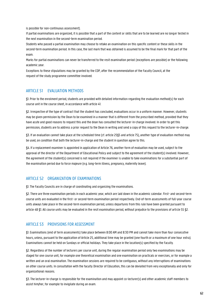is possible for non-continuous assessment).

If partial examinations are organized, it is possible that a part of the content or skills that are to be learned are no longer tested in the next examination in the second-term examination period.

Students who passed a partial examination may choose to retake an examination on this specific content or these skills in the second-term examination period. In this case, the last mark that was obtained is assumed to be the final mark for that part of the exam.

Marks for partial examinations can never be transferred to the resit examination period (exceptions are possible) or the following academic year.

Exceptions to these stipulations may be granted by the COP, after the recommendation of the Faculty Council, at the request of the study programme committee involved.

#### ARTICLE 51 EVALUATION METHODS

§1. Prior to the enrolment period, students are provided with detailed information regarding the evaluation method(s) for each course unit in the course sheet, in accordance with article 41.

§2. Irrespective of the type of contract that the student has concluded, evaluations occur in a uniform manner. However, students may be given permission by the Dean to be examined in a manner that is different from the prescribed method, provided that they have acute and good reasons to request this and the dean has consulted the lecturer-in-charge involved. In order to get this permission, students are to address a prior request to the Dean in writing and send a copy of this request to the lecturer-in-charge.

§3. If an evaluation cannot take place at the scheduled time (cf. article 25§5 and article 75), another type of evaluation method may be used, on condition that both the lecturer-in-charge and the student in question agree to this.

§4. If a replacement examiner is appointed in application of Article 76, another form of evaluation may be used, subject to the approval of the director of the Department of Educational Policy and subject to the agreement of the student(s) involved. However, the agreement of the student(s) concerned is not required if the examiner is unable to take examinations for a substantial part of the examination period due to force majeure (e.g. long-term illness, pregnancy, maternity leave).

## ARTICLE 52 ORGANIZATION OF EXAMINATIONS

§1. The Faculty Councils are in charge of coordinating and organizing the examinations.

§2. There are three examination periods in each academic year, which are laid down in the academic calendar. First- and second-term course units are evaluated in the first- or second-term examination period respectively. End-of-term assessments of full-year course units always take place in the second-term examination period, unless departures from this rule have been granted pursuant to article 48 §1. All course units may be evaluated in the resit examination period, without prejudice to the provisions of article 55 §2.

#### ARTICLE 53 PROVISIONS FOR ASSESSMENT

§1. Examinations (end of term assessments) take place between 8:00 AM and 8:30 PM and cannot take more than four consecutive hours, unless, pursuant to the application of Article 25, additional time may be granted (one fourth or a maximum of one hour extra). Examinations cannot be held on Sundays or official holidays. They take place in the location(s) specified by the Faculty.

§2. Regardless of the number of lecturers per course unit, during the regular examination period only two examinations may be staged for one course unit, for example one theoretical examination and one examination on practicals or exercises, or for example a written and an oral examination. The examination sessions are required to be contiguous, without any interruptions of examinations on other course units. In consultation with the faculty Director of Education, this can be deviated from very exceptionally and only for organizational reasons.

§3. The lecturer-in-charge is responsible for the examination and may appoint co-lecturer(s) and other academic staff members to assist him/her, for example to invigilate during an exam.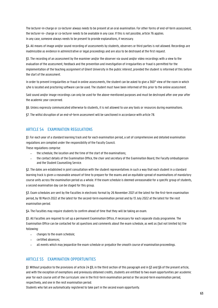The lecturer-in-charge or co-lecturer always needs to be present at an oral examination. For other forms of end-of-term assessment, the lecturer-in- charge or co-lecturer needs to be available in any case. If this is not possible, article 76 applies. In any case, someone always needs to be present to provide explanations, if necessary.

§4. All means of image and/or sound recording of assessments by students, observers or third parties is not allowed. Recordings are inadmissible as evidence in administrative or legal proceedings and are also to be destroyed at the first request.

§5. The recording of an assessment by the examiner and/or the observer via sound and/or video recordings with a view to the evaluation of the assessment, feedback and the prevention and investigation of irregularities or fraud is permitted for the implementation of the teaching assignment of Ghent University in the public interest, provided the student is informed of this before the start of the assessment.

In order to prevent irregularities or fraud in online assessments, the student can be asked to give a 360° view of the room in which s/he is located and proctoring software can be used. The student must have been informed of this prior to the online assessment.

Said sound and/or image recordings can only be used for the above-mentioned purposes and must be destroyed after one year after the academic year concerned.

§6. Unless expressly communicated otherwise to students, it is not allowed to use any tools or resources during examinations.

§7. The wilful disruption of an end-of-term assessment will be sanctioned in accordance with article 78.

## ARTICLE 54 EXAMINATION REGULATIONS

§1. For each year of a standard learning track and for each examination period, a set of comprehensive and detailed examination regulations are compiled under the responsibility of the Faculty Council.

These regulations comprise:

- the schedule, the location and the time of the start of the examinations;
- − the contact details of the Examination Office, the chair and secretary of the Examination Board, the Faculty ombudsperson and the Student Counselling Service.

§2. The dates are established in joint consultation with the student representatives in such a way that each student in a standard learning track is given a reasonable amount of time to prepare for the exams and an equitable spread of examinations of mandatory course units across the examination period as a whole. If the exam schedule is deemed unreasonable for a specific group of students, a second examination day can be staged for this group.

§3. Exam schedules are sent by the Faculties in electronic format by 26 November 2021 at the latest for the first-term examination period, by 18 March 2022 at the latest for the second-term examination period and by 13 July 2022 at the latest for the resit examination period.

§4. The Faculties may require students to confirm ahead of time that they will be taking an exam.

§5. All Faculties are required to set up a permanent Examination Office, if necessary for each separate study programme. The Examination Office can be contacted for all questions and comments about the exam schedule, as well as (but not limited to) the following:

- − changes to the exam schedule;
- − certified absences;
- − all events which may jeopardize the exam schedule or prejudice the smooth course of examination proceedings.

#### ARTICLE 55 EXAMINATION OPPORTUNITIES

§1. Without prejudice to the provisions of article 24 §9, in the third section of this paragraph and in §3 and §6 of the present article, and with the exception of exemptions and previously obtained credits, students are entitled to two exam opportunities per academic year for each course unit of the curriculum: one in the first-term examination period or the second-term examination period, respectively, and one in the resit examination period.

Students who fail are automatically registered to take part in the second exam opportunity.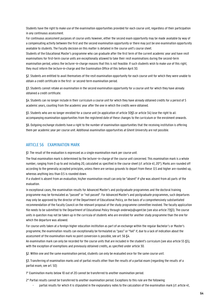Students have the right to make use of the examination opportunities provided for each course unit, regardless of their participation in any continuous assessment.

For continuous assessment purposes of course units however, either the second exam opportunity may be made available by way of a compensating activity between the first and the second examination opportunity or there may just be one examination opportunity available to students. The Faculty decision on this matter is detailed in the course unit's course sheet.

Students of the Educational Master's programme who can graduate after the first term of the current academic year and have resit examinations for first-term course units are exceptionally allowed to take their resit examinations during the second-term examination period, unless the lecturer-in-charge reasons that this is not feasible. If such students wish to make use of this right, they must inform the lecture-in-charge and the Examination Office of this before April 30.

§2. Students are entitled to avail themselves of the resit examination opportunity for each course unit for which they were unable to obtain a credit certificate in the first- or second-term examination period.

§3. Students cannot retake an examination in the second examination opportunity for a course unit for which they have already obtained a credit certificate.

§4. Students can no longer include in their curriculum a course unit for which they have already obtained credits for a period of 5 academic years, counting from the academic year after the one in which the credits were obtained.

§5. Students who are no longer enrolled for a course unit (in application of article 30§5 or article 34) lose the right to all accompanying examination opportunities from the registered date of these changes to the curriculum or the enrolment onwards.

§6. Outgoing exchange students have a right to the number of examination opportunities that the receiving institution is offering them per academic year per course unit. Additional examination opportunities at Ghent University are not possible.

### ARTICLE 56 EXAMINATION MARK

§1. The result of the evaluation is expressed as a single examination mark per course unit.

The final examination mark is determined by the lecturer-in-charge of the course unit concerned. This examination mark is a whole number, ranging from 0 up to and including 20, calculated as specified in the course sheet (cf. article 41, 20°). Marks are rounded off according to the generally accepted principles, unless there are serious grounds to depart from these: 0.5 and higher are rounded up, whereas anything less than 0.5 is rounded down.

If a student is absent from an evaluation, his/her examination result can only be "absent" if s/he was absent from all parts of the evaluation.

In exceptional cases, the examination results for Advanced Master's and postgraduate programmes and the doctoral training programme may be formulated as "passed" or "not passed". For Advanced Master's and postgraduate programmes, such departures may only be approved by the director of the Department of Educational Policy, on the basis of a comprehensively substantiated recommendation of the Faculty Council on the relevant proposal of the study programme committee involved. The faculty application file needs to be submitted to the Department of Educational Policy throug[h onderwijs@ugent.be \(](mailto:onderwijs@ugent.be)see also article 73§3). The course units in question may not be taken up in the curricula of students who are enrolled for another study programme than the one for which the departure was allowed.

For course units taken at a foreign higher education institution as part of an exchange within the regular Bachelor's or Master's programme, the examination results can exceptionally be formulated as "pass" or "fail" if, due to a lack of indication about the assessment of the examination mark no point conversion is possible, see art. 56 §4.

An examination mark can only be recorded for the course units that are included in the student's curriculum (see also article 55 §5), with the exception of exemptions and previously obtained credits, as specified under article 30.

§2. Within one and the same examination period, students can only be evaluated once for the same course unit.

§3. Transferring of examination marks and of partial results other than the results of a partial exam (regarding the results of a partial exam, see art. 50)

1° Examination marks below 10 out of 20 cannot be transferred to another examination period.

2° Partial results cannot be transferred to another examination period. Exceptions to this rule are the following:

partial results for which it is stipulated in the explanatory notes to the calculation of the examination mark (cf. article 41,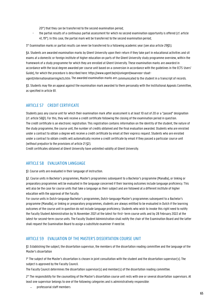20°) that they can be transferred to the second examination period;

- the partial results of a continuous partial assessment for which no second examination opportunity is offered (cf. article 41, 19°). In this case, the partial mark will be transferred to the second examination period;

3° Examination marks or partial results can never be transferred to a following academic year (see also article 29§5).

§4. Students are awarded examination marks by Ghent University upon their return if they take part in educational activities and sit exams at a domestic or foreign institute of higher education on parts of the Ghent University study programme overview, within the framework of a study programme for which they are enrolled at Ghent University. These examination marks are awarded in accordance with the local degree awarded per course unit based on a conversion in accordance with the guidelines in the ECTS Users' Guide), for which the procedure is described here: https:/[/www.ugent.be/nl/univgent/waarvoor-staat-](http://www.ugent.be/nl/univgent/waarvoor-staat-ugent/internationalisering/ects.htm)

[ugent/internationalisering/ects.htm. T](http://www.ugent.be/nl/univgent/waarvoor-staat-ugent/internationalisering/ects.htm)he awarded examination marks are communicated to the student in a transcript of records.

§5. Students may file an appeal against the examination mark awarded to them personally with the Institutional Appeals Committee, as specified in article 81.

## ARTICLE 57 CREDIT CERTIFICATE

Students pass any course unit for which their examination mark after assessment is at least 10 out of 20 or a "passed" designation (cf. article 56§1). For this, they will receive a credit certificate following the closing of the examination period in question. The credit certificate is an electronic registration. This registration contains information on the identity of the student, the nature of the study programme, the course unit, the number of credits obtained and the final evaluation awarded. Students who are enrolled under a contract to obtain a degree will receive a credit certificate by email at their express request. Students who are enrolled under a contract to obtain credits will automatically receive a credit certificate by email if they passed a particular course unit (without prejudice to the provisions of article 21 §2).

Credit certificates obtained at Ghent University have unlimited validity at Ghent University.

## ARTICLE 58 EVALUATION LANGUAGE

§1. Course units are evaluated in their language of instruction.

§2. Course units in Bachelor's programmes, Master's programmes subsequent to a Bachelor's programme (ManaBa), or linking or preparatory programmes will be evaluated in the language concerned if their learning outcomes include language proficiency. This will also be the case for course units that take a language as their subject and are followed at a different institute of higher education with the approval of the Faculty.

For course units in Dutch-language Bachelor's programmes, Dutch-language Master's programmes subsequent to a Bachelor's programme (ManaBa), or linking or preparatory programmes, students are always entitled to be evaluated in Dutch if the learning outcomes of the course unit in question do not include language proficiency. Students who wish to invoke this right need to notify the Faculty Student Administration by 14 November 2021 at the latest for first- term course units and by 28 February 2022 at the latest for second-term course units. The Faculty Student Administration shall notify the chair of the Examination Board and the latter shall request the Examination Board to assign a substitute examiner if need be.

## ARTICLE 59 EVALUATION OF THE MASTER'S DISSERTATION COURSE UNIT

§1. Establishing the subject, the dissertation supervisor, the members of the dissertation reading committee and the language of the Master's dissertation

1° The subject of the Master's dissertation is chosen in joint consultation with the student and the dissertation supervisor(s). The subject is approved by the Faculty Council.

The Faculty Council determines the dissertation supervisor(s) and member(s) of the dissertation reading committee.

2° The responsibility for the counselling of the Master's dissertation course unit rests with one or several dissertation supervisors. At least one supervisor belongs to one of the following categories and is administratively responsible:

− professorial staff members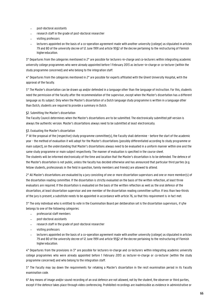- − post-doctoral assistants
- − research staff in the grade of post-doctoral researcher
- − visiting professors
- − lecturers appointed on the basis of a co-operation agreement made with another university (college) as stipulated in articles 79 and 80 of the university decree of 12 June 1991 and article 95§2 of the decree pertaining to the restructuring of Flemish higher education.

3° Departures from the categories mentioned in 2° are possible for lecturers-in-charge and co-lecturers within integrating academic university college programmes who were already appointed before 1 February 2013 as lecturer-in-charge or co-lecturer (within the study programme concerned) and who belong to the integration staff.

4° Departures from the categories mentioned in 2° are possible for experts affiliated with the Ghent University Hospital, with the approval of the faculty.

5° The Master's dissertation can be drawn up and/or defended in a language other than the language of instruction. For this, students need the permission of the faculty after the recommendation of the supervisor, except when the Master's dissertation has a different language as its subject. Only when the Master's dissertation of a Dutch language study programme is written in a language other than Dutch, students are required to provide a summary in Dutch.

#### §2. Submitting the Master's dissertation

The Faculty Council determines when the Master's dissertations are to be submitted. The electronically submitted pdf version is always the authentic version. Master's dissertations always need to be submitted at least electronically.

#### §3. Evaluating the Master's dissertation

1° At the proposal of the (respective) study programme committee(s), the Faculty shall determine - before the start of the academic year - the method of evaluation it will adopt for the Master's dissertations (possibly differentiated according to study programme or main subject), on the understanding that Master's dissertations always need to be evaluated in a uniform manner within one and the same study programme or main subject respectively. The manner of evaluation is specified in the course sheet.

The students will be informed electronically of the time and location that the Master's dissertation is to be defended. The defence of the Master's dissertation is not public, unless the faculty has decided otherwise and has announced that particular third parties (e.g. fellow students, professionals in the field in question, family members and friends) are allowed to attend.

2° All Master's dissertations are evaluated by a jury consisting of one or more dissertation supervisors and one or more member(s) of the dissertation reading committee. If the dissertation is strictly evaluated on the basis of the written reflection, at least three evaluators are required. If the dissertation is evaluated on the basis of the written reflection as well as the oral defence of the dissertation, at least dissertation supervisor and one member of the dissertation reading committee suffice. If less than two-thirds of the jury is present, a substitute needs to be appointed in accordance with article 76, so that this requirement is in fact met.

3° The only individual who is entitled to vote in the Examination Board per deliberation set is the dissertation supervisors, if s/he belongs to one of the following categories:

- − professorial staff members
- − post-doctoral assistants
- − research staff in the grade of post-doctoral researcher
- − visiting professors
- − lecturers appointed on the basis of a co-operation agreement made with another university (college) as stipulated in articles 79 and 80 of the university decree of 12 June 1991 and article 95§2 of the decree pertaining to the restructuring of Flemish higher education.

4° Departures from the provisions in 3° are possible for lecturers-in-charge and co-lecturers within integrating academic university college programmes who were already appointed before 1 February 2013 as lecturer-in-charge or co-lecturer (within the study programme concerned) and who belong to the integration staff.

5° The Faculty may lay down the requirements for retaking a Master's dissertation in the resit examination period in its Faculty examination code.

6° Any means of image and/or sound recording of an oral defence are not allowed, not by the student, the observer or third parties, except if the defence takes place through video conferencing. Prohibited recordings are inadmissible as evidence in administrative or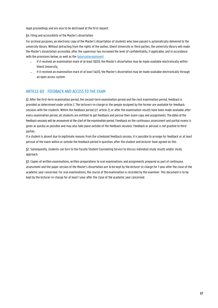legal proceedings and are also to be destroyed at the first request.

§4. Filing and accessibility of the Master's dissertation

For archival purposes, an electronic copy of the Master's dissertation of students who have passed is automatically delivered to the university library. Without detracting from the rights of the author, Ghent University or third parties, the university library will make the Master's dissertation accessible, after the supervisor has increased the level of confidentiality, if applicable, and in accordance with the provisions below, as well as th[e Valorisatiereglement:](https://codex.ugent.be/?regid=REG000101)

- − if it received an examination mark of at least 10/20, the Master's dissertation may be made available electronically within Ghent University;
- − if it received an examination mark of at least 14/20, the Master's dissertation may be made available electronically through an open access system.

## ARTICLE 60 FEEDBACK AND ACCESS TO THE EXAM

§1. After the first-term examination period, the second-term examination period and the resit examination period, feedback is provided as determined under article 2. The lecturers-in-charge or the people assigned by the former are available for feedback sessions with the students. Within the feedback period (cf. article 2) or after the examination results have been made available after every examination period, all students are entitled to get feedback and peruse their exam copy and assignments. The dates of the feedback sessions will be announced at the start of the examination period. Feedback on the continuous assessment and partial exams is given as quickly as possible and may also take place outside of the feedback sessions. Feedback or perusal is not granted to third parties.

If a student is absent due to legitimate reasons from the scheduled feedback session, it is possible to arrange for feedback or at least perusal of the exam within or outside the feedback period in question, after the student and lecturer have agreed on this.

§2. Subsequently, students can turn to the Faculty Student Counselling Service to discuss individual study results and/or study approach.

§3. Copies of written examinations, written preparations to oral examinations and assignments prepared as part of continuous assessment and the paper version of the Master's dissertation are to be kept by the lecturer-in-charge for 1 year after the close of the academic year concerned. For oral examinations, the course of the examination is recorded by the examiner. This document is to be kept by the lecturer-in-charge for at least 1 year after the close of the academic year concerned.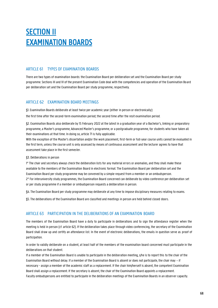## **SECTION II** EXAMINATION BOARDS

## ARTICLE 61 TYPES OF EXAMINATION BOARDS

There are two types of examination boards: the Examination Board per deliberation set and the Examination Board per study programme. Sections III and IV of the present Examination Code deal with the competencies and operation of the Examination Board per deliberation set and the Examination Board per study programme, respectively.

## ARTICLE 62 EXAMINATION BOARD MEETINGS

§1. Examination Boards deliberate at least twice per academic year (either in person or electronically):

the first time after the second-term examination period; the second time after the resit examination period.

§2. Examination Boards also deliberate by 15 February 2022 at the latest in a graduation year of a Bachelor's, linking or preparatory programme, a Master's programme, Advanced Master's programme, or a postgraduate programme, for students who have taken all their examinations at that time. In doing so, article 71 is fully applicable.

With the exception of the Master's dissertation and/or the work placement, first-term or full-year course units cannot be evaluated in the first term, unless the course unit is only assessed by means of continuous assessment and the lecturer agrees to have that assessment take place in the first semester.

#### §3. Deliberations in person

1° The chair and secretary always check the deliberation lists for any material errors or anomalies, and they shall make these available to the members of the Examination Board in electronic format. The Examination Board per deliberation set and the Examination Board per study programme may be convened by a simple request from a member or an ombudsperson. 2° For interuniversity study programmes, the Examination Board concerned can deliberate by video conference per deliberation set or per study programme if a member or ombudsperson requests a deliberation in person.

§4. The Examination Board per study programme may deliberate at any time to impose disciplinary measures relating to exams.

§5. The deliberations of the Examination Board are classified and meetings in person are held behind closed doors.

## ARTICLE 63 PARTICIPATION IN THE DELIBERATIONS OF AN EXAMINATION BOARD

The members of the Examination Board have a duty to participate in deliberations and to sign the attendance register when the meeting is held in person (cf. article 62). If the deliberation takes place through video conferencing, the secretary of the Examination Board shall draw up and certify an attendance list. In the event of electronic deliberations, the emails in question serve as proof of participation.

In order to validly deliberate on a student, at least half of the members of the examination board concerned must participate in the deliberations on that student.

If a member of the Examination Board is unable to participate in the deliberation meeting, s/he is to report this to the chair of the Examination Board without delay. If a member of the Examination Board is absent or does not participate, the chair may – if necessary - assign a member of the academic staff as a replacement. If the chair him/herself is absent, the competent Examination Board shall assign a replacement. If the secretary is absent, the chair of the Examination Board appoints a replacement. Faculty ombudspersons are entitled to participate in the deliberation meetings of the Examination Boards in an observer capacity.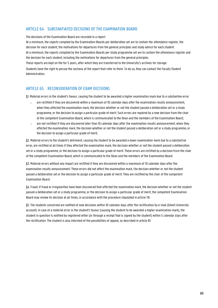## ARTICLE 64 SUBSTANTIATED DECISIONS OF THE EXAMINATION BOARD

The decisions of the Examination Board are recorded in a report.

At a minimum, the reports compiled by the Examination Boards per deliberation set are to contain the attendance register, the decision for each student, the motivations for departures from the general principles and study advice for each student. At a minimum, the reports compiled by the Examination Boards per study programme set are to contain the attendance register and the decision for each student, including the motivations for departures from the general principles.

These reports are kept on file for 5 years, after which they are transferred to the University's archives for storage. Students have the right to peruse the sections of the report that refer to them. To do so, they can contact the Faculty Student Administration.

## ARTICLE 65 RECONSIDERATION OF EXAM DECISIONS

§1. Material errors in the student's favour, causing the student to be awarded a higher examination mark due to a substantive error

- − are rectified if they are discovered within a maximum of 10 calendar days after the examination results announcement, when they affected the examination mark, the decision whether or not the student passed a deliberation set or a study programme, or the decision to assign a particular grade of merit. Such errors are repaired by a new decision from the chair of the competent Examination Board, which is communicated to the Dean and the members of the Examination Board;
- are not rectified if they are discovered later than 10 calendar days after the examination results announcement, when they affected the examination mark, the decision whether or not the student passed a deliberation set or a study programme, or the decision to assign a particular grade of merit;

§2. Material errors to the student's detriment, causing the student to be awarded a lower examination mark due to a substantive error, are rectified at all times if they affected the examination mark, the decision whether or not the student passed a deliberation set or a study programme, or the decision to assign a particular grade of merit. These errors are rectified by a decision from the chair of the competent Examination Board, which is communicated to the Dean and the members of the Examination Board.

§3. Material errors without any impact are rectified if they are discovered within a maximum of 10 calendar days after the examination results announcement. These errors did not affect the examination mark, the decision whether or not the student passed a deliberation set or the decision to assign a particular grade of merit. They are rectified by the chair of the competent Examination Board.

§4. Fraud: If fraud or irregularities have been discovered that affected the examination mark, the decision whether or not the student passed a deliberation set or a study programme, or the decision to assign a particular grade of merit, the competent Examination Board may review its decision at all times, in accordance with the procedure stipulated in article 78.

§5. The students concerned are notified of new decisions within 10 calendar days after the rectification by e-mail (Ghent University account). In case of a material error in the student's favour (causing the student to be awarded a higher examination mark), the student in question is notified by registered letter (or through a receipt that is signed by the student) within 5 calendar days after the rectification. The student is also informed of the possibilities of appeal, as described in article 81.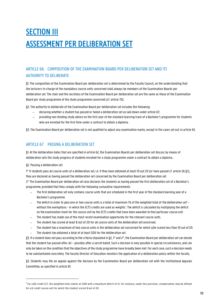## **SECTION III** ASSESSMENT PER DELIBERATION SET

## ARTICLE 66 COMPOSITION OF THE EXAMINATION BOARD PER DELIBERATION SET AND ITS AUTHORITY TO DELIBERATE

§1. The composition of the Examination Board per deliberation set is determined by the Faculty Council, on the understanding that the lecturers-in-charge of the mandatory course units concerned shall always be members of the Examination Boards per deliberation set. The chair and the secretary of the Examination Board per deliberation set are the same as those of the Examination Board per study programme of the study programme concerned (cf. article 70).

§2. The authority to deliberate of the Examination Board per deliberation set includes the following:

- − declaring whether a student has passed or failed a deliberation set as laid down under article 67;
- − providing non-binding study advice on the first year of the standard learning track of a Bachelor's programme for students who are enrolled for the first time under a contract to obtain a diploma.

§3. The Examination Board per deliberation set is not qualified to adjust any examination marks, except in the cases set out in article 65.

## ARTICLE 67 PASSING A DELIBERATION SET

§1. At the deliberation dates that are specified in article 62, the Examination Boards per deliberation set discuss by means of deliberation sets the study progress of students enrolled for a study programme under a contract to obtain a diploma.

§2. Passing a deliberation set:

1° If students pass all course units of a deliberation set, i.e. if they have obtained at least 10 out 20 (or have passed cf. article 56 §1), they are declared as having passed the deliberation set concerned by the Examination Board per deliberation set.

2° The Examination Board per deliberation set also declares the students as having passed the first deliberation set of a Bachelor's programme, provided that they comply with the following cumulative requirements:

- The first deliberation set only contains course units that are scheduled in the first year of the standard learning year of a Bachelor's programme.
- $-$  The deficit in order to pass one or two course units is a total of maximum 1% of the weighted total of the deliberation set<sup>1</sup> without the exemptions - in which the ECTS credits are used as weights<sup>1</sup>. The deficit is calculated by multiplying the deficit on the examination mark for the course unit by the ECTS credits that have been awarded to that particular course unit.
- The student has made use of the most recent examination opportunity for the relevant course units.
- The student has scored at least 8 out of 20 for all course units of the deliberation set concerned.
- − The student has a maximum of two course units in the deliberation set concerned for which s/he scored less than 10 out of 20.
- The student has obtained a total of at least 50% for the deliberation set.

§3. If a student does not pass according to the criteria stipulated in §2, 1° and 2°, the Examination Board per deliberation setcan decide that the student has passed after all – possibly after a secret ballot. Such a decision is only possible in special circumstances, and can only be taken on the condition that the objectives of the study programme have broadly been met. For each case, such a decision needs to be substantiated concretely. The faculty Director of Education monitors the application of a deliberation policy within the faculty.

§3. Students may file an appeal against the decision by the Examination Board per deliberation set with the Institutional Appeals Committee, as specified in article 81.

<sup>&</sup>lt;sup>1</sup> For a 60-credit SLT, the weighted total stands at 1200 with a maximum deficit of 12. For instance, under this provision, compensation may be offered for a 6-credit course unit for which the student scored 8 out of 20.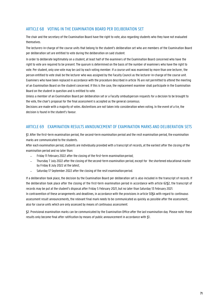## ARTICLE 68 VOTING IN THE EXAMINATION BOARD PER DELIBERATION SET

The chair and the secretary of the Examination Board have the right to vote, also regarding students who they have not evaluated themselves.

The lecturers-in-charge of the course units that belong to the student's deliberation set who are members of the Examination Board per deliberation set are entitled to vote during the deliberation on said student.

In order to deliberate legitimately on a student, at least half of the examiners of the Examination Board concerned who have the right to vote are required to be present. The quorum is determined on the basis of the number of examiners who have the right to vote. Per student, only one vote may be cast by each voting member. If a course unit was examined by more than one lecturer, the person entitled to vote shall be the lecturer who was assigned by the Faculty Council as the lecturer-in-charge of the course unit. Examiners who have been replaced in accordance with the procedure described in article 76 are not permitted to attend the meeting of an Examination Board on the student concerned. If this is the case, the replacement examiner shall participate in the Examination Board on the student in question and is entitled to vote.

Unless a member of an Examination Board per deliberation set or a Faculty ombudsperson requests for a decision to be brought to the vote, the chair's proposal for the final assessment is accepted as the general consensus.

Decisions are made with a majority of votes. Abstentions are not taken into consideration when voting. In the event of a tie, the decision is found in the student's favour.

## ARTICLE 69 EXAMINATION RESULTS ANNOUNCEMENT OF EXAMINATION MARKS AND DELIBERATION SETS

§1. After the first-term examination period, the second-term examination period and the resit examination period, the examination marks are communicated to the students.

After each examination period, students are individually provided with a transcript of records, at the earliest after the closing of the examination period and no later than:

- Friday 11 February 2022 after the closing of the first-term examination period:
- − Thursday 7 July 2022 after the closing of the second-term examination period, except for the shortened educational master by Friday 8 July 2022 at the latest;
- Saturday 17 September 2022 after the closing of the resit examination period.

If a deliberation took place, the decision by the Examination Board per deliberation set is also included in the transcript of records. If the deliberation took place after the closing of the first-term examination period in accordance with article 62§2, the transcript of records may be put at the student's disposal after Friday 5 February 2021, but no later than Saturday 13 February 2021. In contravention of these arrangements and deadlines, in accordance with the provisions in article 50§4 with regard to continuous assessment result announcements, the relevant final mark needs to be communicated as quickly as possible after the assessment, also for course units which are only assessed by means of continuous assessment.

§2. Provisional examination marks can be communicated by the Examination Office after the last examination day. Please note: these results only become final after ratification by means of public announcement in accordance with §1..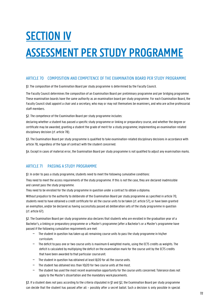# SECTION IV ASSESSMENT PER STUDY PROGRAMME

## ARTICLE 70 COMPOSITION AND COMPETENCE OF THE EXAMINATION BOARD PER STUDY PROGRAMME

§1. The composition of the Examination Board per study programme is determined by the Faculty Council.

The Faculty Council determines the composition of an Examination Board per preliminary programme and per bridging programme. These examination boards have the same authority as an examination board per study programme. For each Examination Board, the Faculty Council shall appoint a chair and a secretary, who may or may not themselves be examiners, and who are active professorial staff members.

§2. The competence of the Examination Board per study programme includes:

declaring whether a student has passed a specific study programme or linking or preparatory course, and whether the degree or certificate may be awarded; granting a student the grade of merit for a study programme; implementing an examination-related disciplinary decision (cf. article 78).

§3. The Examination Board per study programme is qualified to take examination-related disciplinary decisions in accordance with article 78, regardless of the type of contract with the student concerned.

§4. Except in cases of material error, the Examination Board per study programme is not qualified to adjust any examination marks.

## ARTICLE 71 PASSING A STUDY PROGRAMME

§1. In order to pass a study programme, students need to meet the following cumulative conditions:

They need to meet the access requirements of the study programme. If this is not the case, they are declared inadmissible and cannot pass the study programme.

They need to be enrolled for the study programme in question under a contract to obtain a diploma.

Without prejudice to the authority to deliberate of the Examination Board per study programme as specified in article 70, students need to have obtained a credit certificate for all the course units to be taken (cf. article 57), or have been granted an exemption, and/or be declared as having successfully passed all deliberation sets of the study programme in question (cf. article 67).

§2. The Examination Board per study programme also declares that students who are enrolled in the graduation year of a Bachelor's, a linking or preparatory programme or a Master's programme (after a Bachelor's or a Master's programme have passed if the following cumulative requirements are met:

- − The student in question has taken up all remaining course units to pass the study programme in his/her curriculum.
- − The deficit to pass one or two course units is maximum 6 weighted marks, using the ECTS credits as weights. The deficit is calculated by multiplying the deficit on the examination mark for the course unit by the ECTS credits that have been awarded to that particular courseunit.
- − The student in question has obtained at least 8/20 for all the course units.
- − The student has obtained less than 10/20 for two course units at the most.
- − The student has used the most recent examination opportunity for the course units concerned. Tolerance does not apply to the Master's dissertation and the mandatory workplacements.

§3. If a student does not pass according to the criteria stipulated in §1 and §2, the Examination Board per study programme can decide that the student has passed after all – possibly after a secret ballot. Such a decision is only possible in special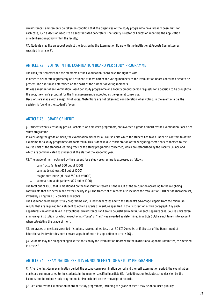circumstances, and can only be taken on condition that the objectives of the study programme have broadly been met. For each case, such a decision needs to be substantiated concretely. The faculty Director of Education monitors the application of a deliberation policy within the faculty;

§4. Students may file an appeal against the decision by the Examination Board with the Institutional Appeals Committee, as specified in article 81.

# ARTICLE 72 VOTING IN THE EXAMINATION BOARD PER STUDY PROGRAMME

The chair, the secretary and the members of the Examination Board have the right to vote.

In order to deliberate legitimately on a student, at least half of the voting members of the Examination Board concerned need to be present. The quorum is determined on the basis of the number of voting members.

Unless a member of an Examination Board per study programme or a Faculty ombudsperson requests for a decision to be brought to the vote, the chair's proposal for the final assessment is accepted as the general consensus.

Decisions are made with a majority of votes. Abstentions are not taken into consideration when voting. In the event of a tie, the decision is found in the student's favour.

# ARTICLE 73 GRADE OF MERIT

§1. Students who successfully pass a Bachelor's or a Master's programme, are awarded a grade of merit by the Examination Board per study programme.

In calculating the grade of merit, the examination marks for all course units which the student has taken under his contract to obtain a diploma for a study programme are factored in. This is done in due consideration of the weighting coefficients connected to the course units of the standard learning track of the study programme concerned, which are established by the Faculty Council and which are communicated to students at the start of the academic year.

§2. The grade of merit obtained by the student for a study programme is expressed as follows:

- − cum fructu (at least 500 out of 1000)
- − cum laude (at least 675 out of 1000)
- − magna cum laude (at least 750 out of 1000)
- summa cum laude (at least 825 out of 1000)

The total out of 1000 that is mentioned on the transcript of records is the result of the calculation according to the weighting coefficients that are determined by the Faculty in §1. The transcript of records also includes the total out of 1000 per deliberation set, invariably using the ECTS credits as weights.

The Examination Board per study programme can, in individual cases and to the student's advantage, depart from the minimum results that are required for a student to obtain a grade of merit, as specified in the first section of this paragraph. Any such departures can only be taken in exceptional circumstances and are to be justified in detail for each separate case. Course units taken at a foreign institution for which exceptionally "pass" or "fail" was awarded as determined in Article 56§1 are not taken into account when calculating the grade of merit.

§3. No grades of merit are awarded if students have obtained less than 30 ECTS-credits, or if director of the Department of Educational Policy decides not to award a grade of merit in application of article 56§1.

§4. Students may file an appeal against the decision by the Examination Board with the Institutional Appeals Committee, as specified in article 81.

# ARTICLE 74 EXAMINATION RESULTS ANNOUNCEMENT OF A STUDY PROGRAMME

§1. After the first-term examination period, the second-term examination period and the resit examination period, the examination marks are communicated to the students, in the manner specified in article 69. If a deliberation took place, the decision by the Examination Board per study programme is also included on the transcript of records.

§2. Decisions by the Examination Board per study programme, including the grade of merit, may be announced publicly.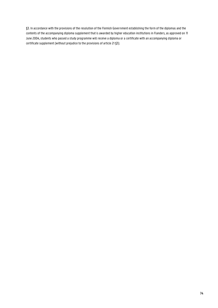§3. In accordance with the provisions of the resolution of the Flemish Government establishing the form of the diplomas and the contents of the accompanying diploma supplement that is awarded by higher education institutions in Flanders, as approved on 11 June 2004, students who passed a study programme will receive a diploma or a certificate with an accompanying diploma or certificate supplement (without prejudice to the provisions of article 21 §3).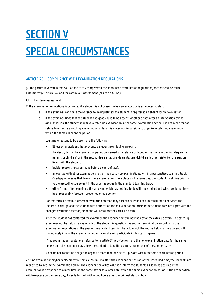# **SECTION V** SPECIAL CIRCUMSTANCES

# ARTICLE 75 COMPLIANCE WITH EXAMINATION REGULATIONS

§1. The parties involved in the evaluation strictly comply with the announced examination regulations, both for end-of-term assessment (cf. article 54) and for continuous assessment (cf. article 41, 17°).

# §2. End-of-term assessment

1° the examination regulations is cancelled if a student is not present when an evaluation is scheduled to start.

- a. if the examiner considers the absence to be unjustified, the student is registered as absent for this evaluation.
- b. if the examiner finds that the student had good cause to be absent, whether or not after an intervention by the ombudsperson, the student may take a catch-up examination in the same examination period. The examiner cannot refuse to organize a catch-up examination; unless it is materiallyimpossible to organize a catch-up examination within the same examination period.

Legitimate reasons to be absent are the following:

- illness or an accident that prevents a student from taking an exam;
- the death, during the examination period concerned, of a relative by blood or marriage in the first degree (i.e. parents or children) or in the second degree (i.e. grandparents, grandchildren, brother, sister) or of a person living with the student;
- judicial reasons (e.g. summons before a court of law);
- an overlap with other examinations, other than catch-up examinations, within a personalised learning track. Overlapping means that two or more examinations take place on the same day; the student must give priority to the preceding course unit in the order as set up in the standard learning track.
- other forms of force majeure (i.e. an event which has nothing to do with the student and which could not have been reasonably foreseen, prevented or overcome).

For the catch-up exam, a different evaluation method may exceptionally be used, in consultation between the lecturer-in-charge and the student with notification to the Examination Office. If the student does not agree with the changed evaluation method, he or she will renounce the catch-up exam.

After the student has contacted the examiner, the examiner determines the day of the catch-up exam. The catch-up exam may not be held on a day on which the student in question has another examination according to the examination regulations of the year of the standard learning track to which the course belongs. The student will immediately inform the examiner whether he or she will participate in this catch-up exam.

If the examination regulations referred to in article 54 provide for more than one examination date for the same course unit, the examiner may allow the student to take the examination on one of these other dates.

An examiner cannot be obliged to organize more than one catch-up exam within the same examination period.

2° If an examiner or his/her replacement (cf. article 76) fails to start the examination session at the scheduled time, the students are requested to inform the examination office. The examination office will then inform the students as soon as possible if the examination is postponed to a later time on the same day or to a later date within the same examination period. If the examination will take place on the same day, it needs to start within two hours after the original starting hour.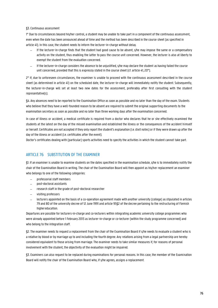# §3. Continuous assessment

1° Due to circumstances beyond his/her control, a student may be unable to take part in a component of the continuous assessment, even when the date has been announced ahead of time and the method has been described in the course sheet (as specified in article 41). In this case, the student needs to inform the lecturer-in-charge without delay.

- − If the lecturer-in-charge finds that the student had good cause to be absent, s/he may impose the same or a compensatory activity on the student, thus enabling the latter to pass the course unit concerned. However, the lecturer is also at liberty to exempt the student from the evaluation concerned.
- − If the lecturer-in-charge considers the absence to be unjustified, s/he may declare the student as having failed the course unit concerned, provided that this is expressly stated in the course sheet (cf. article 41, 20°).

2° If, due to unforeseen circumstances, the examiner is unable to proceed with the continuous assessment described in the course sheet (as determined in article 41) on the scheduled date, the lecturer-in-charge will immediately notify the student. Subsequently, the lecturer-in-charge will set at least two new dates for the assessment, preferably after first consulting with the student representative(s).

§4. Any absences need to be reported to the Examination Office as soon as possible and no later than the day of the exam. Students who believe that they have a well-founded reason to be absent are required to submit the original supporting documents to the examination secretary as soon as possible and no later than three working days after the examination concerned.

In case of illness or accident, a medical certificate is required from a doctor who declares that he or she effectively examined the students at the latest on the day of the missed examination and established the illness or the consequences of the accident himself or herself. Certificates are not accepted if they only report the student's explanation (i.e. dixit notes) or if they were drawn up after the day of the illness or accident (i.e. certificates after the event).

Doctor's certificates dealing with (particular) sports activities need to specify the activities in which the student cannot take part.

# ARTICLE 76 SUBSTITUTION OF THE EXAMINER

§1. If an examiner is unable to examine students on the dates specified in the examination schedule, s/he is to immediately notify the chair of the Examination Board in writing. The chair of the Examination Board will then appoint as his/her replacement an examiner who belongs to one of the following categories:

- − professorial staff members
- − post-doctoral assistants
- − research staff in the grade of post-doctoral researcher
- − visiting professors
- − lecturers appointed on the basis of a co-operation agreement made with another university (college) as stipulated in articles 79 and 80 of the university decree of 12 June 1991 and article 95§2 of the decree pertaining to the restructuring of Flemish highereducation.

Departures are possible for lecturers-in-charge and co-lecturers within integrating academic university college programmes who were already appointed before 1 February 2013 as lecturer-in-charge or co-lecturer (within the study programme concerned) and who belong to the integration staff.

§2. The examiner needs to request a replacement from the chair of the Examination Board if s/he needs to evaluate a student who is a relative by blood or by marriage up to and including the fourth degree. Any relations arising from a legal partnership are hereby considered equivalent to those arising from marriage. The examiner needs to take similar measures if, for reasons of personal involvement with the student, the objectivity of the evaluation might be impaired.

§3. Examiners can also request to be replaced during examinations for personal reasons. In this case, the member of the Examination Board will notify the chair of the Examination Board who, if s/he agrees, assigns a replacement.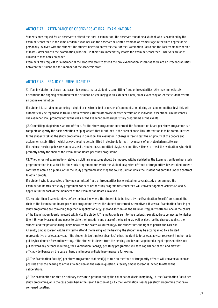# ARTICLE 77 ATTENDANCE OF OBSERVERS AT ORAL EXAMINATIONS

Students may request for an observer to attend their oral examination. The observer cannot be a student who is examined by the examiner concerned in the same academic year, nor can the observer be related by blood or by marriage in the third degree or be personally involved with the student. The student needs to notify the chair of the Examination Board and the Faculty ombudsperson at least 7 days prior to the examination, who shall in their turn immediately inform the examiner concerned. Observers are only allowed to take notes on paper.

Examiners may request for a member of the academic staff to attend the oral examination, insofar as there are no irreconcilabilities between the student and this member of the academic staff.

# ARTICLE 78 FRAUD OR IRREGULARITIES

§1. If an invigilator in charge has reason to suspect that a student is committing fraud or irregularities, s/he may immediately discontinue the ongoing evaluation for this student, or s/he may give this student a new, blank exam copy or let the student restart an online examination.

If a student is carrying and/or using a digital or electronic tool or means of communication during an exam or another test, this will automatically be regarded as fraud, unless explicitly stated otherwise or after permission in individual exceptional circumstances. The examiner shall promptly notify the chair of the Examination Board per study programme of the events.

§2. Committing plagiarism is a form of fraud. For the study programme concerned, the Examination Board per study programme can complete or specify the basic definition of "plagiarism" that is outlined in the present code. This information is to be communicated to the students taking the study programme in question. The evaluator in charge is free to test the originality of the papers and assignments submitted – which always need to be submitted in electronic format – by means of anti-plagiarism software. If a lecturer-in-charge has reason to suspect a student has committed plagiarism and this is likely to affect the evaluation, s/he shall promptly notify the chair of the Examination Board per study programme.

§3. Whether or not examination-related disciplinary measures should be imposed will be decided by the Examination Board per study programme that is qualified for the study programme for which the student suspected of fraud or irregularities has enrolled under a contract to obtain a diploma, or for the study programme involving the course unit for which the student has enrolled under a contract to obtain credits.

If a student who is suspected of having committed fraud or irregularities has enrolled for several study programmes, the Examination Boards per study programme for each of the study programmes concerned will convene together. Articles 63 and 72 apply in full for each of the members of the Examination Boards involved.

§4. No later than 5 calendar days before the hearing where the student is to be heard by the Examination Board(s) concerned, the chair of the Examination Board per study programme invites the student concerned. Alternatively, if several Examination Boards per study programme are convening together in application of §3 (second section) on the fraud or irregularity offence, one of the chairs of the Examination Boards involved will invite the student. The invitation is sent to the student's e-mail address connected to his/her Ghent University account and needs to state the time, date and place of the hearing, as well as describe the charges against the student and the possible disciplinary measures for exams as stated in §6. The student has the right to peruse the case file. A Faculty ombudsperson will be invited to attend the hearing. At the hearing, the student may be accompanied by a trusted representative or a legal adviser. If the student is legitimately absent, s/he has the right to let a legal adviser represent him/her or to put his/her defence forward in writing. If the student is absent from the hearing and has not appointed a legal representative, nor put forward any defence in writing, the Examination Board(s) per study programme will take cognizance of this and may yet officially deliberate on the case at hand and impose a disciplinary measure for exams.

§5. The Examination Board(s) per study programme that need(s) to rule on the fraud or irregularity offence will convene as soon as possible after the hearing to arrive at a decision on the case in question. A faculty ombudsperson is invited to attend the deliberations.

§6. The examination-related disciplinary measure is pronounced by the examination disciplinary body, i.e. the Examination Board per study programme, or in the case described in the second section of §3, by the Examination Boards per study programme that have convened together.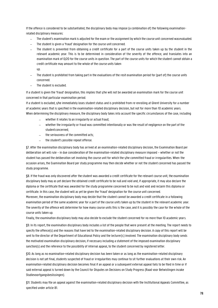If the offence is considered to be substantiated, the disciplinary body may impose (a combination of) the following examinationrelated disciplinary measures:

- The student's examination mark is adjusted for the exam or the assignment by which the course unit concerned wasevaluated.
- The student is given a 'fraud' designation for the course unit concerned.
- The student is prevented from obtaining a credit certificate for a part of the course units taken up by the student in the relevant academic year. This is to be determined in consideration of the severity of the offence, and translates into an examination mark of 0/20 for the course units in question. The part of the course units for which the student cannot obtain a credit certificate may amount to the whole of the course units taken up.
- The student is prohibited from taking part in the evaluations of the resit examination period for (part of) the course units concerned.
- The student is excluded.

If a student is given the 'fraud' designation, this implies that s/he will not be awarded an examination mark for the course unit concerned in that particular examination period.

If a student is excluded, s/he immediately loses student status and is prohibited from re-enrolling at Ghent University for a number of academic years that is specified in the examination-related disciplinary decision, but not for more than 10 academic years. When determining the disciplinary measure, the disciplinary body takes into account the specific circumstances of the case, including

- − whether it relates to an irregularity or actual fraud;
- − whether the irregularity or fraud was committed intentionally or was the result of negligence on the part of the studentconcerned;
- the seriousness of the committed acts:
- − the student's possible repeat offense.

§7. After the examination disciplinary body has arrived at an examination-related disciplinary decision, the Examination Board per deliberation set will rule – in due consideration of the examination-related disciplinary measure imposed – whether or not the student has passed the deliberation set involving the course unit for which the s/he committed fraud or irregularities. When the occasion arises, the Examination Board per study programme may then decide whether or not the student concerned has passed the study programme.

§8. If the fraud was only discovered after the student was awarded a credit certificate for the relevant course unit, the examination disciplinary body may as yet declare the obtained credit certificate to be null and void and, if appropriate, it may also declare the diploma or the certificate that was awarded for the study programme concerned to be null and void and reclaim this diploma or certificate. In this case, the student will as yet be given the 'fraud' designation for the course unit concerned.

Moreover, the examination disciplinary body may decide that the student cannot be awarded a credit certificate in a following examination period of the same academic year for a part of the course units taken up by the student in the relevant academic year. The severity of the offence will determine for how many course units this is the case, and it is possibly the case for the whole of the course units taken up.

Finally, the examination disciplinary body may also decide to exclude the student concerned for no more than 10 academic years.

§9. In its report, the examination disciplinary body includes a list of the people that were present at the meeting. The report needs to specify the offence(s) and the reasons that have led to the examination-related disciplinary decision. A copy of this report will be sent to the director of the Department of Educational Policy and the lecturer(s) involved. The examination disciplinary body sends the motivated examination disciplinary decision, if necessary including a statement of the imposed examination disciplinary sanction(s) and the reference to the possibility of internal appeal, to the student concerned by registered letter.

§10. As long as no examination-related disciplinary decision has been taken or as long as the examination-related disciplinary decision is not yet final, students suspected of fraud or irregularities may continue to sit further evaluations at their own risk. An examination-related disciplinary decision becomes final if an appeal or a subsequent external appeal fails to be filed in time or if said external appeal is turned down by the Council for Disputes on Decisions on Study Progress (Raad voor Betwistingen inzake Studievoortgangsbeslissingen).

§11. Students may file an appeal against the examination-related disciplinary decision with the Institutional Appeals Committee, as specified under article 81.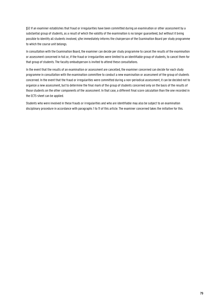§12 If an examiner establishes that fraud or irregularities have been committed during an examination or other assessment by a substantial group of students, as a result of which the validity of the examination is no longer guaranteed, but without it being possible to identify all students involved, s/he immediately informs the chairperson of the Examination Board per study programme to which the course unit belongs.

In consultation with the Examination Board, the examiner can decide per study programme to cancel the results of the examination or assessment concerned in full or, if the fraud or irregularities were limited to an identifiable group of students, to cancel them for that group of students. The faculty ombudsperson is invited to attend these consultations.

In the event that the results of an examination or assessment are cancelled, the examiner concerned can decide for each study programme in consultation with the examination committee to conduct a new examination or assessment of the group of students concerned. In the event that the fraud or irregularities were committed during a non-periodical assessment, it can be decided not to organize a new assessment, but to determine the final mark of the group of students concerned only on the basis of the results of those students on the other components of the assessment. In that case, a different final score calculation than the one recorded in the ECTS-sheet can be applied.

Students who were involved in these frauds or irregularities and who are identifiable may also be subject to an examination disciplinary procedure in accordance with paragraphs 1 to 11 of this article. The examiner concerned takes the initiative for this.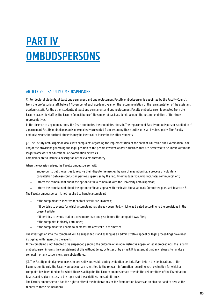# PART IV **OMBUDSPERSONS**

# ARTICLE 79 FACULTY OMBUDSPERSONS

§1. For doctoral students, at least one permanent and one replacement Faculty ombudsperson is appointed by the Faculty Council from the professorial staff, before 1 November of each academic year, on the recommendation of the representation of the assistant academic staff. For the other students, at least one permanent and one replacement Faculty ombudsperson is selected from the Faculty academic staff by the Faculty Council before 1 November of each academic year, on the recommendation of the student representatives.

In the absence of any nominations, the Dean nominates the candidates himself. The replacement Faculty ombudsperson is called in if a permanent Faculty ombudsperson is unexpectedly prevented from assuming these duties or is an involved party. The Faculty ombudspersons for doctoral students may be identical to those for the other students.

§2. The Faculty ombudsperson deals with complaints regarding the implementation of the present Education and Examination Code and/or the provisions governing the legal position of the people involved and/or situations that are perceived to be unfair within the larger framework of educational or examination activities.

Complaints are to include a description of the events they decry.

When the occasion arises, the Faculty ombudsperson will:

- endeavour to get the parties to resolve their dispute themselves by way of mediation (i.e. a process of voluntary consultation between conflicting parties, supervised by the Faculty ombudsperson, who facilitates communication);
- inform the complainant about the option to file a complaint with the University ombudsperson;
- − inform the complainant about the option to file an appeal with the Institutional Appeals Committee pursuant to article 81.

The Faculty ombudsperson is not required to handle a complaint:

- if the complainant's identity or contact details are unknown;
- if it pertains to events for which a complaint has already been filed, which was treated according to the provisions in the present article;
- − if it pertains to events that occurred more than one year before the complaint was filed;
- − if the complaint is clearly unfounded;
- − if the complainant is unable to demonstrate any stake in thematter.

The investigation into the complaint will be suspended if and as long as an administrative appeal or legal proceedings have been instigated with respect to the events.

If the complaint is not handled or is suspended pending the outcome of an administrative appeal or legal proceedings, the Faculty ombudsperson informs the complainant of this without delay, by letter or by e-mail. It is essential that any refusals to handle a complaint or any suspensions are substantiated.

§3. The Faculty ombudsperson needs to be readily accessible during evaluation periods. Even before the deliberations of the Examination Boards, the Faculty ombudsperson is entitled to the relevant information regarding each evaluation for which a complaint has been filed or for which there is a dispute. The Faculty ombudsperson attends the deliberations of the Examination Boards and is given access to the reports of these deliberations at all times.

The Faculty ombudsperson has the right to attend the deliberations of the Examination Boards as an observer and to peruse the reports of those deliberations.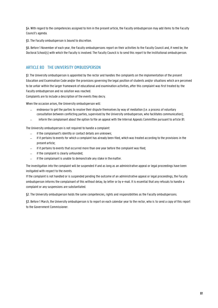§4. With regard to the competencies assigned to him in the present article, the Faculty ombudsperson may add items to the Faculty Council's agenda.

§5. The Faculty ombudsperson is bound to discretion.

§6. Before 1 November of each year, the Faculty ombudspersons report on their activities to the Faculty Council and, if need be, the Doctoral School(s) with which the Faculty is involved. The Faculty Council is to send this report to the Institutional ombudsperson.

# ARTICLE 80 THE UNIVERSITY OMBUDSPERSON

§1. The University ombudsperson is appointed by the rector and handles the complaints on the implementation of the present Education and Examination Code and/or the provisions governing the legal position of students and/or situations which are perceived to be unfair within the larger framework of educational and examination activities, after this complaint was first treated by the Faculty ombudsperson and no solution was reached.

Complaints are to include a description of the events they decry.

When the occasion arises, the University ombudsperson will:

- − endeavour to get the parties to resolve their dispute themselves by way of mediation (i.e. a process of voluntary consultation between conflicting parties, supervised by the University ombudsperson, who facilitates communication);
- − inform the complainant about the option to file an appeal with the Internal Appeals Committee pursuant to article 81.

The University ombudsperson is not required to handle a complaint:

- if the complainant's identity or contact details are unknown;
- − if it pertains to events for which a complaint has already been filed, which was treated according to the provisions in the present article;
- − if it pertains to events that occurred more than one year before the complaint was filed;
- − if the complaint is clearly unfounded;
- − if the complainant is unable to demonstrate any stake in thematter.

The investigation into the complaint will be suspended if and as long as an administrative appeal or legal proceedings have been instigated with respect to the events.

If the complaint is not handled or is suspended pending the outcome of an administrative appeal or legal proceedings, the Faculty ombudsperson informs the complainant of this without delay, by letter or by e-mail. It is essential that any refusals to handle a complaint or any suspensions are substantiated.

§2. The University ombudsperson holds the same competencies, rights and responsibilities as the Faculty ombudspersons.

§3. Before 1 March, the University ombudsperson is to report on each calendar year to the rector, who is to send a copy of this report to the Government Commissioner.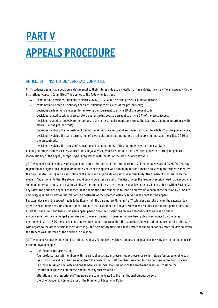# PART V APPEALS PROCEDURE

# ARTICLE 81 INSTITUTIONAL APPEALS COMMITTEE

§1. If students deem that a decision is detrimental to their interests due to a violation of their rights, they may file an appeal with the Institutional Appeals Committee. This applies to the following decisions:

- examination decisions, pursuant to articles 56, 65, 67, 71 and 73 of the present examination code;
- examination-related disciplinary decisions, pursuant to article 78 of the present code;
- decisions pertaining to a request for an exemption, pursuant to article 29 of the present code;
- − decisions related to taking a preparatory and/or linking course pursuant to article 6 §1 of the presentcode;
- − decisions related to requests for exceptions to the access requirements concerning the learning account in accordance with article 11 of the present code;
- − decisions involving the imposition of binding conditions or a refusal of enrolment pursuant to article 24 of the present code;
- − decisions involving the early termination of a work placement or another practical course unit pursuant to article 24 §9 of the present code;
- − decisions involving the refusal of education and examination facilities for students with a specialstatus.

In doing so, students may seek assistance from a legal adviser, who is required to hold a written power of attorney on pain of inadmissibility of the appeal, except if s/he is registered with the Bar or the list of trainee lawyers.

§2. The appeal is filed by means of a signed and dated petition that is sent to the rector (Sint-Pietersnieuwstraat 25, 9000 Gent) by registered and signed post, on pain of inadmissibility of the appeal. At a minimum, this document is to specify the student's identity, the disputed decision(s) and a description of the facts and arguments on pain of inadmissibility. The burden of proof lies with the student. Any arguments that the student could only know after perusal of the file or after the feedback session need to be added in a supplementary note on pain of inadmissibility, either immediately after the perusal or feedback session or at least within 7 calendar days after the period of appeal has lapsed. At the same time, the student is to send an electronic version of the petition by e-mail to [ombuds@ugent.be b](mailto:ombuds@ugent.be)y way of information. The postmark of the recorded delivery serves as the date for the appeal. For exam decisions, the appeal needs to be filed within the peremptory time limit of 7 calendar days, starting on the calendar day after the examination results announcement. The fact that a student has not yet received any feedback within that period does not affect this time limit, and there is no new appeal period once the student has received feedback. If there was no public announcement of the challenged exam decision, the exam decision is deemed to have been publicly announced on the dates mentioned in article 69§1, second section, unless the student can prove that the exam decision was not announced until a later date. With regard to the other decisions mentioned in \$1, the peremptory time limit takes effect on the calendar day after the day on which the student was informed of the decision in question.

§3. The appeal is considered by the Institutional Appeals Committee, which is composed on an ad hoc basis by the rector and consists of the following people:

- − the rector or the vice-rector;
- − four professorial staff members with the rank of associate professor, full professor or senior full professor, belonging to at least two different Faculties, selected from the professorial staff members assigned for this purpose by the Faculty; each Faculty is to assign one male and one female professorial staff member of the aforementioned rank to sit on the Institutional Appeals Committee if required. Any successions or
- alterations of professorial staff members are communicated to the institutional ombudsperson;
- − the Chief Academic Administrator or the Director of Educational Policy.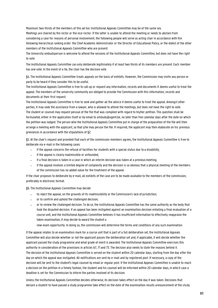Maximum two-thirds of the members of this ad hoc Institutional Appeals Committee may be of the same sex.

Meetings are chaired by the rector or the vice-rector. If the latter is unable to attend the meeting or needs to abstain from considering a case for reasons of personal involvement, the following people will serve as acting chair in accordance with the following hierarchical ranking order: the Chief Academic Administrator or the Director of Educational Policy, or the eldest of the other members of the Institutional Appeals Committee who are present.

The University ombudsperson is welcome to attend the sessions of the Institutional Appeals Committee, but does not have the right to vote.

The Institutional Appeals Committee can only deliberate legitimately if at least two thirds of its members are present. Each member has one vote. In the event of a tie, the chair has the decisive vote.

§4. The Institutional Appeals Committee treats appeals on the basis of exhibits. However, the Commission may invite any person or party to be heard if they consider this to be useful.

The Institutional Appeals Committee is free to call up or request any information, records and documents it deems useful to treat the appeal. The members of the university community are obliged to provide the Commission with this information, records and documents at their first request.

The Institutional Appeals Committee is free to seek and gather all the advice it deems useful to treat the appeal. Amongst other parties, it may seek the assistance from a lawyer, who is allowed to attend the meetings, but does not have the right to vote. The student or counsel may request perusal of the file that was compiled with regard to his/her petition. This question shall be formulated, either in the application itself or by email t[o ombuds@ugent.be, n](mailto:ombuds@ugent.be)o later than five calendar days after the date on which the petition was lodged. The person who the Institutional Appeals Committee put in charge of the preparation of the file will then arrange a meeting with the applicant, so that s/he may peruse the file. If required, the applicant may then elaborate on his previous grievances in accordance with the stipulations of §2.

§5. At the chair's request and provided that each of the commission members agrees, the Institutional Appeals Committee is free to deliberate via e-mail in the following cases:

- if the appeal concerns the refusal of facilities for students with a special status due to a disabillity;
- − if the appeal is clearly inadmissible or unfounded;
- if a final decision is taken in a case in which an interim decision was taken at a previous meeting;
- if the appeal involves a limited degree of complexity and the decision is so obvious that a physical meeting of the members of the commission has no added value for the treatment of the appeal.

If the chair proposes to deliberate by e-mail, all exhibits of the case are to be made available to the members of the commission, preferably in electronic format.

§6. The Institutional Appeals Committee may decide:

- to reject the appeal, on the grounds of its inadmissibility or the Commission's lack of jurisdiction;
- or to confirm and uphold the challenged decision:
- − or to review the challenged decision. To do so, the Institutional Appeals Committee has the same authority as the body that took the disputed decision. If an appeal has been instigated against an examination decision entailing a final evaluation of a course unit, and the Institutional Appeals Committee believes it has insufficient information to effectively reappraise the taken examination, it may decide to award the student a

new exam opportunity. In doing so, the commission will determine the terms and conditions of any such examination.

If the appeal relates to an examination mark for a course unit that is part of a full deliberation set, the Institutional Appeals Committee will also decide whether or not the applicant passes the deliberation set and, if applicable, it will decide whether the applicant passed the study programme and what grade of merit is awarded. The Institutional Appeals Committee exercises this authority in consideration of the provisions in articles 67, 71 and 73. The decision also needs to state the reasons behind it. The decision of the Institutional Appeals Committee is served on the student within 20 calendar days, starting from the day after the day on which the appeal was instigated. All notifications are sent by e-mail and by registered post. If necessary, a copy of the decision will be sent to the student's legal counsel by email or regular post. If the Institutional Appeals Committee is unable to reach a decision on the petition in a timely fashion, the student and his counsel will be informed within 20 calendar days, in which case a deadline is set for the Commission to inform the parties involved of its decision.

Unless the Institutional Appeals Committee decides otherwise, its decision takes effect on the day it was taken. Decisions that declare a student to have passed a study programme take effect on the date of the examination results announcement of the study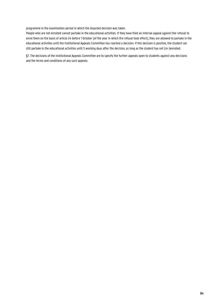programme in the examination period in which the disputed decision was taken.

People who are not enrolled cannot partake in the educational activities. If they have filed an internal appeal against the refusal to enrol them on the basis of article 24 before 1 October (of the year in which the refusal took effect), they are allowed to partake in the educational activities until the Institutional Appeals Committee has reached a decision. If this decision is positive, the student can still partake in the educational activities until 5 working days after the decision, as long as the student has not (re-)enrolled.

§7. The decisions of the Institutional Appeals Committee are to specify the further appeals open to students against any decisions and the terms and conditions of any such appeals.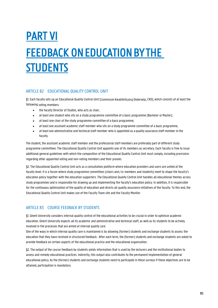# PART VI FEEDBACK ON EDUCATION BY THE **STUDENTS**

# ARTICLE 82 EDUCATIONAL QUALITY CONTROL UNIT

§1. Each faculty sets up an Educational Quality Control Unit (Commissie Kwaliteitszorg Onderwijs, CKO), which consists of at least the following voting members:

- the faculty Director of Studies, who acts as chair;
- at least one student who sits on a study programme committee of a basic programme (Bachelor or Master);
- at least one chair of the study programme committee of a basic programme;
- at least one assistant academic staff member who sits on a study programme committee of a basic programme;
- at least one administrative and technical staff member who is appointed as a quality assurance staff member in the faculty.

The student, the assistant academic staff member and the professorial staff members are preferably part of different study programme committees. The Educational Quality Control Unit appoints one of its members as secretary. Each faculty is free to issue additional general guidelines with which the composition of the Educational Quality Control Unit must comply, including provisions regarding other appointed voting and non-voting members and their proxies.

§2. The Educational Quality Control Unit acts as a consultation platform where education providers and users are united at the faculty level. It is a forum where study programme committees (chairs and / or members and students) meet to shape the faculty's education policy together with the education supporters. The Educational Quality Control Unit handles all educational themes across study programmes and is responsible for drawing up and implementing the faculty's education policy. In addition, it is responsible for the continuous optimization of the quality of education and directs all quality assurance initiatives of the faculty. To this end, the Educational Quality Control Unit makes use of the Faculty Team site and the Faculty Monitor.

# ARTICLE 83 COURSE FEEDBACK BY STUDENTS

§1. Ghent University considers internal quality control of the educational activities to be crucial in order to optimize academic education. Ghent University expects all its academic and administrative and technical staff, as well as its students to be actively involved in the processes that are aimed at internal quality care.

One of the ways in which internal quality care is maintained is by allowing (former) students and exchange students to assess the education that they have received in structured feedback. After each term, the (former) students and exchange students are asked to provide feedback on certain aspects of the educational practice and the educational organization.

§2. The output of the course feedback by students yields information that is used by the lecturers and the institutional bodies to assess and remedy educational practices. Indirectly, this output also contributes to the permanent implementation of general educational policy. As the (former) students and exchange students need to participate in these surveys if these objectives are to be attained, participation is mandatory.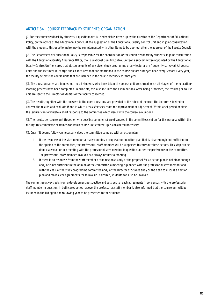# ARTICLE 84 COURSE FEEDBACK BY STUDENTS: ORGANIZATION

§1. For the course feedback by students, a questionnaire is used which is drawn up by the director of the Department of Educational Policy, on the advice of the Educational Council. At the suggestion of the Educational Quality Control Unit and in joint consultation with the students, this questionnaire may be complemented with other items to be queried, after the approval of the Faculty Council.

§2. The Department of Educational Policy is responsible for the coordination of the course feedback by students. In joint consultation with the Educational Quality Assurance Office, the Educational Quality Control Unit (or a subcommittee appointed by the Educational Quality Control Unit) ensures that all course units of any given study programme or any lecturer are frequently surveyed. All course units and the lecturers-in-charge and co-lecturers that are mentioned in the course file are surveyed once every 3 years. Every year, the faculty selects the course units that are included in the course feedback for that year.

§3. The questionnaires are handed out to all students who have taken the course unit concerned, once all stages of the educationlearning process have been completed. In principle, this also includes the examinations. After being processed, the results per course unit are sent to the Director of Studies of the faculty concerned.

§4. The results, together with the answers to the open questions, are provided to the relevant lecturer. The lecturer is invited to analyze the results and evaluate if and in which areas s/he sees room for improvement or adjustment. Within a set period of time, the lecturer can formulate a short response to the committee which deals with the course evaluations.

§5. The results per course unit (together with possible comments) are discussed in the committees set up for this purpose within the faculty. This committee examines for which course units follow-up is considered necessary.

§6. Only if it deems follow-up necessary, does the committee come up with an action plan:

- 1. If the response of the staff member already contains a proposal for an action plan that is clear enough and sufficient in the opinion of the committee, the professorial staff member will be supported to carry out these actions. This step can be done via e-mail or in a meeting with the professorial staff member in question, as per the preference of the committee. The professorial staff member involved can always request a meeting.
- 2. If there is no response from the staff member or the response and / or the proposal for an action plan is not clear enough and / or is not sufficient in the opinion of the committee, a meeting is planned with the professorial staff member and with the chair of the study programme committee and / or the Director of Studies and / or the dean to discuss an action plan and make clear agreements for follow-up. If desired, students can also be involved.

The committee always acts from a development perspective and sets out to reach agreements in consensus with the professorial staff member in question. In both cases set out above, the professorial staff member is also informed that the course unit will be included in the list again the following year to be presented to the students.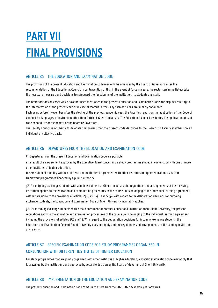# PART VII FINAL PROVISIONS

# ARTICLE 85 THE EDUCATION AND EXAMINATION CODE

The provisions of the present Education and Examination Code may only be amended by the Board of Governors, after the recommendation of the Educational Council. In contravention of this, in the event of force majeure, the rector can immediately take the necessary measures and decisions to safeguard the functioning of the institution, its students and staff.

The rector decides on cases which have not been mentioned in the present Education and Examination Code, for disputes relating to the interpretation of the present code or in case of material errors. Any such decisions are publicly announced.

Each year, before 1 November after the closing of the previous academic year, the Faculties report on the application of the Code of Conduct for languages of instruction other than Dutch at Ghent University. The Educational Council evaluates the application of said code of conduct for the benefit of the Board of Governors.

The Faculty Council is at liberty to delegate the powers that the present code describes to the Dean or to Faculty members on an individual or collective basis.

# ARTICLE 86 DEPARTURES FROM THE EDUCATION AND EXAMINATION CODE

§1. Departures from the present Education and Examination Code are possible:

as a result of an agreement approved by the Executive Board concerning a study programme staged in conjunction with one or more other institutes of higher education;

to serve student mobility within a bilateral and multilateral agreement with other institutes of higher education; as part of framework programmes financed by a public authority.

§2. For outgoing exchange students with a main enrolment at Ghent University, the regulations and arrangements of the receiving institution applies to the education and examination procedures of the course units belonging to the individual learning agreement, without prejudice to the provisions of articles 2§6, 30, 55§6 and 56§4. With regard to the deliberation decisions for outgoing exchange students, the Education and Examination Code of Ghent University invariably applies.

§3. For incoming exchange students with a main enrolment at another educational institution than Ghent University, the present regulations apply to the education and examination procedures of the course units belonging to the individual learning agreement, including the provisions of articles 2§6 and 18. With regard to the deliberation decisions for incoming exchange students, the Education and Examination Code of Ghent University does not apply and the regulations and arrangements of the sending institution are in force.

# ARTICLE 87 SPECIFIC EXAMINATION CODE FOR STUDY PROGRAMMES ORGANIZED IN CONJUNCTION WITH DIFFERENT INSTITUTES OF HIGHER EDUCATION

For study programmes that are jointly organized with other institutes of higher education, a specific examination code may apply that is drawn up by the institutions and approved by separate decision by the Board of Governors at Ghent University.

# ARTICLE 88 IMPLEMENTATION OF THE EDUCATION AND EXAMINATION CODE

The present Education and Examination Code comes into effect from the 2021-2022 academic year onwards.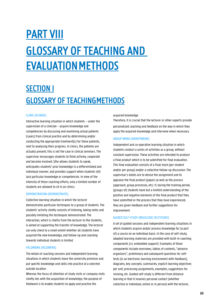# PART VIII GLOSSARY OF TEACHING AND EVALUATION METHODS

# SECTION I GLOSSARY OF TEACHING METHODS

# CLINIC (KLINIEK)

Interactive learning situation in which students – under the supervision of a clinician – acquire knowledge and competencies by discussing and examining actual patients (cases) from clinical practice and by determining and/or conducting the appropriate treatment(s) for these patients, next to analysing their progress. In clinics, the patients are actually present; this is not the case in clinical seminars. The supervisor encourages students to think actively, cooperate and become involved. S/he allows students to speak, anticipates students' prior knowledge in a differentiated and individual manner, and provides support when students still lack particular knowledge or competencies. In view of the intensity of these coaching efforts, only a limited number of students are allowed to sit in on clinics.

#### DEMONSTRATION (DEMONSTRATIE)

Collective learning situation in which the lecturer demonstrates particular techniques to a group of students. The students' activity chiefly consists of listening, taking notes and possibly imitating the techniques demonstrated. The interaction, which is chiefly from the lecturer to the students, is aimed at supporting the transfer of knowledge. The lecturer can only check to a small extent whether all students have acquired the new knowledge, and follow-up and coaching towards individual students is limited.

# FIELDWORK (VELDWERK)

The whole of coaching sessions and independent learning situations in which students leave the university premises and put specific knowledge and skills into practice at a selected outside location.

Whereas the focus of attention of study visits or company visits chiefly lies with the acquisition of knowledge, the purpose of fieldwork is to enable students to apply and practise the

acquired knowledge.

Therefore, it is crucial that the lecturer or other experts provide personalized coaching and feedback on the way in which they apply the acquired knowledge and intervene when necessary.

#### GROUP WORK (GROEPSWERK)

Independent and co-operative learning situation in which students conduct a series of activities as a group, without constant supervision. These activities are intended to produce a final product which is to be submitted for final evaluation. This final evaluation consists of a final mark (per student and/or per group) and/or a collective follow-up discussion. The supervisor's duties are to devise the assignment and to appraise the final product (paper) as well as the process (approach, group processes, etc). If, during the training period, (groups of) students have but a limited understanding of the positive and negative elements of the final product that they have submitted or the process that they have experienced, they are given feedback and further suggestions for improvement.

#### GUIDED SELF-STUDY (BEGELEIDE ZELFSTUDIE)

A set of guided sessions and independent learning situations in which students acquire and/or process knowledge for (a part of) a course on an individual basis. In the case of self-study, adapted learning materials are provided with built-in coaching components (i.e. embedded support). Examples of these components include overviews, tables of contents, "advance organizers", preliminary and subsequent questions for selftests (in an electronic learning environment with feedback), diagrams, key concepts, summaries, explicit learning objectives per unit, processing assignments, examples, suggestions for revising, etc. Guided self-study is different from distance learning in that it involves personal contact (whether collective or individual, online or in person) with the lecturer,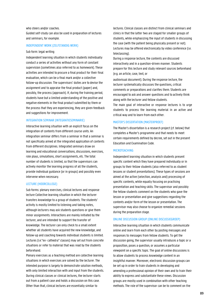#### who steers and/or coaches.

Guided self-study can also be used in preparation of lectures and seminars, for example.

#### INDEPENDENT WORK (ZELFSTANDIG WERK)

#### Sub form: legal writing

Independent learning situation in which students individually conduct a series of activities without any form of constant supervision (sometimes also referred to as homework). These activities are intended to procure a final product for their final evaluation, which can be a final mark and/or a collective follow-up discussion. The supervisors' duties are to devise the assignment and to appraise the final product (paper) and, possibly, the process (approach). If, during the training period, students have but a limited understanding of the positive and negative elements in the final product submitted by them or the process that they are experiencing, they are given feedback and suggestions for improvement.

#### INTEGRATION SEMINAR (INTEGRATIESEMINARIE)

Interactive learning situation with an explicit focus on the integration of contents from different course units. An integration seminar differs from a seminar in that a seminar is not specifically aimed at the integrated application of contents from different disciplines. Integrated seminars draw on learning and educational conversations, discussions, exercises, role plays, simulations, short assignments, etc. The total number of students is limited, so that the supervisors can actively monitor the learning progress of all the students, provide individual guidance (or in groups) and possibly even intervene when necessary.

#### LECTURE (HOORCOLLEGE)

Sub forms: plenary exercises, clinical lectures and response lecture Collective learning situation in which the lecturer transfers knowledge to a group of students. The students' activity is mostly limited to listening and taking notes, although lecturers may ask students questions or give them minor assignments. Interactions are mainly initiated by the lecturer, and are intended to support the transfer of knowledge. The lecturer can only check to a small extent whether all students have acquired the new knowledge, and follow-up and coaching towards individual students is limited. Lectures (i.e."ex- cathedra" classes) may set out from concrete situations or refer to material that was read by the students beforehand.

Plenary exercises as a teaching method are collective learning situations in which exercises are solved by the lecturer. The intended purpose is largely to demonstrate solution methods, with only limited interaction with and input from the students. During clinical classes or clinical lectures, the lecturer starts out from a patient case and holds a discussion on this case. Other than that, clinical lectures are essentially similar to

lectures. Clinical classes are distinct from clinical seminars and clinics in that the latter two are staged for smaller groups of students, while emphasizing the input of students in discussing the case (with the patient being physically present or not). Lectures may be offered electronically by video conference (i.e. teleclassing).

During a response lecture, the contents are discussed interactively and in a question-driven manner. Students prepare for this lecture and study relevant sources beforehand (e.g. an article, case, text, or

audiovisual document). During the response lecture, the lecturer systematically discusses the questions, critical comments or preparations and clarifies them. Students are encouraged to ask and answer questions and to actively think along with the lecturer and fellow students.

The main goal of interactive or response lectures is to urge students to process the learning material in an active and critical way and to learn from each other.

#### MASTER'S DISSERTATION (MASTERPROEF)

The Master's dissertation is a research project (cf. below) that completes a Master's programme and that needs to meet certain requirements defined by decree, set out in the present Education and Examination Code.

#### MICROTEACHING

Independent learning situation in which students present specific content which they have prepared individually or in groups to their fellow students (also referred to as student lessons or student presentations). These types of sessions are aimed at the active (selection, analysis and) processing of specific contents, while equally focusing on practising presentation and teaching skills. The supervisor and possibly the fellow students comment on the students who gave the lesson or presentation and give suggestions regarding the contents and/or form of the lesson or presentation. The supervisor may also choose to organize remedial sessions during the preparation stage.

#### ONLINE DISCUSSION GROUP (ONLINE DISCUSSIEGROEP)

Interactive learning situation in which students communicate online and learn from each other by posting messages and responses to messages from fellow students. To get the discussion going, the supervisor usually introduces a topic or a proposition, poses a question, or assumes a particular viewpoint on a specific topic. The goal of online discussions is to allow students to process knowledge content in an insightful manner. Moreover, electronic discussion groups can be set up in order to train students in developing and amending a professional opinion of their own and to train their ability to express and substantiate these views. Discussion groups are mostly used in combination with other teaching methods. The role of the supervisor can be to comment on the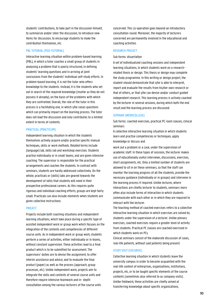students' contributions, to take part in the discussion himself, to summarize and/or steer the discussion, to introduce new items for discussion, to encourage students to make the contribution themselves, etc.

### PBL TUTORIAL (PGO-TUTORIAL)

Interactive learning situation within problem-based learning (PBL), in which a tutor coaches a small group of students in analysing a problem that is poorly structured, in defining students' learning questions and in arriving at joint conclusions from the students' individual self-study efforts. In problem-based learning, it is not the tutor who offers knowledge to the students. Instead, it is the students who set out in search of the required knowledge (insofar as they do not possess it already), on the basis of the problems with which they are confronted. Overall, the role of the tutor in this process is a facilitating one, in which s/he raises questions which can primarily impact on the learning process. The tutor does not lead the discussion and only contributes to a limited extent in terms of contents.

#### PRACTICAL (PRACTICUM)

Independent learning situation in which the students themselves actively acquire and/or practise specific manual techniques, skills or work methods. Related terms include (language) lab, skills lab and workshop exercises. Students practise individually or in small teams, and are given intensive coaching. The supervisor is responsible for the practical arrangements and coaches the students. In contrast with seminars, students are hardly addressed collectively. On the whole, practicals or (skills) labs are geared towards the development of skills that students will need in their prospective professional careers. As this requires quite rigorous and individual coaching efforts, groups are kept fairly small. Practicals can also include moments when students are given collective instructions.

#### **PROJECT**

Projects include both coaching situations and independent learning situations, which take place during a specific type of assisted independent work or group work which focuses on the integration of the contents and competencies of different course units. As in independent work or group work, students perform a series of activities, either individually or in teams, without constant supervision. These activities lead to a final product which is to be submitted for assessment. The supervisors' duties are to devise the assignment, to offer interim assistance and advice, and to evaluate the final product (paper) as well as the process (approach, group processes, etc). Unlike independent work, projects aim to integrate the skills and contents of several course units and therefore require intensive teamwork and in- depth consultation among the various lecturers of the course units

concerned. This co-operation goes beyond an introductory consultation round. Moreover, the majority of lecturers concerned are permanently involved in the educational and coaching activities.

#### RESEARCH PROJECT

#### Sub forms: dissertation

A set of individualized coaching sessions and independent learning situations, in which students work on a researchrelated thesis or design. This thesis or design may complete the study programme. In this writing or design project, the student should demonstrate that s/he is able to interpret, report and evaluate the results from his/her own research or that of others, or that s/he can devise and/or conduct guided independent research. This learning process is actively coached by the lecturer in several sessions, during which both the end result and the learning process are discussed.

#### SEMINAR (WERKCOLLEGE)

Sub forms: coached exercises, practical PC room classes, clinical seminars

A collective interactive learning situation in which students learn and practise competencies or techniques, apply knowledge or discuss and

work out a problem or a case, under the supervision of academic staff. In these types of sessions, the lecturer makes use of educationally useful interviews, discussions, exercises, short assignments, etc. Only a limited number of students are allowed to sit in on these seminars, so that the staff can monitor the learning progress of all the students, provide the necessary guidance (individually or in groups) and intervene in the learning process if required. Unlike lectures, where interactions are chiefly lecturer to students, seminars more often also include forms of interaction in which students communicate with each other or in which they are required to interact with the lecturer.

The teaching method of coached exercises refers to a collective interactive learning situation in which exercises are solved by students under the supervision of a lecturer. Unlike plenary exercises, coached exercises require a greater level of activity from students. Practical PC classes are coached exercised in which students work on PCs.

Clinical seminars consist of the elaborate discussion of cases, real-life patients, without said patients being present.

#### STUDY VISIT (EXCURSIE)

Collective learning situation in which students leave the university campus in order to become acquainted with the real-life context of enterprises, organizations, institutions, projects, etc, or to be taught specific elements of the course contents (sometimes also referred to as company visits). Unlike fieldwork, these activities are chiefly aimed at transferring knowledge about specific organizations,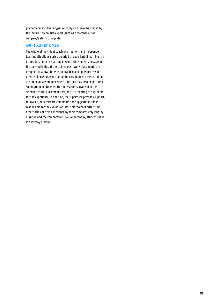phenomena, etc. These types of study visits may be guided by the lecturer, an on-site expert (such as a member of the company's staff), or a guide.

### WORK PLACEMENT (STAGE)

The whole of individual coaching situations and independent learning situations during a period of experiential learning in a professional practice setting in which the students engage in the daily activities at the trainee post. Work placements are designed to allow students to practise and apply professionoriented knowledge and competencies. In most cases, students are alone on a work placement, but they may also be part of a small group of students. The supervisor is involved in the selection of the placement post, and in preparing the students for the experience. In addition, the supervisor provides support, follow-up, puts forward comments and suggestions and is responsible for the evaluation. Work placements differ from other forms of field experience by their comparatively lengthy duration and the comparative level of autonomy students have in everyday practice.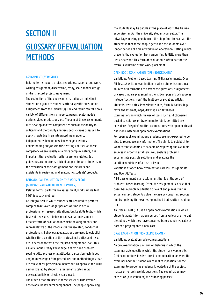# SECTION II GLOSSARY OF EVALUATION **METHODS**

#### ASSIGNMENT (WERKSTUK)

Related terms: report, project report, log, paper, group work, writing assignment, dissertation, essay, scale-model, design or draft, record, project assignment.

The evaluation of the end result created by an individual student or a group of students after a specific question or assignment from the lecturer(s). The end result can take on a variety of different forms: reports, papers, scale-models, designs, video productions, etc. The aim of these assignments is to develop and test competencies such as the ability to critically and thoroughly analyse specific cases or issues, to apply knowledge in an integrated manner, or to independently develop new knowledge, methods, understanding and/or scientific writing abilities. As these competencies are usually of a more complex nature, it is important that evaluation criteria are formulated. Such guidelines are to offer sufficient support to both students in the execution of their assignment and lecturers and assistants in reviewing and evaluating students' products.

# BEHAVIOURAL EVALUATION ON THE WORK FLOOR (GEDRAGSEVALUATIE OP DE WERKVLOER)

Related terms: performance assessment, work sample test, 360° feedback method.

An integral test in which students are required to perform complex tasks over longer periods of time in actual professional or research situations. Unlike skills tests, which test isolated skills, a behavioural evaluation is a much broader form of evaluation in which the assignments are representative of the integral (vs. the isolated) conduct of professionals. Behavioural evaluations are used to establish whether the execution of the professional duties and tasks are in accordance with the required competence level. This usually implies ready knowledge, analytic and problemsolving skills, professional attitudes, discussion techniques and/or knowledge of the procedures and methodologies that are relevant for professional behaviour. To appraise the skills demonstrated by students, assessment scales and/or observation lists or checklists are used.

The criteria that are used in these scales or lists involve observable behavioural components. The people appraising the students may be people at the place of work, the trainee supervisor and/or the university student counsellor. The advantage in using people from the shop floor to evaluate the students is that these people get to see the students over longer periods of time at work in an operational setting, which prevents the evaluation from amounting to little more than just a snapshot. This form of evaluation is often part of the overall evaluation of the work placement.

#### OPEN BOOK EXAMINATION (OPENBOEKEXAMEN)

Variations: Problem based learning (PBL) assignments, Over All Tests. A written examination in which students can consult sources of information to answer the questions, assignments or cases that are presented to them. Examples of such sources include (sections from) the textbook or syllabus, articles, students' own notes, PowerPoint slides, formula tables, legal texts, the Internet, maps, drawings, or databases. Examinations in which the use of tools such as dictionaries, pocket calculators or drawing materials is permitted are considered "regular" written examinations with open or closed questions instead of open book examinations.

For open book examinations, students are not expected to be able to reproduce any information. The aim is to establish to what extent students are capable of employing the available sources in order to establish links, analyse problems, substantiate possible solutions and evaluate the solutions/decisions of a case or issue.

Variations of open book examinations are PBL assignments and Over All Tests.

A PBL assignment is an assignment that is at the core of problem- based learning. Often, the assignment is a case that describes a problem, situation or event and places it in the actual context. Students solve the case by consulting sources and by applying the seven-step method that is often used for PBL.

An Over All Test (OAT) is an open book examination in which students apply information sources from a variety of different disciplines which they have consulted beforehand (typically as part of a project) onto a new case.

#### ORAL EXAMINATION (MONDELING EXAMEN)

Variations: evaluation reviews, presentations.

An oral examination is a form of dialogue in which the examiner asks questions which the student answers orally. Oral examinations involve direct communication between the examiner and the student, which makes it possible for the examiner to probe the student's knowledge of the subject matter or to rephrase his questions. The examination may consist of (a selection of) the following phases: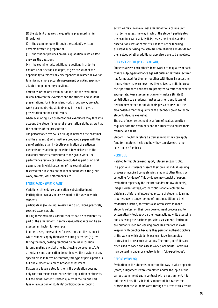(1) the student prepares the questions presented to him (inwriting),

(2) the examiner goes through the student's written answers drafted in preparation,

(3) the student provides an oral explanation in which s/he answers the questions,

(4) the examiner asks additional questions in order to explore a specific topic in depth, to give the student the opportunity to remedy any discrepancies in his/her answer or to arrive at a more accurate assessment by asking specially adapted supplementary questions.

Variations of the oral examination include the evaluation review between the examiner and the student and student presentations. For independent work, group work, projects, work placements, etc, students may be asked to give a presentation on their end results.

When evaluating such presentations, examiners may take into account the student's general presentation skills, as well as the contents of the presentation.

The performance review is a dialogue between the examiner and the student(s) who has/have produced a paper with the aim of arriving at an in-depth examination of particular elements or establishing the extent to which each of the individual students contributed to the group work. The performance review can also be included as part of an oral examination in which a section of the examination is reserved for questions on the independent work, the group work, projects, work placements, etc.

#### PARTICIPATION (PARTICIPATIE)

Variations: attendance, application, substantive input Participation involves an assessment of the way in which students

participate in (follow-up) reviews and discussions, practicals, coached exercises, etc.

During these activities, various aspects can be considered as part of the assessment: in some cases, attendance can be an assessment factor, for example.

In other cases, the examiner focuses more on the manner in which students apply themselves during activities (e.g. by taking the floor, posting reactions on online discussion forums, making physical efforts, showing perseverance). As attendance and application do not involve the mastery of any specific skills in terms of contents, this type of participation is but one element of a much broader assessment.

Matters are taken a step further if the evaluation does not only concern the non-content related application of students but the actual content- related quality of their input. This type of evaluation of students' participation in specific

activities may involve a final assessment of a course unit. In order to assess the way in which the student participates, the examiner can use tally lists, assessment scales and/or observations lists or checklists. The lecturer or teaching assistant supervising the activities can observe and decide for themselves whether additional appraisers are to be involved.

#### PEER ASSESSMENT (PEER-EVALUATIE)

Students assess each other's team work or the quality of each other's output/performance against criteria that their lecturer has formulated for them or together with them. By assessing others, students learn how they themselves can still improve their performance and they are prompted to reflect on what is appropriate. Peer assessment can only make a (limited) contribution to a student's final assessment, and it cannot determine whether or not students pass a course unit. It is also possible that the quality of the feedback given to fellow students itself is evaluated.

The use of peer assessment as a form of evaluation often requires both the examiners and the students to adjust their attitude and skills.

Students should therefore be trained in how they can apply (and formulate) criteria and how they can give each other constructive feedback.

#### PORTFOLIO

Related terms: placement report, (placement) portfolio. In a portfolio, students present their own individual learning process or acquired competencies, amongst other things by collecting "evidence". This evidence may consist of papers, evaluation reports by the lecturer (and/or fellow students), images, video footage, etc. Portfolios enable lecturers to obtain a truthful and integrated picture of students' learning progress over a longer period of time. In addition to their evidential function, portfolios also often serve to make students reflect on their own development process and to systematically look back on their own actions, while assessing and analysing their actions (cf. self- assessment). Portfolios are primarily used for learning processes that are in close keeping with practice because they paint an authentic picture of the way in which students perform tasks in complex professional or research situations. Therefore, portfolios are often used to coach and assess work placements. Portfolios may be kept in paper or electronic form (cf. e-portfolios).

#### REPORT (VERSLAG)

Evaluation of the students' report on the way in which specific (team) assignments were completed and/or the input of the various team members. In contrast with an assignment, it is not the end result itself that is important, but rather the process that the students went through to arrive at this result.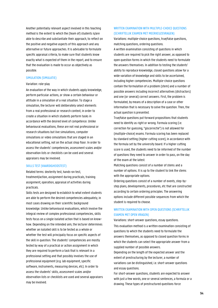Another potentially relevant aspect involved in this teaching method is the extent to which the (team of) students is/are able to describe and substantiate their approach, to reflect on the positive and negative aspects of this approach and any alternative or future approaches. It is advisable to formulate specific appraisal criteria, to make sure that students know exactly what is expected of them in the report, and to ensure that the evaluation is made to occur as objectively as possible.

#### SIMULATION (SIMULATIE)

#### Variation: role-play

An evaluation of the way in which students apply knowledge, perform particular actions, or show a certain behaviour or attitude in a simulation of a real situation. To stage a simulation, the lecturer will deliberately select elements from a real professional or research context, in order to create a situation in which students perform tasks in accordance with the desired level of competence. Unlike behavioural evaluations, these are not real professional or research situations but live simulations, computer simulations or video simulations that are staged in an educational setting, not on the actual shop floor. In order to assess the students' competencies, assessment scales and/or observation lists or checklists can be used and several appraisers may be involved.

### SKILLS TEST (VAARDIGHEIDSTEST)

Related terms: dexterity test, hands-on test, treatment/action, assignment during practicals, training assignment, operation, appraisal of activities during practicals.

Skills tests are designed to establish to what extent students are able to perform the desired competencies adequately, in most cases drawing on their scientific background knowledge. Unlike behavioural evaluations, which involve the integral review of complex professional competencies, skills tests focus on a single isolated action that is based on knowhow. Depending on the intended aim, the lecturer determines whether an isolated skill is to be tested as a whole or whether the test will principally focus on specific aspects of the skill in question. The students' competencies are mostly tested by way of a practical or action assignment in which they are required to perform a task that is relevant in a professional setting and that possibly involves the use of professional equipment (e.g. lab equipment, specific software, instruments, measuring devices, etc). In order to assess the students' skills, assessment scales and/or observation lists or checklists are used and several appraisers may be involved.

# WRITTEN EXAMINATION WITH MIII TIPLE-CHOICE OUESTIONS (SCHRIFTELIJK EXAMEN MET MEERKEUZEVRAGEN)

Variations: multiple-choice questions, true/false questions, matching questions, ordering questions.

A written examination consisting of questions in which students are required to pick the right answer, as opposed to open question forms in which the students need to formulate the answers themselves. In addition to testing the students' ability to reproduce knowledge, closed questions allow for a wide variation of knowledge and skills to be ascertained, including higher competencies. Multiple-choice questions contain the formulation of a problem (stem) and a number of possible answers including incorrect alternatives (distractors) and one (or several) correct answers. First, the problem is formulated, by means of a description of a case or other information that is necessary to solve the question. Then, the actual question is presented.

True/false questions put forward propositions that students need to identify as right or wrong. Formula scoring (i.e. correction for guessing, "giscorrectie") is not allowed for (multiple-choice) exams. Formula scoring has been replaced by standard setting (higher cutting score), in accordance with the formula set by the university board. If a higher cutting score is used, the students need to be informed of the number of questions they need to answer in order to pass, on the day of the exam at the latest.

Matching questions consist of a number of stems and a number of options. It is up to the student to link the stems with the appropriate options.

Ordering questions consist of a number of events, step-bystep plans, developments, procedures, etc that are constructed according to certain ordering principles. The answering options include different possible sequences from which the student is required to choose.

# WRITTEN EXAMINATION WITH OPEN QUESTIONS (SCHRIFTELIJK EXAMEN MET OPEN VRAGEN)

Variations: short-answer questions, essay questions. This evaluation method is a written examination consisting of questions to which the students need to formulate the answers themselves, as opposed to closed question forms in which the students can select the appropriate answer from a supplied number of possible answers.

Depending on the length of the expected answer and the extent of prestructuring by the lecturer, a number of variations can be distinguished, i.e. short-answer questions and essay questions.

For short-answer questions, students are expected to answer with just a few words, one or several sentences, a formula or a drawing. These types of prestructured questions force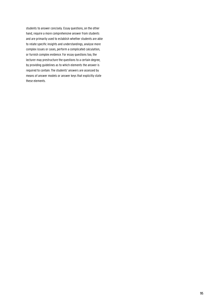students to answer concisely. Essay questions, on the other hand, require a more comprehensive answer from students and are primarily used to establish whether students are able to relate specific insights and understandings, analyse more complex issues or cases, perform a complicated calculation, or furnish complex evidence. For essay questions too, the lecturer may prestructure the questions to a certain degree, by providing guidelines as to which elements the answer is required to contain. The students' answers are assessed by means of answer models or answer keys that explicitly state these elements.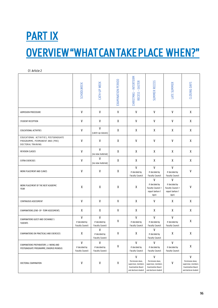# **PART IX** OVERVIEW "WHAT CAN TAKE PLACE WHEN?"

Cf. Article 2

|                                                                                             | <b>SCHOOLWEEK</b>                            | CATH-UP WEEK                                 | EXAMINATION PERIOD        | CHRISTMAS - INTERTERM<br>RECESS - EASTER                                                         | SUMMER RECESS                                                                                    | <b>LATE SUMMER</b>                                                  | <b>CLOSING DAYS</b>                                                                                         |
|---------------------------------------------------------------------------------------------|----------------------------------------------|----------------------------------------------|---------------------------|--------------------------------------------------------------------------------------------------|--------------------------------------------------------------------------------------------------|---------------------------------------------------------------------|-------------------------------------------------------------------------------------------------------------|
| ADMISSION PROCEDURE                                                                         | V                                            | V                                            | $\ensuremath{\mathsf{V}}$ | V                                                                                                | V                                                                                                | V                                                                   | X                                                                                                           |
| STUDENT RECEPTION                                                                           | V                                            | ۷                                            | Χ                         | V                                                                                                | V                                                                                                | V                                                                   | χ                                                                                                           |
| EDUCATIONAL ACTIVITIES                                                                      | V                                            | V<br>(catch-up classes)                      | Χ                         | χ                                                                                                | Χ                                                                                                | Χ                                                                   | χ                                                                                                           |
| EDUCATIONAL ACTIVITIES, POSTGRADUATE<br>PROGRAMME, PERMANENT AND (PRE)<br>DOCTORAL TRAINING | V                                            | V                                            | Χ                         | V                                                                                                | V                                                                                                | V                                                                   | χ                                                                                                           |
| REVISION CLASSES                                                                            | V                                            | ٧<br>(no new material)                       | X                         | X                                                                                                | Χ                                                                                                | X                                                                   | X                                                                                                           |
| <b>EXTRA EXERCISES</b>                                                                      | V                                            | V<br>(no new material)                       | Χ                         | χ                                                                                                | χ                                                                                                | χ                                                                   | X                                                                                                           |
| WORK PLACEMENT AND CLINICS                                                                  | V                                            | $\mathsf{V}$                                 | X                         | V<br>if decided by<br><b>Faculty Council</b>                                                     | V<br>if decided by<br><b>Faculty Council</b>                                                     | V<br>if decided by<br><b>Faculty Council</b>                        | V                                                                                                           |
| WORK PLACEMENT OF THE NEXT ACADEMIC<br>YEAR                                                 | χ                                            | X                                            | $\pmb{\mathsf{X}}$        | χ                                                                                                | V<br>if decided by<br>Faculty Council +<br>report before 1<br>April                              | V<br>if decided by<br>Faculty Council +<br>report before 1<br>April | V                                                                                                           |
| CONTINUOUS ASSESSMENT                                                                       | V                                            | V                                            | V                         | X                                                                                                | V                                                                                                | Χ                                                                   | X                                                                                                           |
| EXAMINATIONS (END- OF- TERM ASSESSMENT)                                                     | χ                                            | Χ                                            | $\ensuremath{\mathsf{V}}$ | χ                                                                                                | Χ                                                                                                | Χ                                                                   | X                                                                                                           |
| EXAMINATIONS GUEST AND EXCHANGE S<br>TUDENTS                                                | V<br>if decided by<br><b>Faculty Council</b> | V<br>if decided by<br><b>Faculty Council</b> | V                         | V<br>if decided by<br><b>Faculty Council</b>                                                     | V<br>if decided by<br><b>Faculty Council</b>                                                     | V<br>if decided by<br><b>Faculty Council</b>                        | χ                                                                                                           |
| EXAMINATIONS ON PRACTICALS AND EXERCICES                                                    | χ                                            | V<br>if decided by<br><b>Faculty Council</b> | V                         | χ                                                                                                | V<br>if decided by<br><b>Faculty Council</b>                                                     | χ                                                                   | χ                                                                                                           |
| EXAMINATIONS PREPARATORY, L I NKING AND<br>POSTGRADUATE PROGRAMME, ERASMUS MUNDUS           | V<br>if decided by<br><b>Faculty Council</b> | V<br>if decided by<br><b>Faculty Council</b> | V                         | V<br>if decided by<br><b>Faculty Council</b>                                                     | V<br>if decided by<br><b>Faculty Council</b>                                                     | V<br>if decided by<br><b>Faculty Council</b>                        | χ                                                                                                           |
| DOCTORAL EXAMINATION                                                                        | V                                            | V                                            | V                         | V<br>Permission dean,<br>supervisor, members<br><b>Examination Board</b><br>and doctoral student | V<br>Permission dean,<br>supervisor, members<br><b>Examination Board</b><br>and doctoral student | V                                                                   | $\mathsf{V}$<br>Permission dean,<br>supervisor, members<br><b>Examination Board</b><br>and doctoral student |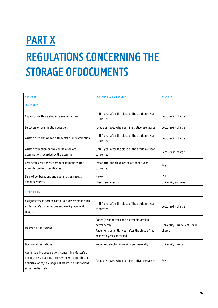# **PART X** REGULATIONS CONCERNING THE **STORAGE OF DOCUMENTS**

| <b>DOCUMENT</b>                                                                                                                                                                                 | <b>HOW LONG SHOULD IT BE KEPT?</b>                                                                                                           | <b>BY WHOM?</b>                           |  |  |  |  |
|-------------------------------------------------------------------------------------------------------------------------------------------------------------------------------------------------|----------------------------------------------------------------------------------------------------------------------------------------------|-------------------------------------------|--|--|--|--|
| <b>EXAMINATIONS</b>                                                                                                                                                                             |                                                                                                                                              |                                           |  |  |  |  |
| Copies of written a student's examinations                                                                                                                                                      | Until 1 year after the close of the academic year<br>concerned                                                                               | Lecturer-in-charge                        |  |  |  |  |
| Leftovers of examination questions                                                                                                                                                              | To be destroyed when administrative use lapses                                                                                               | Lecturer-in-charge                        |  |  |  |  |
| Written preparation for a student's oral examination                                                                                                                                            | Until 1 year after the close of the academic year<br>concerned                                                                               | Lecturer-in-charge                        |  |  |  |  |
| Written reflection on the course of an oral<br>examination, recorded by the examiner                                                                                                            | Until 1 year after the close of the academic year<br>concerned                                                                               | Lecturer-in-charge                        |  |  |  |  |
| Certificates for absence from examinations (for<br>example, doctor's certificates)                                                                                                              | 1 year after the close of the academic year<br>concerned                                                                                     | <b>FSA</b>                                |  |  |  |  |
| Lists of deliberations and examination results<br>announcements                                                                                                                                 | 5 years<br>Then: permanently                                                                                                                 | <b>FSA</b><br>University archives         |  |  |  |  |
| <b>DISSERTATIONS</b>                                                                                                                                                                            |                                                                                                                                              |                                           |  |  |  |  |
| Assignments as part of continuous assessment, such<br>as Bachelor's dissertations and work placement<br>reports                                                                                 | Until 1 year after the close of the academic year<br>concerned                                                                               | Lecturer-in-charge                        |  |  |  |  |
| Master's dissertations                                                                                                                                                                          | Paper (if submitted) and electronic version:<br>permanently<br>Paper version: until 1 year after the close of the<br>academic year concerned | University library Lecturer-in-<br>charge |  |  |  |  |
| Doctoral dissertations                                                                                                                                                                          | Paper and electronic version: permanently                                                                                                    | University library                        |  |  |  |  |
| Administrative preparations concerning Master's or<br>doctoral dissertations: forms with working titles and<br>definitive ones, title pages of Master's dissertations,<br>signature lists, etc. | To be destroyed when administrative use lapses                                                                                               | <b>FSA</b>                                |  |  |  |  |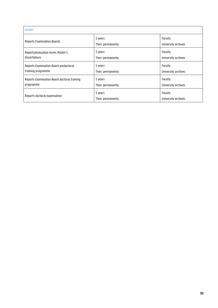| <b>REPORTS</b>                              |                              |                                |  |  |  |
|---------------------------------------------|------------------------------|--------------------------------|--|--|--|
| <b>Reports Examination Boards</b>           | 5 years<br>Then: permanently | Faculty<br>University archives |  |  |  |
| Reports/evaluation forms Master's           | 5 years                      | Faculty                        |  |  |  |
| dissertations                               | Then: permanently            | University archives            |  |  |  |
| Reports Examination Board predoctoral       | 5 years                      | Faculty                        |  |  |  |
| training programme                          | Then: permanently            | University archives            |  |  |  |
| Reports Examination Board doctoral training | 5 years                      | Faculty                        |  |  |  |
| programme                                   | Then: permanently            | University archives            |  |  |  |
| Reports doctoral examination                | 5 years<br>Then: permanently | Faculty<br>University archives |  |  |  |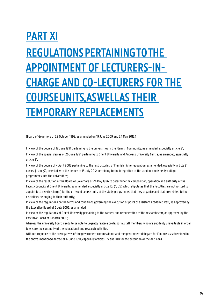# PART XI REGULATIONS PERTAINING TO THE APPOINTMENT OF LECTURERS-IN-CHARGE AND CO-LECTURERS FOR THE COURSE UNITS, AS WELL AS THEIR TEMPORARY REPLACEMENTS

(Board of Governors of 28 October 1999, as amended on 19 June 2009 and 24 May 2013.)

In view of the decree of 12 June 1991 pertaining to the universities in the Flemish Community, as amended, especially article 81; In view of the special decree of 26 June 1991 pertaining to Ghent University and Antwerp University Centre, as amended, especially article 21;

In view of the decree of 4 April 2003 pertaining to the restructuring of Flemish higher education, as amended, especially article 91 novies §1 and §2, inserted with the decree of 13 July 2012 pertaining to the integration of the academic university college programmes into the universities;

In view of the resolution of the Board of Governors of 24 May 1996 to determine the composition, operation and authority of the Faculty Councils at Ghent University, as amended, especially article 10, §1, b)2, which stipulates that the Faculties are authorized to appoint lecturers(in-charge) for the different course units of the study programmes that they organize and that are related to the disciplines belonging to their authority;

In view of the regulations on the terms and conditions governing the execution of posts of assistant academic staff, as approved by the Executive Board of 6 July 2006, as amended;

In view of the regulations at Ghent University pertaining to the careers and remuneration of the research staff, as approved by the Executive Board of 6 March 2008;

Whereas the university board needs to be able to urgently replace professorial staff members who are suddenly unavailable in order to ensure the continuity of the educational and research activities;

Without prejudice to the prerogatives of the government commissioner and the government delegate for Finance, as setremined in the above-mentioned decree of 12 June 1991, especially articles 177 and 180 for the execution of the decisions.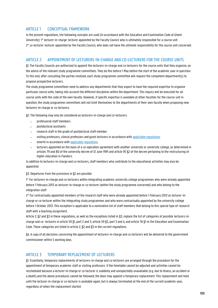# ARTICLE 1 CONCEPTUAL FRAMEWORK

In the present regulations, the following concepts are used (in accordance with the Education and Examination Code at Ghent University): 1° lecturer-in-charge: lecturer appointed by the Faculty Council who is ultimately responsible for a course unit. 2° co-lecturer: lecturer appointed by the Faculty Council, who does not have the ultimate responsibility for the course unit concerned.

# ARTICLE 2 APPOINTMENT OF LECTURERS-IN-CHARGE AND CO-LECTURERS FOR THE COURSE UNITS

§1. The Faculty Councils are authorized to appoint the lecturers-in-charge and co-lecturers for the course units that they organize, on the advice of the relevant study programme committees. They do this before 1 May before the start of the academic year in question. To this end, after consulting the parties involved, each study programme committee will request the competent department(s) to propose prospective lecturers.

The study programme committees need to address any departments that they expect to have the required expertise to organize particular course units, taking into account the different disciplines within the department. This inquiry will be executed for all course units with the code of the own faculty. However, if specific expertise is available at other faculties for the course unit in question, the study programme committees will not limit themselves to the departments of their own faculty when proposing new lecturers-in-charge or co-lecturers.

§2. The following may only be considered as lecturers-in-charge and co-lecturers:

- − professorial staff members
- − postdoctoral assistants
- − research staff in the grade of postdoctoral staff member
- − visiting professors, clinical professors and guest lecturers in accordance with applicable [regulations](https://codex.ugent.be/?regid=REG000132&lang=NL)
- emeriti in accordance with applicable [regulations](https://codex.ugent.be/?regid=REG000121&lang=NL)
- − lecturers appointed on the basis of a co-operation agreement with another university or university college, as determined in articles 79 and 80 of the university decree of 12 June 1991 and article 95 §2 of the decree pertaining to the restructuring of higher education in Flanders.

In addition to lecturers-in-charge and co-lecturers, staff members who contribute to the educational activities may also be appointed.

§3. Departures from the provisions in §2 are possible

1° For lecturers-in-charge and co-lecturers within integrating academic university college programmes who were already appointed before 1 February 2013 as lecturer-in-charge or co-lecturer (within the study programme concerned) and who belong to the integration staff.

2° For contractually appointed members of the research staff who were already appointed before 1 February 2013 as lecturer-incharge or co-lecturer within the integrating study programmes and who were contractually appointed by the university college before 1 October 2013. This exception is applicable to a nominative list of staff members that belong to this special type of research staff with a teaching assignment.

Article 2, §2 and §3 in these regulations, as well as the exceptions listed in §3, replace the list of categories of possible lecturers-incharge and co- lecturers in article 59 §1, part 2 and 3, article 59 §3, part 3 and 4, and article 76 §1 in the Education and Examination Code. These categories are listed in article 2, **\$2** and **\$3** in the current regulations.

§4. A copy of all decisions concerning the appointment of lecturers-in-charge and co-lecturers will be delivered to the government commissioner within 5 working days.

# ARTICLE 3 TEMPORARY REPLACEMENT OF LECTURERS

§1. Essentially, temporary replacements of lecturers-in-charge and co-lecturers are arranged through the procedure for the appointment of temporary academic staff or visiting professors. If the timetable cannot be adjusted and activities cannot be rescheduled because a lecturer-in-charge or co-lecturer is suddenly and unexpectedly unavailable (e.g. due to illness, an accident or a death) and the above procedures cannot be followed, the dean may appoint a temporary replacement. This replacement will hold until the lecturer-in-charge or co-lecturer is available again, but is always terminated at the end of the current academic year, regardless of when the replacement started.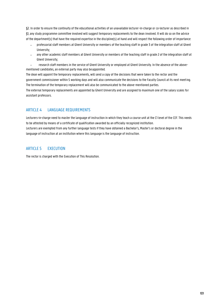§2. In order to ensure the continuity of the educational activities of an unavailable lecturer-in-charge or co-lecturer as described in §1, any study programme committee involved will suggest temporary replacements to the dean involved. It will do so on the advice of the department(s) that have the required expertise in the discipline(s) at hand and will respect the following order of importance:

- − professorial staff members at Ghent University or members of the teaching staff in grade 3 of the integration staff at Ghent University;
- − any other academic staff members at Ghent University or members of the teaching staff in grade 2 of the integration staff at Ghent University;
- − research staff members in the service of Ghent University or employed at Ghent University. In the absence of the abovementioned candidates, an external party may also beappointed.

The dean will appoint the temporary replacements, will send a copy of the decisions that were taken to the rector and the government commissioner within 5 working days and will also communicate the decisions to the Faculty Council at its next meeting. The termination of the temporary replacement will also be communicated to the above-mentioned parties.

The external temporary replacements are appointed by Ghent University and are assigned to maximum one of the salary scales for assistant professors.

# ARTICLE 4 LANGUAGE REQUIREMENTS

Lecturers-in-charge need to master the language of instruction in which they teach a course unit at the C1 level of the CEF. This needs to be attested by means of a certificate of qualification awarded by an officially recognized institution. Lecturers are exempted from any further language tests if they have obtained a Bachelor's, Master's or doctoral degree in the language of instruction at an institution where this language is the language of instruction.

# ARTICLE 5 EXECUTION

The rector is charged with the Execution of This Resolution.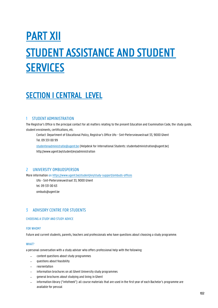# PART XII STUDENT ASSISTANCE AND STUDENT SERVICES

# **SECTION I CENTRAL LEVEL**

# 1 STUDENT ADMINISTRATION

The Registrar's Office is the principal contact for all matters relating to the present Education and Examination Code, the study guide, student enrolments, certifications, etc.

Contact: Department of Educational Policy, Registrar's Office Ufo - Sint-Pietersnieuwstraat 33, 9000 Ghent Tel. 09 331 00 99

[studentenadministratie@ugent.be](mailto:studentenadministratie@ugent.be) (Helpdesk for International Students: studentadministration@ugent.be) <http://www.ugent.be/student/en/administration>

# 2 UNIVERSITY OMBUDSPERSON

More information on <https://www.ugent.be/student/en/study-support/ombuds-offices>

Ufo - Sint-Pietersnieuwstraat 33, 9000 Ghent tel. 09 331 00 63 [ombuds@ugent.be](mailto:ombuds@ugent.be)

# 3 ADVISORY CENTRE FOR STUDENTS

# CHOOSING A STUDY AND STUDY ADVICE

# FOR WHOM?

Future and current students, parents, teachers and professionals who have questions about choosing a study programme.

# WHAT?

a personal conversation with a study adviser who offers professional help with the following:

- − content questions about study programmes
- questions about feasibility
- − reorientation
- information brochures on all Ghent University study programmes
- − general brochures about studying and living in Ghent
- information library ("infotheek"): all course materials that are used in the first year of each Bachelor's programme are available for perusal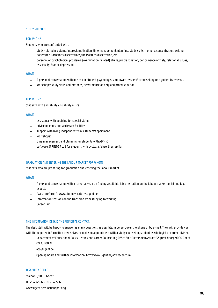#### STUDY SUPPORT

#### FOR WHOM?

Students who are confronted with:

- study-related problems: interest, motivation, time management, planning, study skills, memory, concentration, writing papers/the Bachelor's dissertations/the Master's dissertation, etc.
- − personal or psychological problems: (examination-related) stress, procrastination, performance anxiety, relational issues, assertivity, fear or depression.

#### WHAT?

- − A personal conversation with one of our student psychologists, followed by specific counselling or a guided transferral.
- Workshops: study skills and methods, performance anxiety and procrastination

#### FOR WHOM?

Students with a disability / Disability office

#### WHAT?

- assistance with applying for special status
- − advice on education and exam facilities
- support with living independently in a student's apartment
- − workshops:
- time management and planning for students with AD(H)D
- software SPRINTO PLUS for students with dyslexia / dysorthographia

#### GRADUATION AND ENTERING THE LABOUR MARKET FOR WHOM?

Students who are preparing for graduation and entering the labour market.

#### WHAT?

- − A personal conversation with a career adviser on finding a suitable job, orientation on the labour market, social and legal aspects
- − "vacatureforum": [www.alumnivacatures.ugent.be](http://www.alumnivacatures.ugent.be/)
- Information sessions on the transition from studying to working
- − Career fair

#### THE INFORMATION DESK IS THE PRINCIPAL CONTACT.

The desk staff will be happy to answer as many questions as possible: in person, over the phone or by e-mail. They will provide you with the required information themselves or make an appointment with a study counsellor, student psychologist or career adviser.

Department of Educational Policy – Study and Career Counselling Office Sint-Pietersnieuwstraat 33 (first floor), 9000 Ghent 09 331 00 31

[acs@ugent.be](mailto:acs@ugent.be)

Opening hours and further information:<http://www.ugent.be/adviescentrum>

#### DISABILITY OFFICE

Stalhof 6, 9000 Ghent 09 264 72 66 – 09 264 72 69 [www.ugent.be/functiebeperking](http://www.ugent.be/functiebeperking)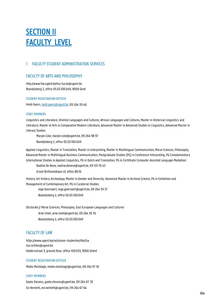# **SECTION II** FACULTY LEVEL

# 1 FACULTY STUDENT ADMINISTRATION SERVICES

# FACULTY OF ARTS AND PHILOSOPHY

<http://www.flw.ugent.be/fsa> [fsa.lw@ugent.be](mailto:fsa.lw@ugent.be) Blandijnberg 2, office 05.03.100.049, 9000 Gent

# STUDENT REGISTRATION OFFICER

Heidi Geers[, heidi.geers@ugent.be, 0](mailto:heidi.geers@ugent.be)9 264 39 46

# STAFF MEMBERS

Linguistics and Literature, Oriental Languages and Cultures, African Languages and Cultures, Master in Historical Linguistics and Literature, Master of Arts in Comparative Modern Literature, Advanced Master in Advanced Studies in Linguistics, Advanced Master in Literary Studies:

Marjon Cole[, marjon.cole@ugent.be, 0](mailto:marjon.cole@ugent.be)9 264 98 97 Blandijnberg 2, office 05.03.100.049

Applied Linguistics, Master in Translation, Master in Interpreting, Master in Multilingual Communication, Moral Sciences, Philosophy, Advanced Master in Multilingual Business Communication, Postgraduate Studies (PG) in Conference Interpreting, PG Complementary International Studies in Applied Linguistics, PG in Dutch and Translation, PG in Certificate Computer-Assisted Language Mediation:

Nadine De Neve[, nadine.deneve@ugent.be, 0](mailto:nadine.deneve@ugent.be)9 331 19 43

Groot-Brittanniëlaan 45 office BO.16

History, Art History, Archeology, Master in Gender and Diversity, Advanced Master in Archival Science, PG in Exhibition and Management of Contemporary Art, PG in Curatorial Studies:

Inge Geernaert[, inge.geernaert@ugent.be, 0](mailto:inge.geernaert@ugent.be)9 264 39 37 Blandijnberg 2, office 05.03.100.049

Doctorate // Moral Sciences, Philosophy, East European Languages and Cultures Arne Smet[, arne.smet@ugent.be, 0](mailto:arne.smet@ugent.be)9 264 39 76 Blandijnberg 2, office 05.03.100.049

# FACULTY OF LAW

https:/[/www.ugent.be/re/nl/voor-studenten/fdo/fsa](http://www.ugent.be/re/nl/voor-studenten/fdo/fsa) [fsa.rechten@ugent.be](mailto:fsa.rechten@ugent.be) Voldersstraat 3, ground floor, office 100.033, 9000 Ghent

# STUDENT REGISTRATION OFFICER

Mieke Mestdagh[, mieke.mestdagh@ugent.be, 0](mailto:mieke.mestdagh@ugent.be)9 264 97 18

# STAFF MEMBERS

Goele Stevens, [goele.stevens@ugent.be, 0](mailto:goele.stevens@ugent.be)9 264 67 78 Evi Nemeth[, evi.nemeth@ugent.be, 0](mailto:evi.nemeth@ugent.be)9 264 67 64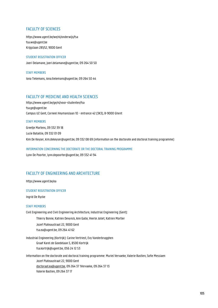# FACULTY OF SCIENCES

https:/[/www.ugent.be/we/nl/onderwijs/fsa](http://www.ugent.be/we/nl/onderwijs/fsa) [fsa.we@ugent.be](mailto:fsa.we@ugent.be) Krijgslaan 281/S2, 9000 Gent

### STUDENT REGISTRATION OFFICER

Joeri Delamane, [joeri.delamane@ugent.be, 0](mailto:joeri.delamane@ugent.be)9 264 50 50

STAFF MEMBERS Iona Tielemans[, iona.tielemans@ugent.be, 0](mailto:iona.tielemans@ugent.be)9 264 50 44

# FACULTY OF MEDICINE AND HEALTH SCIENCES

https:/[/www.ugent.be/ge/nl/voor-studenten/fsa](http://www.ugent.be/ge/nl/voor-studenten/fsa) [fsa.ge@ugent.be](mailto:fsa.ge@ugent.be) Campus UZ Gent, Corneel Heymanslaan 10 - entrance 42 (3K3), B-9000 Ghent

### STAFF MEMBERS

Greetje Martens, 09 332 39 18 Lucie Bataillie, 09 332 01 09 Kim De Keyser, kim.dekeyser@ugent.be, 09 332 08 69 (information on the doctorate and doctoral training programme)

# INFORMATION CONCERNING THE DOCTORATE OR THE DOCTORAL TRAINING PROGRAMME

Lynn De Poorter[, lynn.depoorter@ugent.be, 0](mailto:lynn.depoorter@ugent.be)9 332 41 94

# FACULTY OF ENGINEERING AND ARCHITECTURE

https:/[/www.ugent.be/ea](http://www.ugent.be/ea)

# STUDENT REGISTRATION OFFICER

Ingrid De Rycke

# STAFF MEMBERS

Civil Engineering and Civil Engineering Architecture, Industrial Engineering (Gent):

Thierry Bonne, Katrien Devynck, Ann Galle, Veerle Joliet, Katrien Mortier

Jozef Plateaustraat 22, 9000 Gent [fsa.ea@ugent.be, 0](mailto:fsa.ea@ugent.be)9 264 41 62

Industrial Engineering (Kortrijk): Carine Vertriest, Evy Vanderbrugghen Graaf Karel de Goedelaan 5, 8500 Kortrijk [fsa.kortrijk@ugent.be, 0](mailto:fsa.kortrijk@ugent.be)56 24 12 53

Information on the doctorate and doctoral training programme: Muriel Vervaeke, Valerie Bastien, Sofie Messiaen Jozef Plateaustraat 22, 9000 Gent [doctoraat.ea@ugent.be,](mailto:doctoraat.ea@ugent.be) 09 264 37 1Vervaeke, 09 264 37 13 Valerie Bastien, 09 264 37 17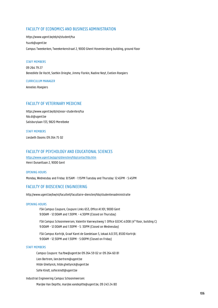# FACULTY OF ECONOMICS AND BUSINESS ADMINISTRATION

https:/[/www.ugent.be/eb/nl/student/fsa](http://www.ugent.be/eb/nl/student/fsa) [fsa.eb@ugent.be](mailto:fsa.eb@ugent.be) Campus Tweekerken, Tweekerkenstraat 2, 9000 Ghent Hoveniersberg building, ground floor

# STAFF MEMBERS

09 264 79 27 Benedikte De Vocht, Soetkin Drieghe, Jimmy Florkin, Nadine Neyt, Evelien Roegiers

#### CURRICULUM MANAGER

Annelies Roegiers

# FACULTY OF VETERINARY MEDICINE

https:/[/www.ugent.be/di/nl/voor-studenten/fsa](http://www.ugent.be/di/nl/voor-studenten/fsa) [fdo.di@ugent.be](mailto:fdo.di@ugent.be) Salisburylaan 133, 9820 Merelbeke

#### STAFF MEMBERS

Liesbeth Dooms 09 264 75 02

# FACULTY OF PSYCHOLOGY AND EDUCATIONAL SCIENCES

<https://www.ugent.be/pp/nl/diensten/fdo/contactfdo.htm> Henri Dunantlaan 2, 9000 Gent

#### OPENING HOURS

Monday, Wednesday and Friday: 8:15AM - 1:15PM Tuesday and Thursday: 12:45PM - 5:45PM

# FACULTY OF BIOSCIENCE ENGINEERING

<http://www.ugent.be/bw/nl/faculteit/facultaire-diensten/fdo/studentenadministratie>

#### OPENING HOURS

FSA Campus Coupure, Coupure Links 653, Office A1.101, 9000 Gent 9:00AM - 12:00AM and 1:30PM. - 4:30PM (Closed on Thursday)

FSA Campus Schoonmeersen, Valentin Vaerwyckweg 1: Office GSCHC.4.008 (4<sup>th</sup> floor, building C) 9:00AM - 12:00AM and 1:30PM - 5: 30PM (Closed on Wednesday)

FSA Campus Kortrijk, Graaf Karel de Goedelaan 5, lokaal A.0.313, 8500 Kortrijk: 9:00AM - 12:30PM and 1:30PM - 5:00PM (Closed on Friday)

#### STAFF MEMBERS

Campus Coupure[: fsa.fbw@ugent.be 0](mailto:fsa.fbw@ugent.be)9 264 59 02 or 09 264 60 81

Lien Bertrem[, lien.bertrem@ugent.be](mailto:lien.bertrem@ugent.be)

Hilde Ghellynck[, hilde.ghellynck@ugent.be](mailto:hilde.ghellynck@ugent.be)

Sofie Kindt[, sofie.kindt@ugent.be](mailto:sofie.kindt@ugent.be)

Industrial Engineering Campus Schoonmeersen:

Marijke Van Depitte, [marijke.vandepitte@ugent.be, 0](mailto:marijke.vandepitte@ugent.be)9 243 24 80